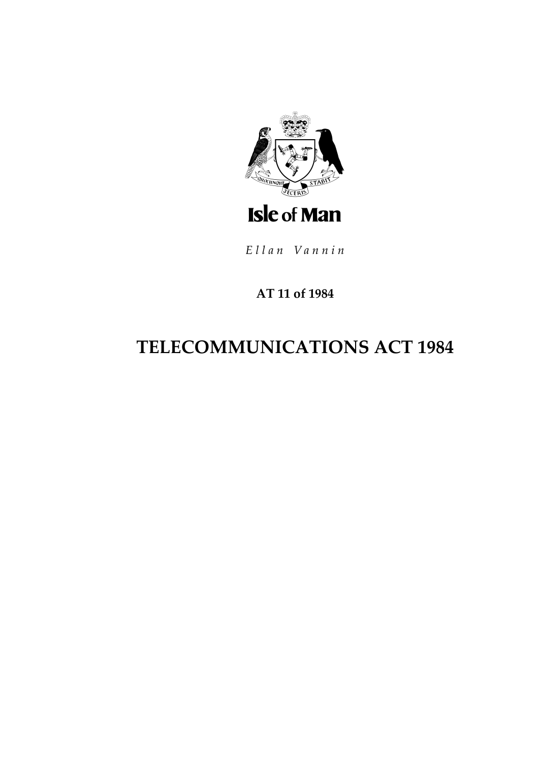

Ellan Vannin

### **AT 11 of 1984**

# **TELECOMMUNICATIONS ACT 1984**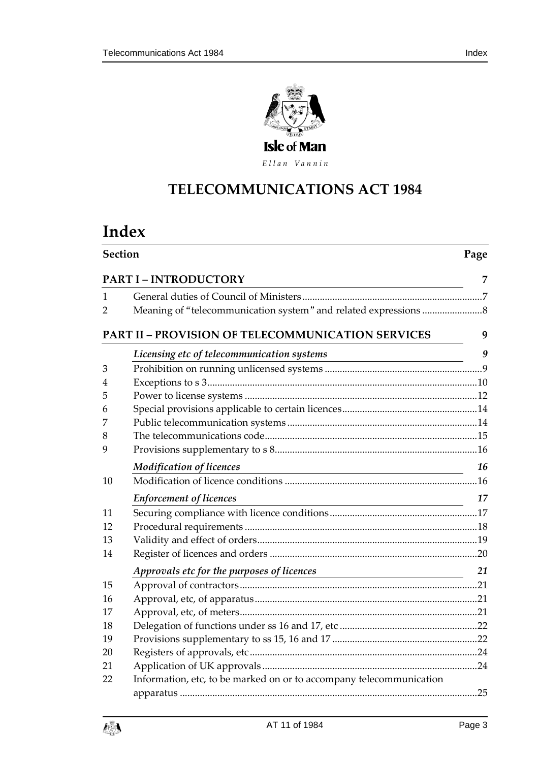

Ellan Vannin

# **TELECOMMUNICATIONS A CT 1984**

# **Index**

| <b>Section</b>               |                                                                                                 | Page |  |
|------------------------------|-------------------------------------------------------------------------------------------------|------|--|
| <b>PART I - INTRODUCTORY</b> |                                                                                                 |      |  |
| 1                            |                                                                                                 |      |  |
| 2                            |                                                                                                 |      |  |
|                              | <b>PART II - PROVISION OF TELECOMMUNICATION SERVICES</b>                                        | 9    |  |
|                              | Licensing etc of telecommunication systems                                                      | 9    |  |
| 3                            |                                                                                                 |      |  |
| 4                            |                                                                                                 |      |  |
| 5                            |                                                                                                 |      |  |
| 6                            |                                                                                                 |      |  |
| 7                            |                                                                                                 |      |  |
| 8                            |                                                                                                 |      |  |
| 9                            |                                                                                                 |      |  |
|                              | <b>Modification of licences</b>                                                                 | 16   |  |
| 10                           |                                                                                                 |      |  |
|                              | <b>Enforcement of licences</b><br><u> 1989 - Johann Barn, mars ar breist bestjórn (f. 1918)</u> | 17   |  |
| 11                           |                                                                                                 |      |  |
| 12                           |                                                                                                 |      |  |
| 13                           |                                                                                                 |      |  |
| 14                           |                                                                                                 |      |  |
|                              | Approvals etc for the pu <u>rposes of licences</u>                                              | 21   |  |
| 15                           |                                                                                                 |      |  |
| 16                           |                                                                                                 |      |  |
| 17                           |                                                                                                 |      |  |
| 18                           |                                                                                                 |      |  |
| 19                           |                                                                                                 |      |  |
| 20                           |                                                                                                 |      |  |
| 21                           |                                                                                                 |      |  |
| 22                           | Information, etc, to be marked on or to accompany telecommunication                             |      |  |
|                              |                                                                                                 |      |  |

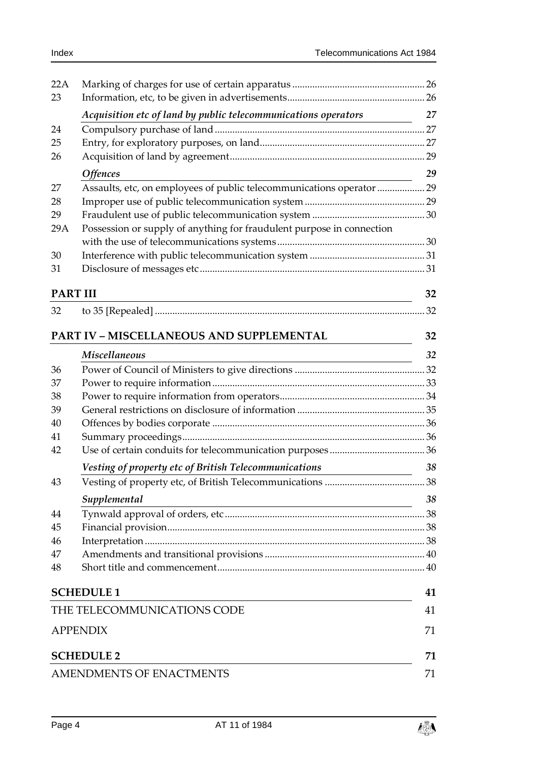| 22A                             |                                                                       |    |
|---------------------------------|-----------------------------------------------------------------------|----|
| 23                              |                                                                       |    |
|                                 | Acquisition etc of land by public telecommunications operators        | 27 |
| 24                              |                                                                       |    |
| 25                              |                                                                       |    |
| 26                              |                                                                       |    |
|                                 | <b>Offences</b>                                                       | 29 |
| 27                              | Assaults, etc, on employees of public telecommunications operator  29 |    |
| 28                              |                                                                       |    |
| 29                              |                                                                       |    |
| 29A                             | Possession or supply of anything for fraudulent purpose in connection |    |
|                                 |                                                                       |    |
| 30                              |                                                                       |    |
| 31                              |                                                                       |    |
| <b>PART III</b>                 |                                                                       | 32 |
| 32                              |                                                                       | 32 |
|                                 |                                                                       |    |
|                                 | <b>PART IV - MISCELLANEOUS AND SUPPLEMENTAL</b>                       | 32 |
|                                 | <b>Miscellaneous</b>                                                  | 32 |
| 36                              |                                                                       |    |
| 37                              |                                                                       |    |
| 38                              |                                                                       |    |
| 39                              |                                                                       |    |
| 40                              |                                                                       |    |
| 41                              |                                                                       |    |
| 42                              |                                                                       |    |
|                                 | Vesting of property etc of British Telecommunications                 | 38 |
| 43                              |                                                                       |    |
|                                 | Supplemental                                                          | 38 |
| 44                              |                                                                       |    |
| 45                              |                                                                       |    |
| 46                              |                                                                       |    |
| 47                              |                                                                       |    |
| 48                              |                                                                       |    |
|                                 | <b>SCHEDULE 1</b>                                                     | 41 |
|                                 | THE TELECOMMUNICATIONS CODE                                           | 41 |
|                                 | <b>APPENDIX</b>                                                       | 71 |
|                                 | <b>SCHEDULE 2</b>                                                     | 71 |
| <b>AMENDMENTS OF ENACTMENTS</b> |                                                                       |    |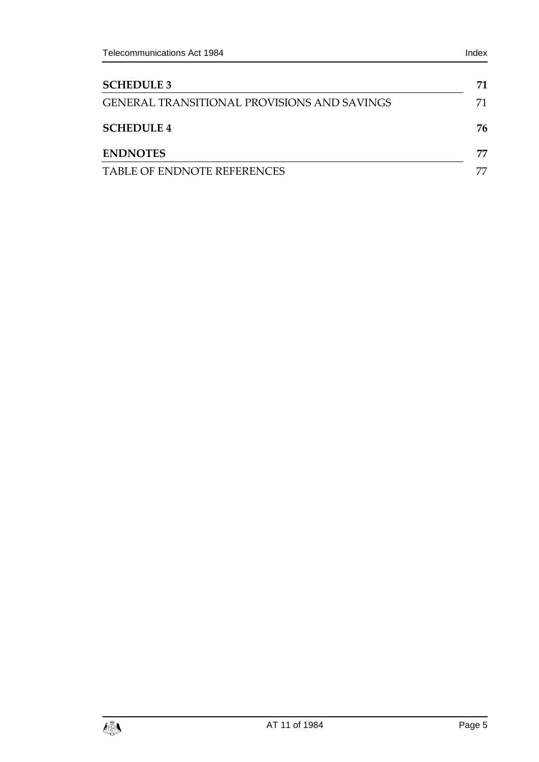| <b>SCHEDULE 3</b>                                  | 71 |
|----------------------------------------------------|----|
| <b>GENERAL TRANSITIONAL PROVISIONS AND SAVINGS</b> | 71 |
| <b>SCHEDULE 4</b>                                  | 76 |
| <b>ENDNOTES</b>                                    | 77 |
| TABLE OF ENDNOTE REFERENCES                        |    |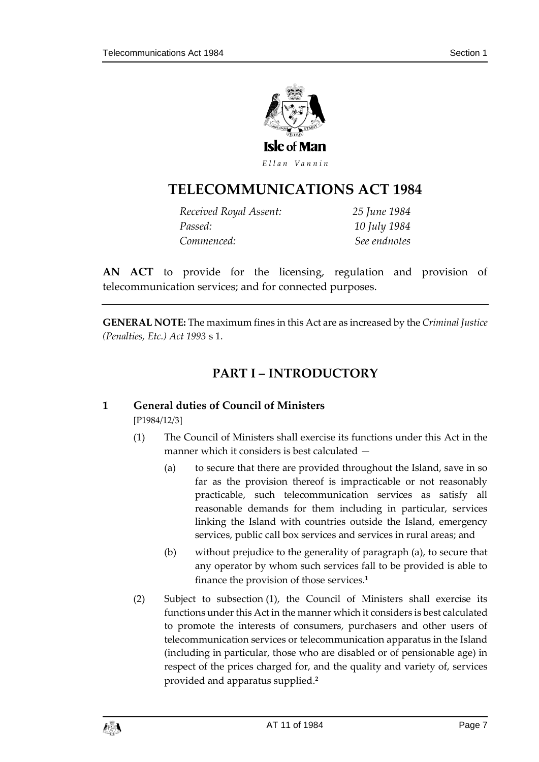

Ellan Vannin

## **TELECOMMUNICATIONS A CT 1984**

| Received Royal Assent: | 25 June 1984 |
|------------------------|--------------|
| Passed:                | 10 July 1984 |
| Commenced:             | See endnotes |

**AN ACT** to provide for the licensing, regulation and provision of telecommunication services; and for connected purposes.

<span id="page-6-0"></span>**GENERAL NOTE:** The maximum fines in this Act are as increased by the *Criminal Justice (Penalties, Etc.) Act 1993* s 1.

### **PART I – INTRODUCTORY**

### <span id="page-6-1"></span>**1 General duties of Council of Ministers**

[P1984/12/3]

- (1) The Council of Ministers shall exercise its functions under this Act in the manner which it considers is best calculated —
	- (a) to secure that there are provided throughout the Island, save in so far as the provision thereof is impracticable or not reasonably practicable, such telecommunication services as satisfy all reasonable demands for them including in particular, services linking the Island with countries outside the Island, emergency services, public call box services and services in rural areas; and
	- (b) without prejudice to the generality of paragraph (a), to secure that any operator by whom such services fall to be provided is able to finance the provision of those services.**<sup>1</sup>**
- (2) Subject to subsection (1), the Council of Ministers shall exercise its functions under this Act in the manner which it considers is best calculated to promote the interests of consumers, purchasers and other users of telecommunication services or telecommunication apparatus in the Island (including in particular, those who are disabled or of pensionable age) in respect of the prices charged for, and the quality and variety of, services provided and apparatus supplied.**2**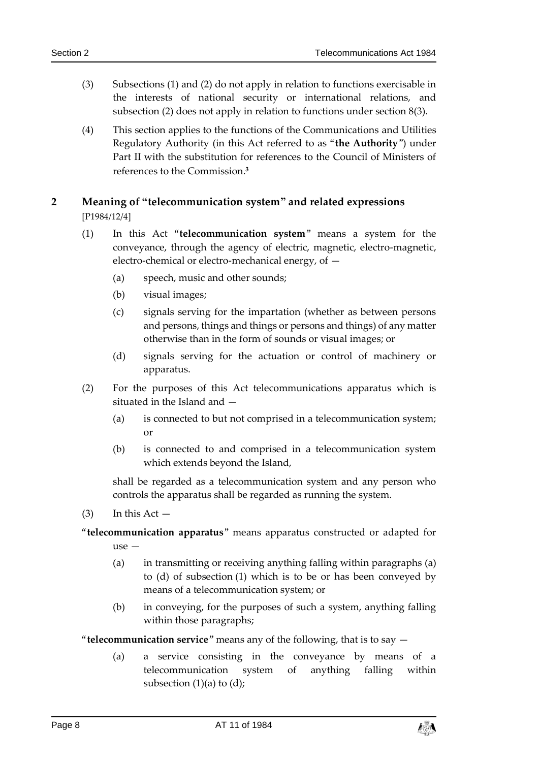- (3) Subsections (1) and (2) do not apply in relation to functions exercisable in the interests of national security or international relations, and subsection (2) does not apply in relation to functions under section 8(3).
- (4) This section applies to the functions of the Communications and Utilities Regulatory Authority (in this Act referred to as "**the Authority**") under Part II with the substitution for references to the Council of Ministers of references to the Commission.**<sup>3</sup>**

### <span id="page-7-0"></span>**2 Meaning of "telecommunication system" and related expressions** [P1984/12/4]

- (1) In this Act "**telecommunication system**" means a system for the conveyance, through the agency of electric, magnetic, electro-magnetic, electro-chemical or electro-mechanical energy, of —
	- (a) speech, music and other sounds;
	- (b) visual images;
	- (c) signals serving for the impartation (whether as between persons and persons, things and things or persons and things) of any matter otherwise than in the form of sounds or visual images; or
	- (d) signals serving for the actuation or control of machinery or apparatus.
- (2) For the purposes of this Act telecommunications apparatus which is situated in the Island and —
	- (a) is connected to but not comprised in a telecommunication system; or
	- (b) is connected to and comprised in a telecommunication system which extends beyond the Island,

shall be regarded as a telecommunication system and any person who controls the apparatus shall be regarded as running the system.

 $(3)$  In this Act  $-$ 

"**telecommunication apparatus**" means apparatus constructed or adapted for use —

- (a) in transmitting or receiving anything falling within paragraphs (a) to (d) of subsection (1) which is to be or has been conveyed by means of a telecommunication system; or
- (b) in conveying, for the purposes of such a system, anything falling within those paragraphs;

"**telecommunication service**" means any of the following, that is to say —

(a) a service consisting in the conveyance by means of a telecommunication system of anything falling within subsection  $(1)(a)$  to  $(d)$ ;

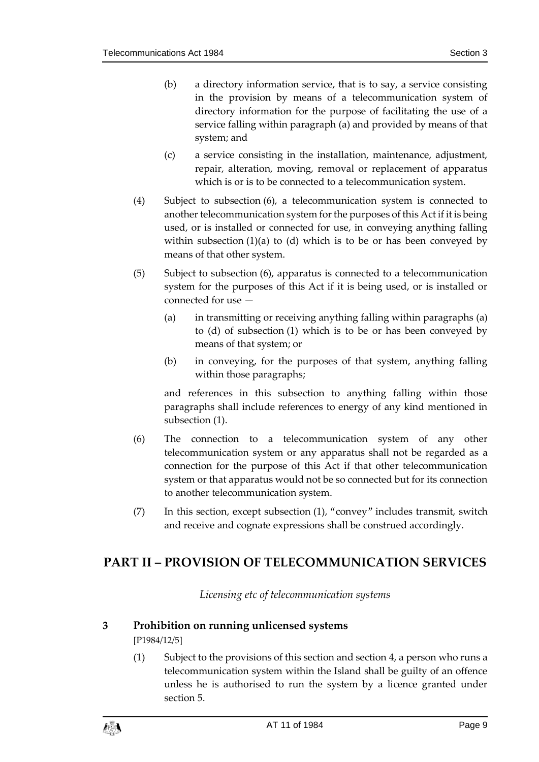- (b) a directory information service, that is to say, a service consisting in the provision by means of a telecommunication system of directory information for the purpose of facilitating the use of a service falling within paragraph (a) and provided by means of that system; and
- (c) a service consisting in the installation, maintenance, adjustment, repair, alteration, moving, removal or replacement of apparatus which is or is to be connected to a telecommunication system.
- (4) Subject to subsection (6), a telecommunication system is connected to another telecommunication system for the purposes of this Act if it is being used, or is installed or connected for use, in conveying anything falling within subsection  $(1)(a)$  to  $(d)$  which is to be or has been conveyed by means of that other system.
- (5) Subject to subsection (6), apparatus is connected to a telecommunication system for the purposes of this Act if it is being used, or is installed or connected for use —
	- (a) in transmitting or receiving anything falling within paragraphs (a) to (d) of subsection (1) which is to be or has been conveyed by means of that system; or
	- (b) in conveying, for the purposes of that system, anything falling within those paragraphs;

and references in this subsection to anything falling within those paragraphs shall include references to energy of any kind mentioned in subsection (1).

- (6) The connection to a telecommunication system of any other telecommunication system or any apparatus shall not be regarded as a connection for the purpose of this Act if that other telecommunication system or that apparatus would not be so connected but for its connection to another telecommunication system.
- (7) In this section, except subsection (1), "convey" includes transmit, switch and receive and cognate expressions shall be construed accordingly.

### <span id="page-8-1"></span><span id="page-8-0"></span>**PART II – PROVISION OF TELECOMMUNICATION SERVICES**

*Licensing etc of telecommunication systems*

### <span id="page-8-2"></span>**3 Prohibition on running unlicensed systems**

[P1984/12/5]

(1) Subject to the provisions of this section and section 4, a person who runs a telecommunication system within the Island shall be guilty of an offence unless he is authorised to run the system by a licence granted under section 5.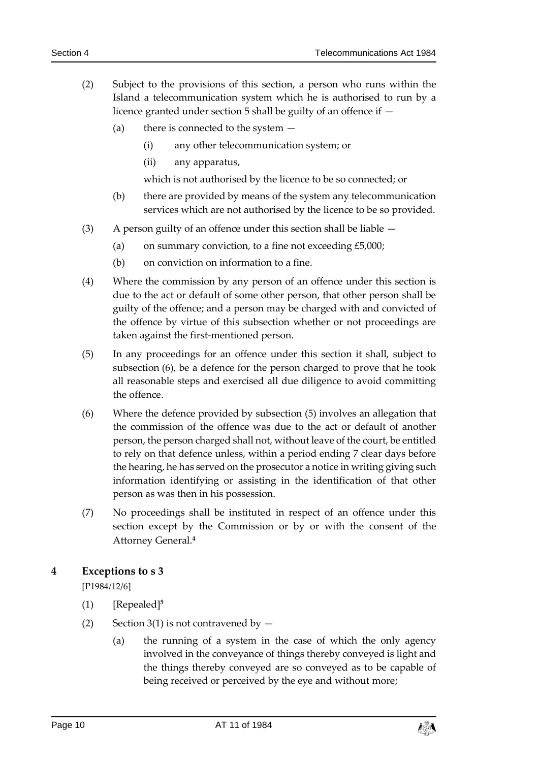- (2) Subject to the provisions of this section, a person who runs within the Island a telecommunication system which he is authorised to run by a licence granted under section 5 shall be guilty of an offence if —
	- (a) there is connected to the system
		- (i) any other telecommunication system; or
		- (ii) any apparatus,

which is not authorised by the licence to be so connected; or

- (b) there are provided by means of the system any telecommunication services which are not authorised by the licence to be so provided.
- (3) A person guilty of an offence under this section shall be liable
	- (a) on summary conviction, to a fine not exceeding  $£5,000;$
	- (b) on conviction on information to a fine.
- (4) Where the commission by any person of an offence under this section is due to the act or default of some other person, that other person shall be guilty of the offence; and a person may be charged with and convicted of the offence by virtue of this subsection whether or not proceedings are taken against the first-mentioned person.
- (5) In any proceedings for an offence under this section it shall, subject to subsection (6), be a defence for the person charged to prove that he took all reasonable steps and exercised all due diligence to avoid committing the offence.
- (6) Where the defence provided by subsection (5) involves an allegation that the commission of the offence was due to the act or default of another person, the person charged shall not, without leave of the court, be entitled to rely on that defence unless, within a period ending 7 clear days before the hearing, he has served on the prosecutor a notice in writing giving such information identifying or assisting in the identification of that other person as was then in his possession.
- (7) No proceedings shall be instituted in respect of an offence under this section except by the Commission or by or with the consent of the Attorney General.**<sup>4</sup>**

### <span id="page-9-0"></span>**4 Exceptions to s 3**

[P1984/12/6]

- (1) [Repealed]**<sup>5</sup>**
- (2) Section 3(1) is not contravened by  $-$ 
	- (a) the running of a system in the case of which the only agency involved in the conveyance of things thereby conveyed is light and the things thereby conveyed are so conveyed as to be capable of being received or perceived by the eye and without more;

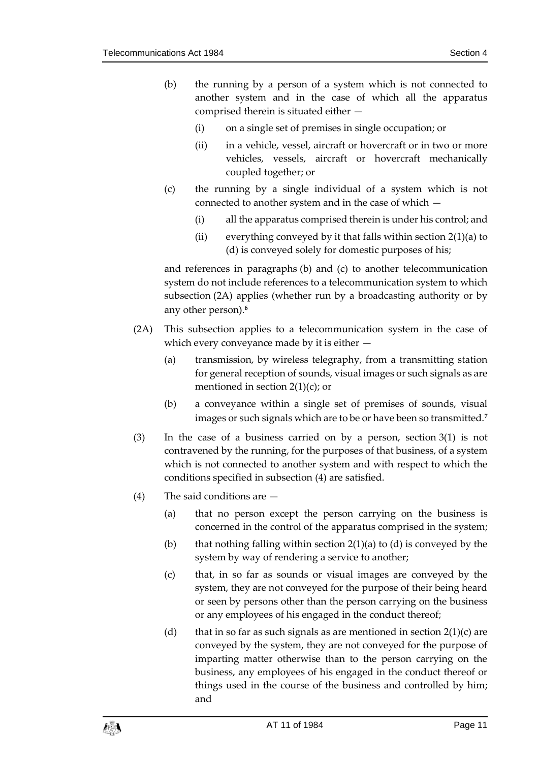- (b) the running by a person of a system which is not connected to another system and in the case of which all the apparatus comprised therein is situated either —
	- (i) on a single set of premises in single occupation; or
	- (ii) in a vehicle, vessel, aircraft or hovercraft or in two or more vehicles, vessels, aircraft or hovercraft mechanically coupled together; or
- (c) the running by a single individual of a system which is not connected to another system and in the case of which —
	- (i) all the apparatus comprised therein is under his control; and
	- (ii) everything conveyed by it that falls within section  $2(1)(a)$  to (d) is conveyed solely for domestic purposes of his;

and references in paragraphs (b) and (c) to another telecommunication system do not include references to a telecommunication system to which subsection (2A) applies (whether run by a broadcasting authority or by any other person).**<sup>6</sup>**

- (2A) This subsection applies to a telecommunication system in the case of which every conveyance made by it is either —
	- (a) transmission, by wireless telegraphy, from a transmitting station for general reception of sounds, visual images or such signals as are mentioned in section  $2(1)(c)$ ; or
	- (b) a conveyance within a single set of premises of sounds, visual images or such signals which are to be or have been so transmitted.**<sup>7</sup>**
- (3) In the case of a business carried on by a person, section 3(1) is not contravened by the running, for the purposes of that business, of a system which is not connected to another system and with respect to which the conditions specified in subsection (4) are satisfied.
- (4) The said conditions are
	- (a) that no person except the person carrying on the business is concerned in the control of the apparatus comprised in the system;
	- (b) that nothing falling within section  $2(1)(a)$  to (d) is conveyed by the system by way of rendering a service to another;
	- (c) that, in so far as sounds or visual images are conveyed by the system, they are not conveyed for the purpose of their being heard or seen by persons other than the person carrying on the business or any employees of his engaged in the conduct thereof;
	- (d) that in so far as such signals as are mentioned in section  $2(1)(c)$  are conveyed by the system, they are not conveyed for the purpose of imparting matter otherwise than to the person carrying on the business, any employees of his engaged in the conduct thereof or things used in the course of the business and controlled by him; and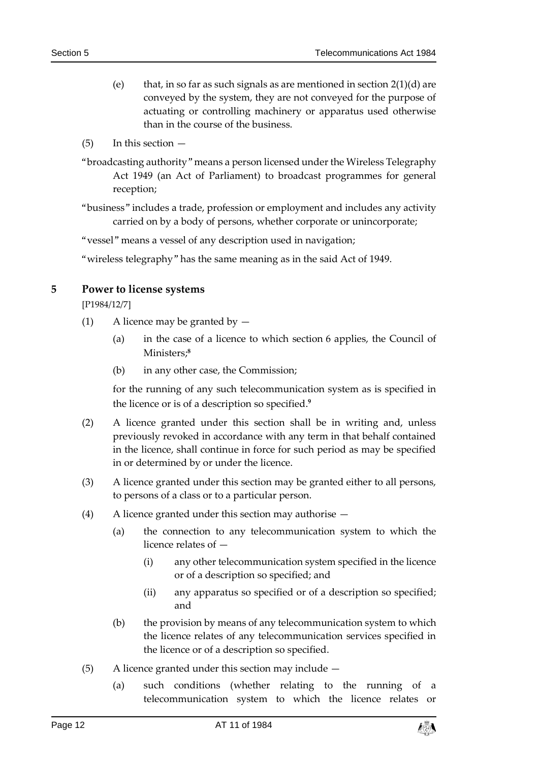- (e) that, in so far as such signals as are mentioned in section  $2(1)(d)$  are conveyed by the system, they are not conveyed for the purpose of actuating or controlling machinery or apparatus used otherwise than in the course of the business.
- (5) In this section —
- "broadcasting authority" means a person licensed under the Wireless Telegraphy Act 1949 (an Act of Parliament) to broadcast programmes for general reception;
- "business" includes a trade, profession or employment and includes any activity carried on by a body of persons, whether corporate or unincorporate;
- "vessel" means a vessel of any description used in navigation;
- "wireless telegraphy" has the same meaning as in the said Act of 1949.

#### <span id="page-11-0"></span>**5 Power to license systems**

[P1984/12/7]

- (1) A licence may be granted by  $-$ 
	- (a) in the case of a licence to which section 6 applies, the Council of Ministers;**<sup>8</sup>**
	- (b) in any other case, the Commission;

for the running of any such telecommunication system as is specified in the licence or is of a description so specified.**<sup>9</sup>**

- (2) A licence granted under this section shall be in writing and, unless previously revoked in accordance with any term in that behalf contained in the licence, shall continue in force for such period as may be specified in or determined by or under the licence.
- (3) A licence granted under this section may be granted either to all persons, to persons of a class or to a particular person.
- (4) A licence granted under this section may authorise
	- (a) the connection to any telecommunication system to which the licence relates of —
		- (i) any other telecommunication system specified in the licence or of a description so specified; and
		- (ii) any apparatus so specified or of a description so specified; and
	- (b) the provision by means of any telecommunication system to which the licence relates of any telecommunication services specified in the licence or of a description so specified.
- (5) A licence granted under this section may include
	- (a) such conditions (whether relating to the running of a telecommunication system to which the licence relates or

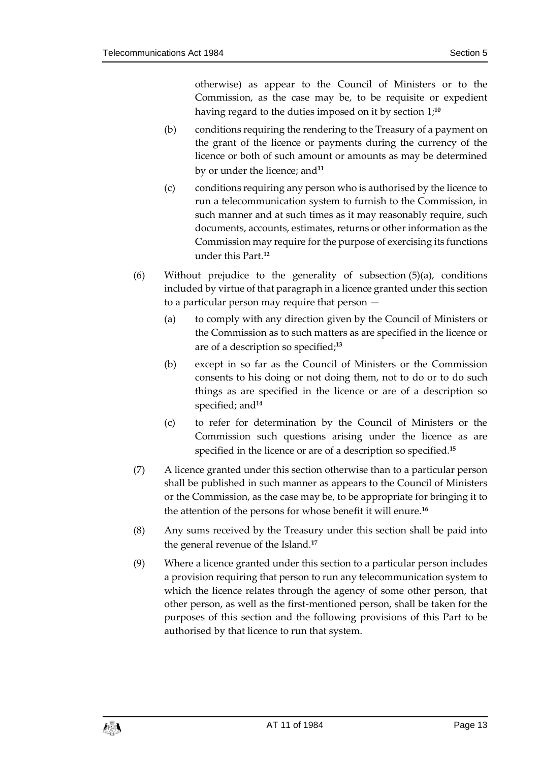otherwise) as appear to the Council of Ministers or to the Commission, as the case may be, to be requisite or expedient having regard to the duties imposed on it by section 1;**<sup>10</sup>**

- (b) conditions requiring the rendering to the Treasury of a payment on the grant of the licence or payments during the currency of the licence or both of such amount or amounts as may be determined by or under the licence; and**<sup>11</sup>**
- (c) conditions requiring any person who is authorised by the licence to run a telecommunication system to furnish to the Commission, in such manner and at such times as it may reasonably require, such documents, accounts, estimates, returns or other information as the Commission may require for the purpose of exercising its functions under this Part.**<sup>12</sup>**
- (6) Without prejudice to the generality of subsection (5)(a), conditions included by virtue of that paragraph in a licence granted under this section to a particular person may require that person —
	- (a) to comply with any direction given by the Council of Ministers or the Commission as to such matters as are specified in the licence or are of a description so specified;**<sup>13</sup>**
	- (b) except in so far as the Council of Ministers or the Commission consents to his doing or not doing them, not to do or to do such things as are specified in the licence or are of a description so specified; and**<sup>14</sup>**
	- (c) to refer for determination by the Council of Ministers or the Commission such questions arising under the licence as are specified in the licence or are of a description so specified.**<sup>15</sup>**
- (7) A licence granted under this section otherwise than to a particular person shall be published in such manner as appears to the Council of Ministers or the Commission, as the case may be, to be appropriate for bringing it to the attention of the persons for whose benefit it will enure.**<sup>16</sup>**
- (8) Any sums received by the Treasury under this section shall be paid into the general revenue of the Island.**<sup>17</sup>**
- (9) Where a licence granted under this section to a particular person includes a provision requiring that person to run any telecommunication system to which the licence relates through the agency of some other person, that other person, as well as the first-mentioned person, shall be taken for the purposes of this section and the following provisions of this Part to be authorised by that licence to run that system.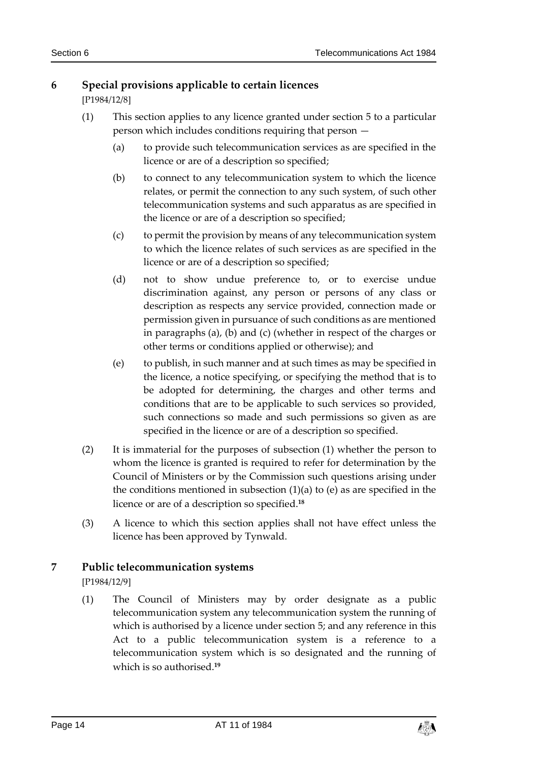### <span id="page-13-0"></span>**6 Special provisions applicable to certain licences**

[P1984/12/8]

- (1) This section applies to any licence granted under section 5 to a particular person which includes conditions requiring that person —
	- (a) to provide such telecommunication services as are specified in the licence or are of a description so specified;
	- (b) to connect to any telecommunication system to which the licence relates, or permit the connection to any such system, of such other telecommunication systems and such apparatus as are specified in the licence or are of a description so specified;
	- (c) to permit the provision by means of any telecommunication system to which the licence relates of such services as are specified in the licence or are of a description so specified;
	- (d) not to show undue preference to, or to exercise undue discrimination against, any person or persons of any class or description as respects any service provided, connection made or permission given in pursuance of such conditions as are mentioned in paragraphs (a), (b) and (c) (whether in respect of the charges or other terms or conditions applied or otherwise); and
	- (e) to publish, in such manner and at such times as may be specified in the licence, a notice specifying, or specifying the method that is to be adopted for determining, the charges and other terms and conditions that are to be applicable to such services so provided, such connections so made and such permissions so given as are specified in the licence or are of a description so specified.
- (2) It is immaterial for the purposes of subsection (1) whether the person to whom the licence is granted is required to refer for determination by the Council of Ministers or by the Commission such questions arising under the conditions mentioned in subsection  $(1)(a)$  to  $(e)$  as are specified in the licence or are of a description so specified.**<sup>18</sup>**
- (3) A licence to which this section applies shall not have effect unless the licence has been approved by Tynwald.

### <span id="page-13-1"></span>**7 Public telecommunication systems**

[P1984/12/9]

(1) The Council of Ministers may by order designate as a public telecommunication system any telecommunication system the running of which is authorised by a licence under section 5; and any reference in this Act to a public telecommunication system is a reference to a telecommunication system which is so designated and the running of which is so authorised.**19**

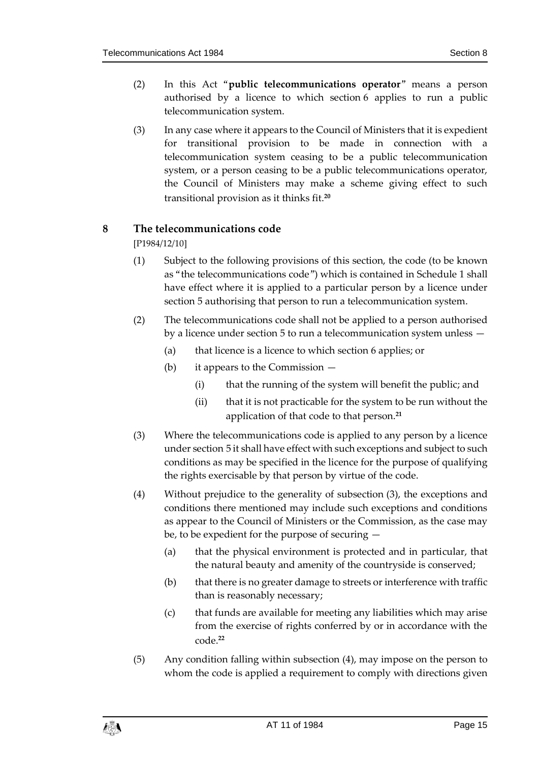- (2) In this Act "**public telecommunications operator**" means a person authorised by a licence to which section 6 applies to run a public telecommunication system.
- (3) In any case where it appears to the Council of Ministers that it is expedient for transitional provision to be made in connection with a telecommunication system ceasing to be a public telecommunication system, or a person ceasing to be a public telecommunications operator, the Council of Ministers may make a scheme giving effect to such transitional provision as it thinks fit.**<sup>20</sup>**

### <span id="page-14-0"></span>**8 The telecommunications code**

[P1984/12/10]

- (1) Subject to the following provisions of this section, the code (to be known as "the telecommunications code") which is contained in Schedule 1 shall have effect where it is applied to a particular person by a licence under section 5 authorising that person to run a telecommunication system.
- (2) The telecommunications code shall not be applied to a person authorised by a licence under section 5 to run a telecommunication system unless —
	- (a) that licence is a licence to which section 6 applies; or
	- (b) it appears to the Commission
		- (i) that the running of the system will benefit the public; and
		- (ii) that it is not practicable for the system to be run without the application of that code to that person.**<sup>21</sup>**
- (3) Where the telecommunications code is applied to any person by a licence under section 5 it shall have effect with such exceptions and subject to such conditions as may be specified in the licence for the purpose of qualifying the rights exercisable by that person by virtue of the code.
- (4) Without prejudice to the generality of subsection (3), the exceptions and conditions there mentioned may include such exceptions and conditions as appear to the Council of Ministers or the Commission, as the case may be, to be expedient for the purpose of securing —
	- (a) that the physical environment is protected and in particular, that the natural beauty and amenity of the countryside is conserved;
	- (b) that there is no greater damage to streets or interference with traffic than is reasonably necessary;
	- (c) that funds are available for meeting any liabilities which may arise from the exercise of rights conferred by or in accordance with the code.**<sup>22</sup>**
- (5) Any condition falling within subsection (4), may impose on the person to whom the code is applied a requirement to comply with directions given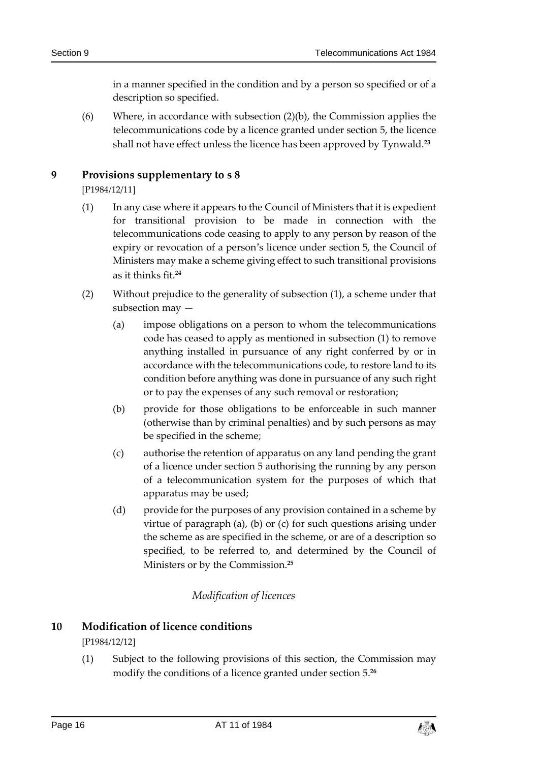in a manner specified in the condition and by a person so specified or of a description so specified.

(6) Where, in accordance with subsection (2)(b), the Commission applies the telecommunications code by a licence granted under section 5, the licence shall not have effect unless the licence has been approved by Tynwald.**<sup>23</sup>**

### <span id="page-15-0"></span>**9 Provisions supplementary to s 8**

[P1984/12/11]

- (1) In any case where it appears to the Council of Ministers that it is expedient for transitional provision to be made in connection with the telecommunications code ceasing to apply to any person by reason of the expiry or revocation of a person's licence under section 5, the Council of Ministers may make a scheme giving effect to such transitional provisions as it thinks fit.**<sup>24</sup>**
- (2) Without prejudice to the generality of subsection (1), a scheme under that subsection may —
	- (a) impose obligations on a person to whom the telecommunications code has ceased to apply as mentioned in subsection (1) to remove anything installed in pursuance of any right conferred by or in accordance with the telecommunications code, to restore land to its condition before anything was done in pursuance of any such right or to pay the expenses of any such removal or restoration;
	- (b) provide for those obligations to be enforceable in such manner (otherwise than by criminal penalties) and by such persons as may be specified in the scheme;
	- (c) authorise the retention of apparatus on any land pending the grant of a licence under section 5 authorising the running by any person of a telecommunication system for the purposes of which that apparatus may be used;
	- (d) provide for the purposes of any provision contained in a scheme by virtue of paragraph (a), (b) or (c) for such questions arising under the scheme as are specified in the scheme, or are of a description so specified, to be referred to, and determined by the Council of Ministers or by the Commission.**<sup>25</sup>**

### *Modification of licences*

### <span id="page-15-2"></span><span id="page-15-1"></span>**10 Modification of licence conditions** [P1984/12/12]

(1) Subject to the following provisions of this section, the Commission may modify the conditions of a licence granted under section 5.**<sup>26</sup>**

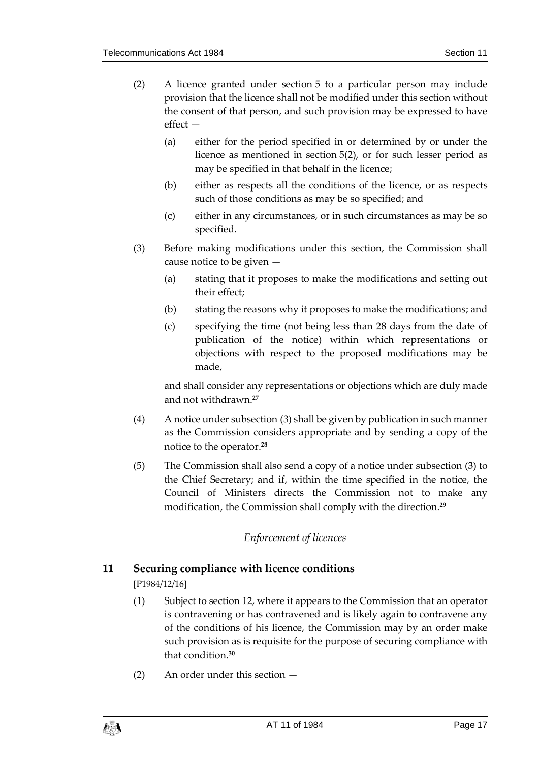- (2) A licence granted under section 5 to a particular person may include provision that the licence shall not be modified under this section without the consent of that person, and such provision may be expressed to have effect —
	- (a) either for the period specified in or determined by or under the licence as mentioned in section 5(2), or for such lesser period as may be specified in that behalf in the licence;
	- (b) either as respects all the conditions of the licence, or as respects such of those conditions as may be so specified; and
	- (c) either in any circumstances, or in such circumstances as may be so specified.
- (3) Before making modifications under this section, the Commission shall cause notice to be given —
	- (a) stating that it proposes to make the modifications and setting out their effect;
	- (b) stating the reasons why it proposes to make the modifications; and
	- (c) specifying the time (not being less than 28 days from the date of publication of the notice) within which representations or objections with respect to the proposed modifications may be made,

and shall consider any representations or objections which are duly made and not withdrawn.**<sup>27</sup>**

- (4) A notice under subsection (3) shall be given by publication in such manner as the Commission considers appropriate and by sending a copy of the notice to the operator.**<sup>28</sup>**
- (5) The Commission shall also send a copy of a notice under subsection (3) to the Chief Secretary; and if, within the time specified in the notice, the Council of Ministers directs the Commission not to make any modification, the Commission shall comply with the direction.**<sup>29</sup>**

### *Enforcement of licences*

### <span id="page-16-1"></span><span id="page-16-0"></span>**11 Securing compliance with licence conditions**

[P1984/12/16]

- (1) Subject to section 12, where it appears to the Commission that an operator is contravening or has contravened and is likely again to contravene any of the conditions of his licence, the Commission may by an order make such provision as is requisite for the purpose of securing compliance with that condition.**<sup>30</sup>**
- (2) An order under this section —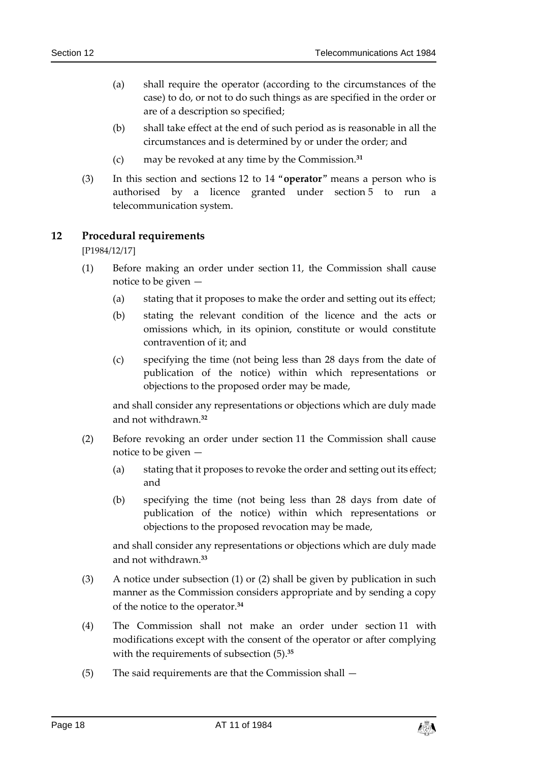- (a) shall require the operator (according to the circumstances of the case) to do, or not to do such things as are specified in the order or are of a description so specified;
- (b) shall take effect at the end of such period as is reasonable in all the circumstances and is determined by or under the order; and
- (c) may be revoked at any time by the Commission.**<sup>31</sup>**
- (3) In this section and sections 12 to 14 "**operator**" means a person who is authorised by a licence granted under section 5 to run a telecommunication system.

### <span id="page-17-0"></span>**12 Procedural requirements**

[P1984/12/17]

- (1) Before making an order under section 11, the Commission shall cause notice to be given —
	- (a) stating that it proposes to make the order and setting out its effect;
	- (b) stating the relevant condition of the licence and the acts or omissions which, in its opinion, constitute or would constitute contravention of it; and
	- (c) specifying the time (not being less than 28 days from the date of publication of the notice) within which representations or objections to the proposed order may be made,

and shall consider any representations or objections which are duly made and not withdrawn.**<sup>32</sup>**

- (2) Before revoking an order under section 11 the Commission shall cause notice to be given —
	- (a) stating that it proposes to revoke the order and setting out its effect; and
	- (b) specifying the time (not being less than 28 days from date of publication of the notice) within which representations or objections to the proposed revocation may be made,

and shall consider any representations or objections which are duly made and not withdrawn.**<sup>33</sup>**

- (3) A notice under subsection (1) or (2) shall be given by publication in such manner as the Commission considers appropriate and by sending a copy of the notice to the operator.**<sup>34</sup>**
- (4) The Commission shall not make an order under section 11 with modifications except with the consent of the operator or after complying with the requirements of subsection (5).**<sup>35</sup>**
- (5) The said requirements are that the Commission shall —

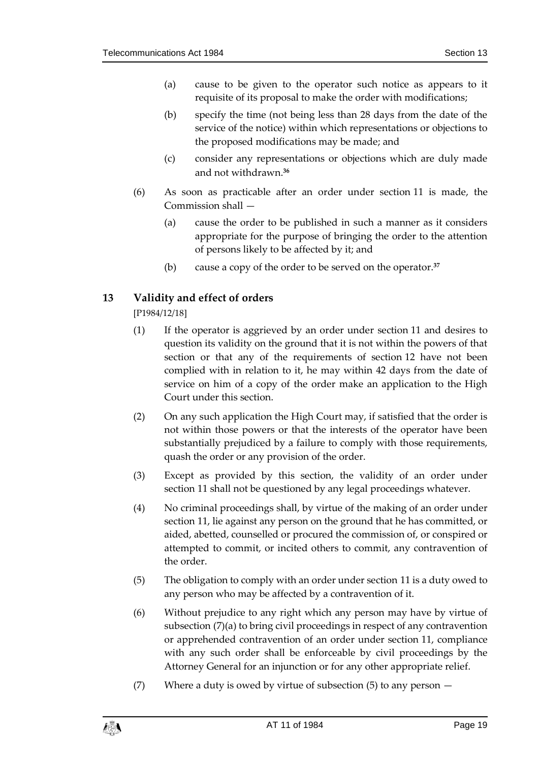- (a) cause to be given to the operator such notice as appears to it requisite of its proposal to make the order with modifications;
- (b) specify the time (not being less than 28 days from the date of the service of the notice) within which representations or objections to the proposed modifications may be made; and
- (c) consider any representations or objections which are duly made and not withdrawn.**<sup>36</sup>**
- (6) As soon as practicable after an order under section 11 is made, the Commission shall —
	- (a) cause the order to be published in such a manner as it considers appropriate for the purpose of bringing the order to the attention of persons likely to be affected by it; and
	- (b) cause a copy of the order to be served on the operator.**<sup>37</sup>**

### <span id="page-18-0"></span>**13 Validity and effect of orders**

[P1984/12/18]

- (1) If the operator is aggrieved by an order under section 11 and desires to question its validity on the ground that it is not within the powers of that section or that any of the requirements of section 12 have not been complied with in relation to it, he may within 42 days from the date of service on him of a copy of the order make an application to the High Court under this section.
- (2) On any such application the High Court may, if satisfied that the order is not within those powers or that the interests of the operator have been substantially prejudiced by a failure to comply with those requirements, quash the order or any provision of the order.
- (3) Except as provided by this section, the validity of an order under section 11 shall not be questioned by any legal proceedings whatever.
- (4) No criminal proceedings shall, by virtue of the making of an order under section 11, lie against any person on the ground that he has committed, or aided, abetted, counselled or procured the commission of, or conspired or attempted to commit, or incited others to commit, any contravention of the order.
- (5) The obligation to comply with an order under section 11 is a duty owed to any person who may be affected by a contravention of it.
- (6) Without prejudice to any right which any person may have by virtue of subsection (7)(a) to bring civil proceedings in respect of any contravention or apprehended contravention of an order under section 11, compliance with any such order shall be enforceable by civil proceedings by the Attorney General for an injunction or for any other appropriate relief.
- (7) Where a duty is owed by virtue of subsection  $(5)$  to any person  $-$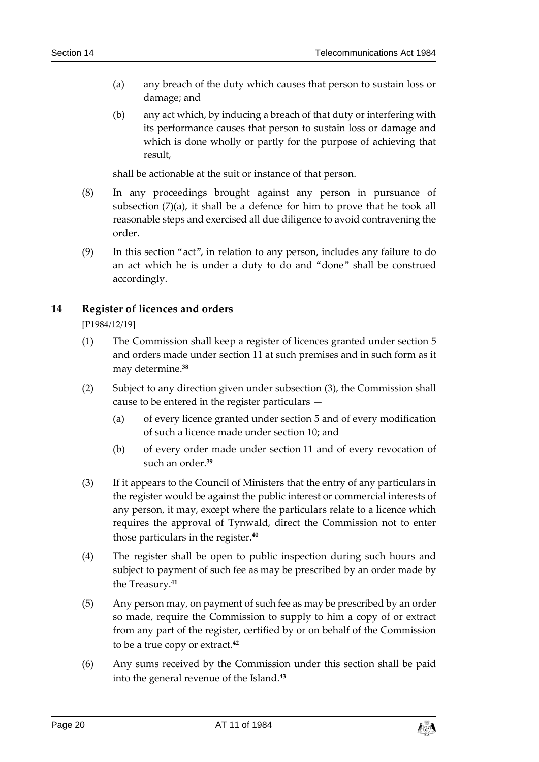- (a) any breach of the duty which causes that person to sustain loss or damage; and
- (b) any act which, by inducing a breach of that duty or interfering with its performance causes that person to sustain loss or damage and which is done wholly or partly for the purpose of achieving that result,

shall be actionable at the suit or instance of that person.

- (8) In any proceedings brought against any person in pursuance of subsection  $(7)(a)$ , it shall be a defence for him to prove that he took all reasonable steps and exercised all due diligence to avoid contravening the order.
- (9) In this section "act", in relation to any person, includes any failure to do an act which he is under a duty to do and "done" shall be construed accordingly.

### <span id="page-19-0"></span>**14 Register of licences and orders**

[P1984/12/19]

- (1) The Commission shall keep a register of licences granted under section 5 and orders made under section 11 at such premises and in such form as it may determine.**<sup>38</sup>**
- (2) Subject to any direction given under subsection (3), the Commission shall cause to be entered in the register particulars —
	- (a) of every licence granted under section 5 and of every modification of such a licence made under section 10; and
	- (b) of every order made under section 11 and of every revocation of such an order.**<sup>39</sup>**
- (3) If it appears to the Council of Ministers that the entry of any particulars in the register would be against the public interest or commercial interests of any person, it may, except where the particulars relate to a licence which requires the approval of Tynwald, direct the Commission not to enter those particulars in the register.**<sup>40</sup>**
- (4) The register shall be open to public inspection during such hours and subject to payment of such fee as may be prescribed by an order made by the Treasury.**<sup>41</sup>**
- (5) Any person may, on payment of such fee as may be prescribed by an order so made, require the Commission to supply to him a copy of or extract from any part of the register, certified by or on behalf of the Commission to be a true copy or extract.**<sup>42</sup>**
- (6) Any sums received by the Commission under this section shall be paid into the general revenue of the Island.**43**

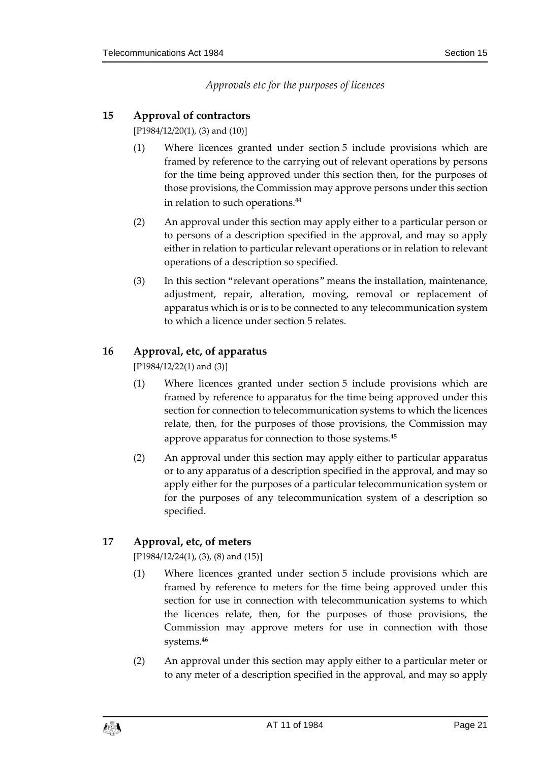*Approvals etc for the purposes of licences*

### <span id="page-20-1"></span><span id="page-20-0"></span>**15 Approval of contractors**

[P1984/12/20(1), (3) and (10)]

- (1) Where licences granted under section 5 include provisions which are framed by reference to the carrying out of relevant operations by persons for the time being approved under this section then, for the purposes of those provisions, the Commission may approve persons under this section in relation to such operations.**<sup>44</sup>**
- (2) An approval under this section may apply either to a particular person or to persons of a description specified in the approval, and may so apply either in relation to particular relevant operations or in relation to relevant operations of a description so specified.
- (3) In this section "relevant operations" means the installation, maintenance, adjustment, repair, alteration, moving, removal or replacement of apparatus which is or is to be connected to any telecommunication system to which a licence under section 5 relates.

### <span id="page-20-2"></span>**16 Approval, etc, of apparatus**

[P1984/12/22(1) and (3)]

- (1) Where licences granted under section 5 include provisions which are framed by reference to apparatus for the time being approved under this section for connection to telecommunication systems to which the licences relate, then, for the purposes of those provisions, the Commission may approve apparatus for connection to those systems.**<sup>45</sup>**
- (2) An approval under this section may apply either to particular apparatus or to any apparatus of a description specified in the approval, and may so apply either for the purposes of a particular telecommunication system or for the purposes of any telecommunication system of a description so specified.

### <span id="page-20-3"></span>**17 Approval, etc, of meters**

[P1984/12/24(1), (3), (8) and (15)]

- (1) Where licences granted under section 5 include provisions which are framed by reference to meters for the time being approved under this section for use in connection with telecommunication systems to which the licences relate, then, for the purposes of those provisions, the Commission may approve meters for use in connection with those systems.**<sup>46</sup>**
- (2) An approval under this section may apply either to a particular meter or to any meter of a description specified in the approval, and may so apply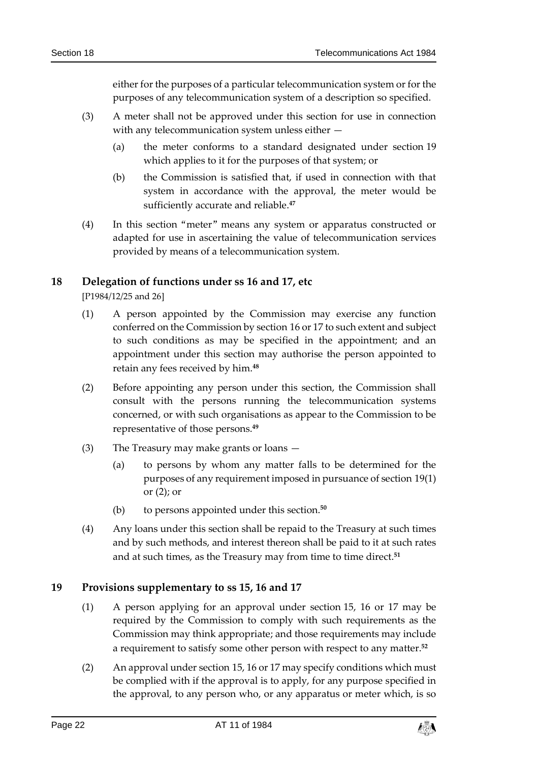either for the purposes of a particular telecommunication system or for the purposes of any telecommunication system of a description so specified.

- (3) A meter shall not be approved under this section for use in connection with any telecommunication system unless either —
	- (a) the meter conforms to a standard designated under section 19 which applies to it for the purposes of that system; or
	- (b) the Commission is satisfied that, if used in connection with that system in accordance with the approval, the meter would be sufficiently accurate and reliable.**<sup>47</sup>**
- (4) In this section "meter" means any system or apparatus constructed or adapted for use in ascertaining the value of telecommunication services provided by means of a telecommunication system.

### <span id="page-21-0"></span>**18 Delegation of functions under ss 16 and 17, etc**

[P1984/12/25 and 26]

- (1) A person appointed by the Commission may exercise any function conferred on the Commission by section 16 or 17 to such extent and subject to such conditions as may be specified in the appointment; and an appointment under this section may authorise the person appointed to retain any fees received by him.**<sup>48</sup>**
- (2) Before appointing any person under this section, the Commission shall consult with the persons running the telecommunication systems concerned, or with such organisations as appear to the Commission to be representative of those persons.**<sup>49</sup>**
- (3) The Treasury may make grants or loans
	- (a) to persons by whom any matter falls to be determined for the purposes of any requirement imposed in pursuance of section 19(1) or (2); or
	- (b) to persons appointed under this section.**<sup>50</sup>**
- (4) Any loans under this section shall be repaid to the Treasury at such times and by such methods, and interest thereon shall be paid to it at such rates and at such times, as the Treasury may from time to time direct.**<sup>51</sup>**

### <span id="page-21-1"></span>**19 Provisions supplementary to ss 15, 16 and 17**

- (1) A person applying for an approval under section 15, 16 or 17 may be required by the Commission to comply with such requirements as the Commission may think appropriate; and those requirements may include a requirement to satisfy some other person with respect to any matter.**<sup>52</sup>**
- (2) An approval under section 15, 16 or 17 may specify conditions which must be complied with if the approval is to apply, for any purpose specified in the approval, to any person who, or any apparatus or meter which, is so

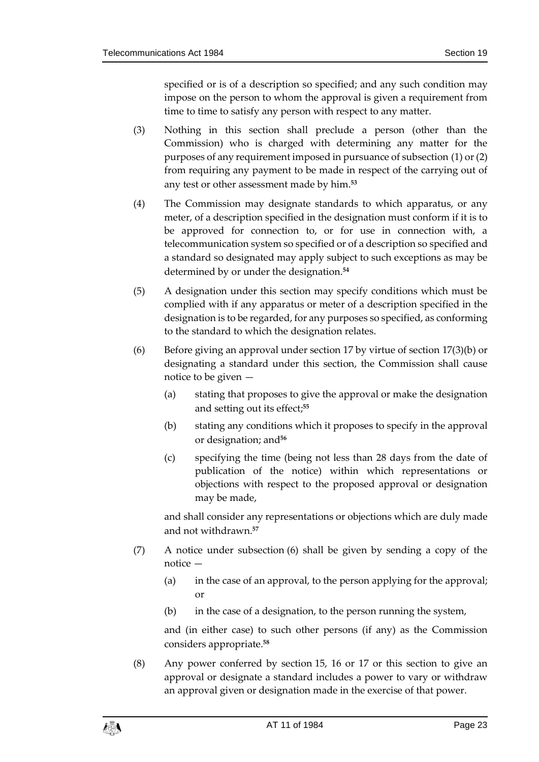specified or is of a description so specified; and any such condition may impose on the person to whom the approval is given a requirement from time to time to satisfy any person with respect to any matter.

- (3) Nothing in this section shall preclude a person (other than the Commission) who is charged with determining any matter for the purposes of any requirement imposed in pursuance of subsection (1) or (2) from requiring any payment to be made in respect of the carrying out of any test or other assessment made by him.**<sup>53</sup>**
- (4) The Commission may designate standards to which apparatus, or any meter, of a description specified in the designation must conform if it is to be approved for connection to, or for use in connection with, a telecommunication system so specified or of a description so specified and a standard so designated may apply subject to such exceptions as may be determined by or under the designation.**<sup>54</sup>**
- (5) A designation under this section may specify conditions which must be complied with if any apparatus or meter of a description specified in the designation is to be regarded, for any purposes so specified, as conforming to the standard to which the designation relates.
- (6) Before giving an approval under section 17 by virtue of section 17(3)(b) or designating a standard under this section, the Commission shall cause notice to be given —
	- (a) stating that proposes to give the approval or make the designation and setting out its effect;**<sup>55</sup>**
	- (b) stating any conditions which it proposes to specify in the approval or designation; and**<sup>56</sup>**
	- (c) specifying the time (being not less than 28 days from the date of publication of the notice) within which representations or objections with respect to the proposed approval or designation may be made,

and shall consider any representations or objections which are duly made and not withdrawn.**<sup>57</sup>**

- (7) A notice under subsection (6) shall be given by sending a copy of the notice —
	- (a) in the case of an approval, to the person applying for the approval; or
	- (b) in the case of a designation, to the person running the system,

and (in either case) to such other persons (if any) as the Commission considers appropriate.**<sup>58</sup>**

(8) Any power conferred by section 15, 16 or 17 or this section to give an approval or designate a standard includes a power to vary or withdraw an approval given or designation made in the exercise of that power.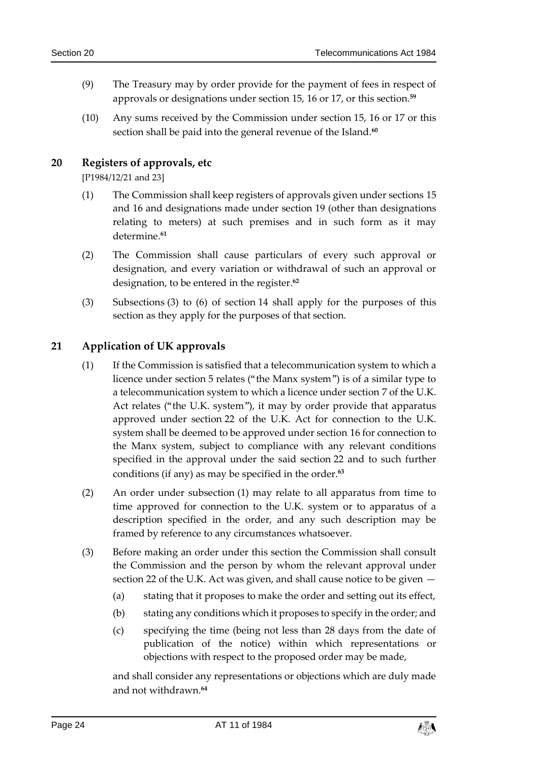- (9) The Treasury may by order provide for the payment of fees in respect of approvals or designations under section 15, 16 or 17, or this section.**<sup>59</sup>**
- (10) Any sums received by the Commission under section 15, 16 or 17 or this section shall be paid into the general revenue of the Island.**<sup>60</sup>**

### <span id="page-23-0"></span>**20 Registers of approvals, etc**

[P1984/12/21 and 23]

- (1) The Commission shall keep registers of approvals given under sections 15 and 16 and designations made under section 19 (other than designations relating to meters) at such premises and in such form as it may determine.**<sup>61</sup>**
- (2) The Commission shall cause particulars of every such approval or designation, and every variation or withdrawal of such an approval or designation, to be entered in the register.**<sup>62</sup>**
- (3) Subsections (3) to (6) of section 14 shall apply for the purposes of this section as they apply for the purposes of that section.

### <span id="page-23-1"></span>**21 Application of UK approvals**

- (1) If the Commission is satisfied that a telecommunication system to which a licence under section 5 relates ("the Manx system") is of a similar type to a telecommunication system to which a licence under section 7 of the U.K. Act relates ("the U.K. system"), it may by order provide that apparatus approved under section 22 of the U.K. Act for connection to the U.K. system shall be deemed to be approved under section 16 for connection to the Manx system, subject to compliance with any relevant conditions specified in the approval under the said section 22 and to such further conditions (if any) as may be specified in the order.**<sup>63</sup>**
- (2) An order under subsection (1) may relate to all apparatus from time to time approved for connection to the U.K. system or to apparatus of a description specified in the order, and any such description may be framed by reference to any circumstances whatsoever.
- (3) Before making an order under this section the Commission shall consult the Commission and the person by whom the relevant approval under section 22 of the U.K. Act was given, and shall cause notice to be given —
	- (a) stating that it proposes to make the order and setting out its effect,
	- (b) stating any conditions which it proposes to specify in the order; and
	- (c) specifying the time (being not less than 28 days from the date of publication of the notice) within which representations or objections with respect to the proposed order may be made,

and shall consider any representations or objections which are duly made and not withdrawn.**64**

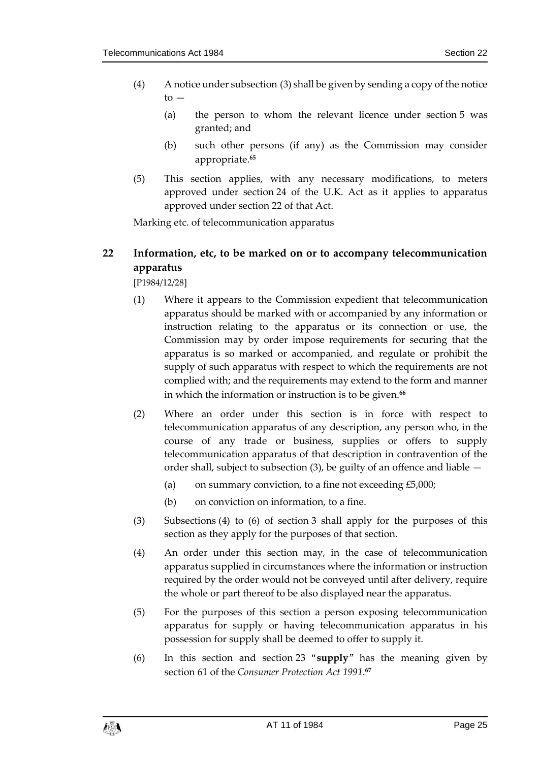- (4) A notice under subsection (3) shall be given by sending a copy of the notice  $to -$ 
	- (a) the person to whom the relevant licence under section 5 was granted; and
	- (b) such other persons (if any) as the Commission may consider appropriate.**<sup>65</sup>**
- (5) This section applies, with any necessary modifications, to meters approved under section 24 of the U.K. Act as it applies to apparatus approved under section 22 of that Act.

Marking etc. of telecommunication apparatus

### <span id="page-24-0"></span>**22 Information, etc, to be marked on or to accompany telecommunication apparatus**

[P1984/12/28]

- (1) Where it appears to the Commission expedient that telecommunication apparatus should be marked with or accompanied by any information or instruction relating to the apparatus or its connection or use, the Commission may by order impose requirements for securing that the apparatus is so marked or accompanied, and regulate or prohibit the supply of such apparatus with respect to which the requirements are not complied with; and the requirements may extend to the form and manner in which the information or instruction is to be given.**<sup>66</sup>**
- (2) Where an order under this section is in force with respect to telecommunication apparatus of any description, any person who, in the course of any trade or business, supplies or offers to supply telecommunication apparatus of that description in contravention of the order shall, subject to subsection (3), be guilty of an offence and liable —
	- (a) on summary conviction, to a fine not exceeding  $£5,000;$
	- (b) on conviction on information, to a fine.
- (3) Subsections (4) to (6) of section 3 shall apply for the purposes of this section as they apply for the purposes of that section.
- (4) An order under this section may, in the case of telecommunication apparatus supplied in circumstances where the information or instruction required by the order would not be conveyed until after delivery, require the whole or part thereof to be also displayed near the apparatus.
- (5) For the purposes of this section a person exposing telecommunication apparatus for supply or having telecommunication apparatus in his possession for supply shall be deemed to offer to supply it.
- (6) In this section and section 23 "**supply**" has the meaning given by section 61 of the *Consumer Protection Act 1991*. **67**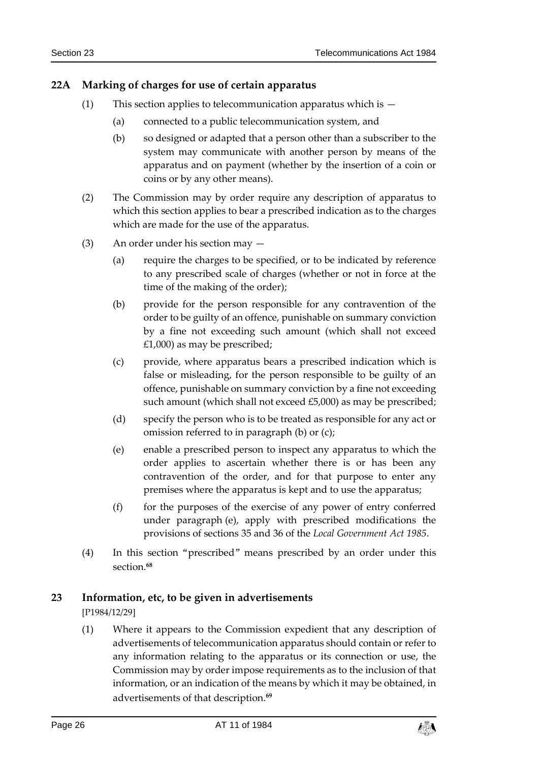### <span id="page-25-0"></span>**22A Marking of charges for use of certain apparatus**

- (1) This section applies to telecommunication apparatus which is  $-$ 
	- (a) connected to a public telecommunication system, and
	- (b) so designed or adapted that a person other than a subscriber to the system may communicate with another person by means of the apparatus and on payment (whether by the insertion of a coin or coins or by any other means).
- (2) The Commission may by order require any description of apparatus to which this section applies to bear a prescribed indication as to the charges which are made for the use of the apparatus.
- (3) An order under his section may
	- (a) require the charges to be specified, or to be indicated by reference to any prescribed scale of charges (whether or not in force at the time of the making of the order);
	- (b) provide for the person responsible for any contravention of the order to be guilty of an offence, punishable on summary conviction by a fine not exceeding such amount (which shall not exceed £1,000) as may be prescribed;
	- (c) provide, where apparatus bears a prescribed indication which is false or misleading, for the person responsible to be guilty of an offence, punishable on summary conviction by a fine not exceeding such amount (which shall not exceed £5,000) as may be prescribed;
	- (d) specify the person who is to be treated as responsible for any act or omission referred to in paragraph (b) or (c);
	- (e) enable a prescribed person to inspect any apparatus to which the order applies to ascertain whether there is or has been any contravention of the order, and for that purpose to enter any premises where the apparatus is kept and to use the apparatus;
	- (f) for the purposes of the exercise of any power of entry conferred under paragraph (e), apply with prescribed modifications the provisions of sections 35 and 36 of the *Local Government Act 1985*.
- (4) In this section "prescribed" means prescribed by an order under this section.**<sup>68</sup>**

### <span id="page-25-1"></span>**23 Information, etc, to be given in advertisements**

[P1984/12/29]

(1) Where it appears to the Commission expedient that any description of advertisements of telecommunication apparatus should contain or refer to any information relating to the apparatus or its connection or use, the Commission may by order impose requirements as to the inclusion of that information, or an indication of the means by which it may be obtained, in advertisements of that description.**69**

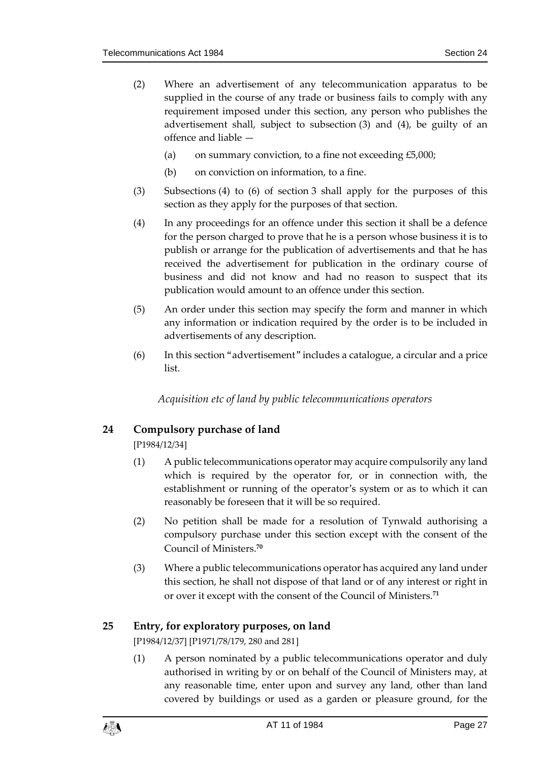- (2) Where an advertisement of any telecommunication apparatus to be supplied in the course of any trade or business fails to comply with any requirement imposed under this section, any person who publishes the advertisement shall, subject to subsection (3) and (4), be guilty of an offence and liable —
	- (a) on summary conviction, to a fine not exceeding  $£5,000;$
	- (b) on conviction on information, to a fine.
- (3) Subsections (4) to (6) of section 3 shall apply for the purposes of this section as they apply for the purposes of that section.
- (4) In any proceedings for an offence under this section it shall be a defence for the person charged to prove that he is a person whose business it is to publish or arrange for the publication of advertisements and that he has received the advertisement for publication in the ordinary course of business and did not know and had no reason to suspect that its publication would amount to an offence under this section.
- (5) An order under this section may specify the form and manner in which any information or indication required by the order is to be included in advertisements of any description.
- <span id="page-26-0"></span>(6) In this section "advertisement" includes a catalogue, a circular and a price list.

*Acquisition etc of land by public telecommunications operators*

### <span id="page-26-1"></span>**24 Compulsory purchase of land**

[P1984/12/34]

- (1) A public telecommunications operator may acquire compulsorily any land which is required by the operator for, or in connection with, the establishment or running of the operator's system or as to which it can reasonably be foreseen that it will be so required.
- (2) No petition shall be made for a resolution of Tynwald authorising a compulsory purchase under this section except with the consent of the Council of Ministers.**<sup>70</sup>**
- (3) Where a public telecommunications operator has acquired any land under this section, he shall not dispose of that land or of any interest or right in or over it except with the consent of the Council of Ministers.**<sup>71</sup>**

### <span id="page-26-2"></span>**25 Entry, for exploratory purposes, on land**

[P1984/12/37] [P1971/78/179, 280 and 281]

(1) A person nominated by a public telecommunications operator and duly authorised in writing by or on behalf of the Council of Ministers may, at any reasonable time, enter upon and survey any land, other than land covered by buildings or used as a garden or pleasure ground, for the

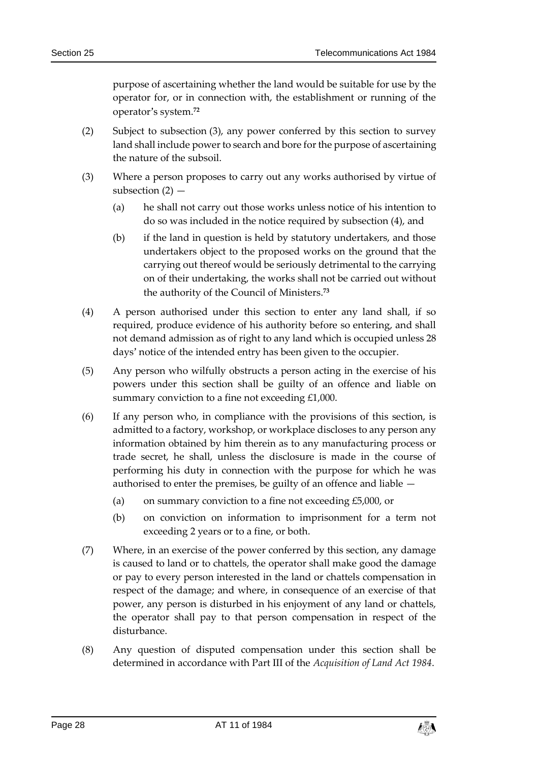purpose of ascertaining whether the land would be suitable for use by the operator for, or in connection with, the establishment or running of the operator's system.**<sup>72</sup>**

- (2) Subject to subsection (3), any power conferred by this section to survey land shall include power to search and bore for the purpose of ascertaining the nature of the subsoil.
- (3) Where a person proposes to carry out any works authorised by virtue of subsection  $(2)$  –
	- (a) he shall not carry out those works unless notice of his intention to do so was included in the notice required by subsection (4), and
	- (b) if the land in question is held by statutory undertakers, and those undertakers object to the proposed works on the ground that the carrying out thereof would be seriously detrimental to the carrying on of their undertaking, the works shall not be carried out without the authority of the Council of Ministers.**<sup>73</sup>**
- (4) A person authorised under this section to enter any land shall, if so required, produce evidence of his authority before so entering, and shall not demand admission as of right to any land which is occupied unless 28 days' notice of the intended entry has been given to the occupier.
- (5) Any person who wilfully obstructs a person acting in the exercise of his powers under this section shall be guilty of an offence and liable on summary conviction to a fine not exceeding £1,000.
- (6) If any person who, in compliance with the provisions of this section, is admitted to a factory, workshop, or workplace discloses to any person any information obtained by him therein as to any manufacturing process or trade secret, he shall, unless the disclosure is made in the course of performing his duty in connection with the purpose for which he was authorised to enter the premises, be guilty of an offence and liable —
	- (a) on summary conviction to a fine not exceeding  $£5,000$ , or
	- (b) on conviction on information to imprisonment for a term not exceeding 2 years or to a fine, or both.
- (7) Where, in an exercise of the power conferred by this section, any damage is caused to land or to chattels, the operator shall make good the damage or pay to every person interested in the land or chattels compensation in respect of the damage; and where, in consequence of an exercise of that power, any person is disturbed in his enjoyment of any land or chattels, the operator shall pay to that person compensation in respect of the disturbance.
- (8) Any question of disputed compensation under this section shall be determined in accordance with Part III of the *Acquisition of Land Act 1984*.

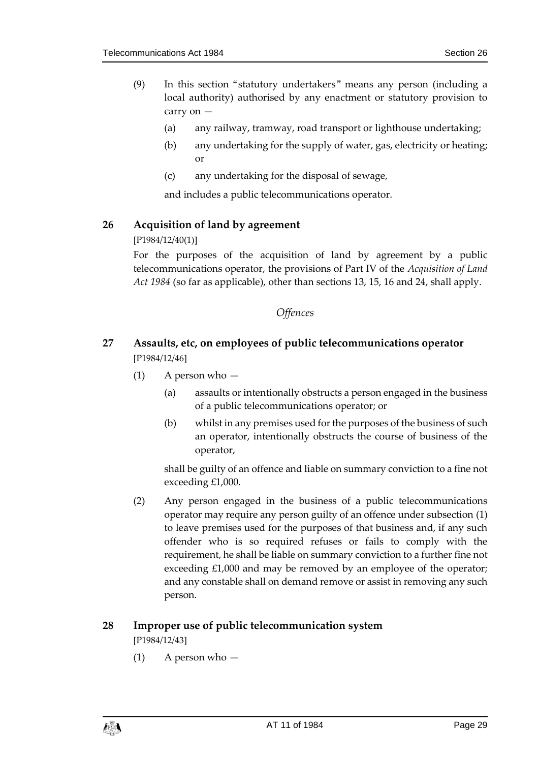- (9) In this section "statutory undertakers" means any person (including a local authority) authorised by any enactment or statutory provision to carry on —
	- (a) any railway, tramway, road transport or lighthouse undertaking;
	- (b) any undertaking for the supply of water, gas, electricity or heating; or
	- (c) any undertaking for the disposal of sewage,

and includes a public telecommunications operator.

### <span id="page-28-0"></span>**26 Acquisition of land by agreement**

[P1984/12/40(1)]

For the purposes of the acquisition of land by agreement by a public telecommunications operator, the provisions of Part IV of the *Acquisition of Land Act 1984* (so far as applicable), other than sections 13, 15, 16 and 24, shall apply.

### *Offences*

### <span id="page-28-2"></span><span id="page-28-1"></span>**27 Assaults, etc, on employees of public telecommunications operator** [P1984/12/46]

- (1) A person who
	- (a) assaults or intentionally obstructs a person engaged in the business of a public telecommunications operator; or
	- (b) whilst in any premises used for the purposes of the business of such an operator, intentionally obstructs the course of business of the operator,

shall be guilty of an offence and liable on summary conviction to a fine not exceeding £1,000.

(2) Any person engaged in the business of a public telecommunications operator may require any person guilty of an offence under subsection (1) to leave premises used for the purposes of that business and, if any such offender who is so required refuses or fails to comply with the requirement, he shall be liable on summary conviction to a further fine not exceeding £1,000 and may be removed by an employee of the operator; and any constable shall on demand remove or assist in removing any such person.

### <span id="page-28-3"></span>**28 Improper use of public telecommunication system** [P1984/12/43]

(1) A person who —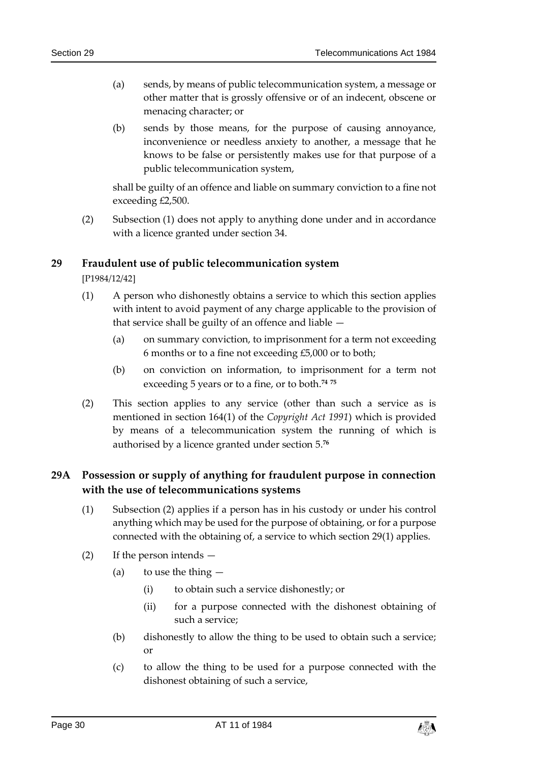- (a) sends, by means of public telecommunication system, a message or other matter that is grossly offensive or of an indecent, obscene or menacing character; or
- (b) sends by those means, for the purpose of causing annoyance, inconvenience or needless anxiety to another, a message that he knows to be false or persistently makes use for that purpose of a public telecommunication system,

shall be guilty of an offence and liable on summary conviction to a fine not exceeding £2,500.

(2) Subsection (1) does not apply to anything done under and in accordance with a licence granted under section 34.

### <span id="page-29-0"></span>**29 Fraudulent use of public telecommunication system**

[P1984/12/42]

- (1) A person who dishonestly obtains a service to which this section applies with intent to avoid payment of any charge applicable to the provision of that service shall be guilty of an offence and liable —
	- (a) on summary conviction, to imprisonment for a term not exceeding 6 months or to a fine not exceeding £5,000 or to both;
	- (b) on conviction on information, to imprisonment for a term not exceeding 5 years or to a fine, or to both.**<sup>74</sup> <sup>75</sup>**
- (2) This section applies to any service (other than such a service as is mentioned in section 164(1) of the *Copyright Act 1991*) which is provided by means of a telecommunication system the running of which is authorised by a licence granted under section 5.**<sup>76</sup>**

### <span id="page-29-1"></span>**29A Possession or supply of anything for fraudulent purpose in connection with the use of telecommunications systems**

- (1) Subsection (2) applies if a person has in his custody or under his control anything which may be used for the purpose of obtaining, or for a purpose connected with the obtaining of, a service to which section 29(1) applies.
- (2) If the person intends
	- (a) to use the thing  $-$ 
		- (i) to obtain such a service dishonestly; or
		- (ii) for a purpose connected with the dishonest obtaining of such a service;
	- (b) dishonestly to allow the thing to be used to obtain such a service; or
	- (c) to allow the thing to be used for a purpose connected with the dishonest obtaining of such a service,

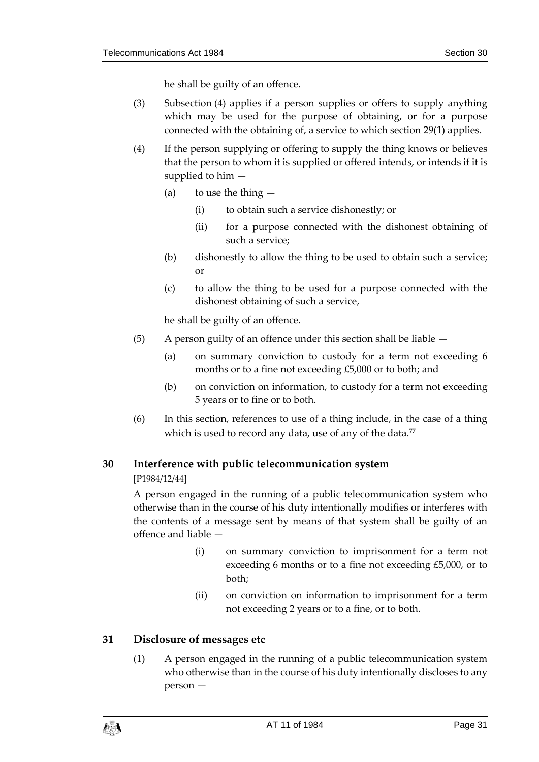he shall be guilty of an offence.

- (3) Subsection (4) applies if a person supplies or offers to supply anything which may be used for the purpose of obtaining, or for a purpose connected with the obtaining of, a service to which section 29(1) applies.
- (4) If the person supplying or offering to supply the thing knows or believes that the person to whom it is supplied or offered intends, or intends if it is supplied to him —
	- (a) to use the thing  $-$ 
		- (i) to obtain such a service dishonestly; or
		- (ii) for a purpose connected with the dishonest obtaining of such a service;
	- (b) dishonestly to allow the thing to be used to obtain such a service; or
	- (c) to allow the thing to be used for a purpose connected with the dishonest obtaining of such a service,

he shall be guilty of an offence.

- (5) A person guilty of an offence under this section shall be liable
	- (a) on summary conviction to custody for a term not exceeding 6 months or to a fine not exceeding £5,000 or to both; and
	- (b) on conviction on information, to custody for a term not exceeding 5 years or to fine or to both.
- (6) In this section, references to use of a thing include, in the case of a thing which is used to record any data, use of any of the data.**<sup>77</sup>**

### <span id="page-30-0"></span>**30 Interference with public telecommunication system**

[P1984/12/44]

A person engaged in the running of a public telecommunication system who otherwise than in the course of his duty intentionally modifies or interferes with the contents of a message sent by means of that system shall be guilty of an offence and liable —

- (i) on summary conviction to imprisonment for a term not exceeding 6 months or to a fine not exceeding £5,000, or to both;
- (ii) on conviction on information to imprisonment for a term not exceeding 2 years or to a fine, or to both.

### <span id="page-30-1"></span>**31 Disclosure of messages etc**

(1) A person engaged in the running of a public telecommunication system who otherwise than in the course of his duty intentionally discloses to any person —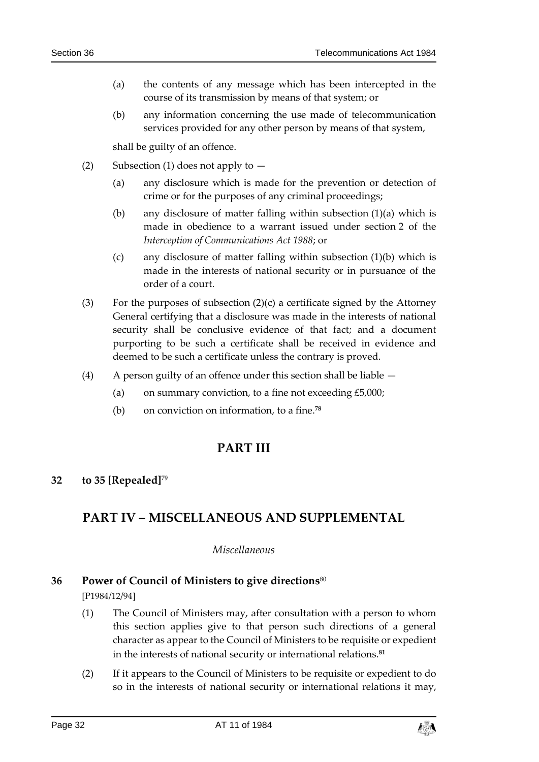- (a) the contents of any message which has been intercepted in the course of its transmission by means of that system; or
- (b) any information concerning the use made of telecommunication services provided for any other person by means of that system,

shall be guilty of an offence.

- (2) Subsection (1) does not apply to  $-$ 
	- (a) any disclosure which is made for the prevention or detection of crime or for the purposes of any criminal proceedings;
	- (b) any disclosure of matter falling within subsection (1)(a) which is made in obedience to a warrant issued under section 2 of the *Interception of Communications Act 1988*; or
	- (c) any disclosure of matter falling within subsection (1)(b) which is made in the interests of national security or in pursuance of the order of a court.
- (3) For the purposes of subsection  $(2)(c)$  a certificate signed by the Attorney General certifying that a disclosure was made in the interests of national security shall be conclusive evidence of that fact; and a document purporting to be such a certificate shall be received in evidence and deemed to be such a certificate unless the contrary is proved.
- (4) A person guilty of an offence under this section shall be liable
	- (a) on summary conviction, to a fine not exceeding  $£5,000;$
	- (b) on conviction on information, to a fine.**<sup>78</sup>**

### **PART III**

### <span id="page-31-2"></span><span id="page-31-1"></span><span id="page-31-0"></span>**32 to 35 [Repealed]**<sup>79</sup>

### <span id="page-31-3"></span>**PART IV – MISCELLANEOUS AND SUPPLEMENTAL**

#### *Miscellaneous*

### <span id="page-31-4"></span>**36 Power of Council of Ministers to give directions**<sup>80</sup>

[P1984/12/94]

- (1) The Council of Ministers may, after consultation with a person to whom this section applies give to that person such directions of a general character as appear to the Council of Ministers to be requisite or expedient in the interests of national security or international relations.**<sup>81</sup>**
- (2) If it appears to the Council of Ministers to be requisite or expedient to do so in the interests of national security or international relations it may,

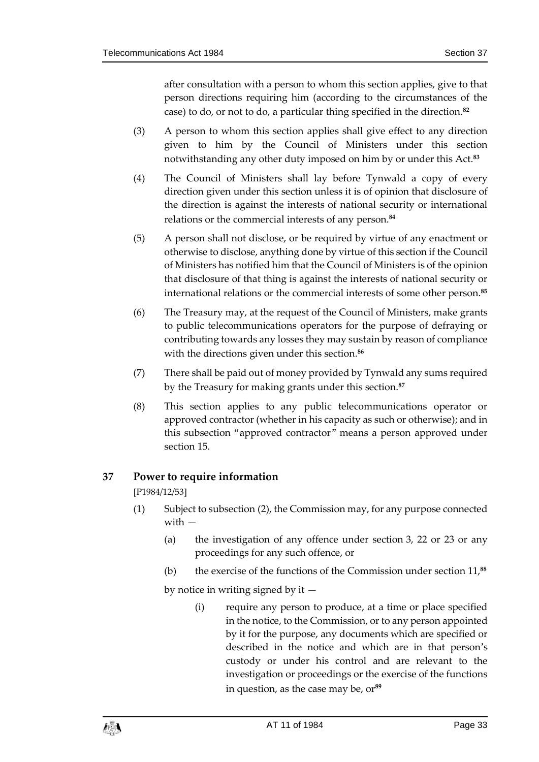after consultation with a person to whom this section applies, give to that person directions requiring him (according to the circumstances of the case) to do, or not to do, a particular thing specified in the direction.**<sup>82</sup>**

- (3) A person to whom this section applies shall give effect to any direction given to him by the Council of Ministers under this section notwithstanding any other duty imposed on him by or under this Act.**<sup>83</sup>**
- (4) The Council of Ministers shall lay before Tynwald a copy of every direction given under this section unless it is of opinion that disclosure of the direction is against the interests of national security or international relations or the commercial interests of any person.**<sup>84</sup>**
- (5) A person shall not disclose, or be required by virtue of any enactment or otherwise to disclose, anything done by virtue of this section if the Council of Ministers has notified him that the Council of Ministers is of the opinion that disclosure of that thing is against the interests of national security or international relations or the commercial interests of some other person.**<sup>85</sup>**
- (6) The Treasury may, at the request of the Council of Ministers, make grants to public telecommunications operators for the purpose of defraying or contributing towards any losses they may sustain by reason of compliance with the directions given under this section.**<sup>86</sup>**
- (7) There shall be paid out of money provided by Tynwald any sums required by the Treasury for making grants under this section.**<sup>87</sup>**
- (8) This section applies to any public telecommunications operator or approved contractor (whether in his capacity as such or otherwise); and in this subsection "approved contractor" means a person approved under section 15.

### <span id="page-32-0"></span>**37 Power to require information**

[P1984/12/53]

- (1) Subject to subsection (2), the Commission may, for any purpose connected with —
	- (a) the investigation of any offence under section 3, 22 or 23 or any proceedings for any such offence, or
	- (b) the exercise of the functions of the Commission under section 11,**<sup>88</sup>**

by notice in writing signed by it  $-$ 

(i) require any person to produce, at a time or place specified in the notice, to the Commission, or to any person appointed by it for the purpose, any documents which are specified or described in the notice and which are in that person's custody or under his control and are relevant to the investigation or proceedings or the exercise of the functions in question, as the case may be, or**89**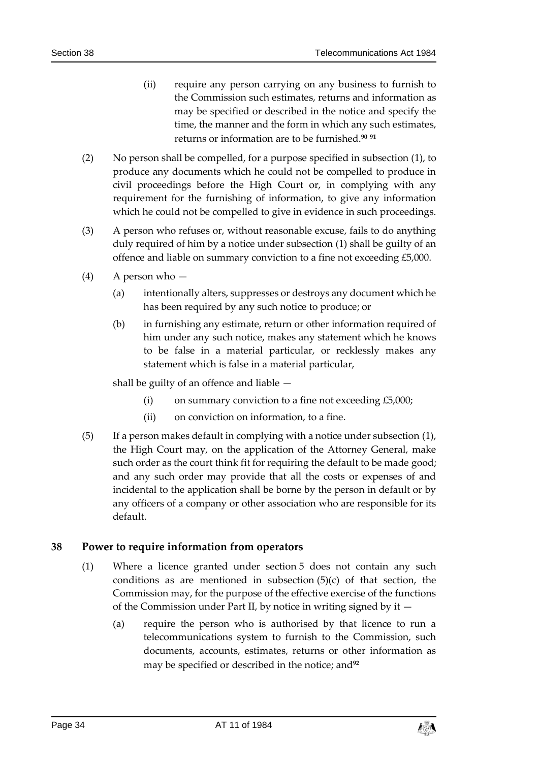- (ii) require any person carrying on any business to furnish to the Commission such estimates, returns and information as may be specified or described in the notice and specify the time, the manner and the form in which any such estimates, returns or information are to be furnished.**<sup>90</sup> <sup>91</sup>**
- (2) No person shall be compelled, for a purpose specified in subsection (1), to produce any documents which he could not be compelled to produce in civil proceedings before the High Court or, in complying with any requirement for the furnishing of information, to give any information which he could not be compelled to give in evidence in such proceedings.
- (3) A person who refuses or, without reasonable excuse, fails to do anything duly required of him by a notice under subsection (1) shall be guilty of an offence and liable on summary conviction to a fine not exceeding £5,000.
- (4) A person who
	- (a) intentionally alters, suppresses or destroys any document which he has been required by any such notice to produce; or
	- (b) in furnishing any estimate, return or other information required of him under any such notice, makes any statement which he knows to be false in a material particular, or recklessly makes any statement which is false in a material particular,

shall be guilty of an offence and liable —

- (i) on summary conviction to a fine not exceeding £5,000;
- (ii) on conviction on information, to a fine.
- (5) If a person makes default in complying with a notice under subsection (1), the High Court may, on the application of the Attorney General, make such order as the court think fit for requiring the default to be made good; and any such order may provide that all the costs or expenses of and incidental to the application shall be borne by the person in default or by any officers of a company or other association who are responsible for its default.

### <span id="page-33-0"></span>**38 Power to require information from operators**

- (1) Where a licence granted under section 5 does not contain any such conditions as are mentioned in subsection  $(5)(c)$  of that section, the Commission may, for the purpose of the effective exercise of the functions of the Commission under Part II, by notice in writing signed by it —
	- (a) require the person who is authorised by that licence to run a telecommunications system to furnish to the Commission, such documents, accounts, estimates, returns or other information as may be specified or described in the notice; and**92**

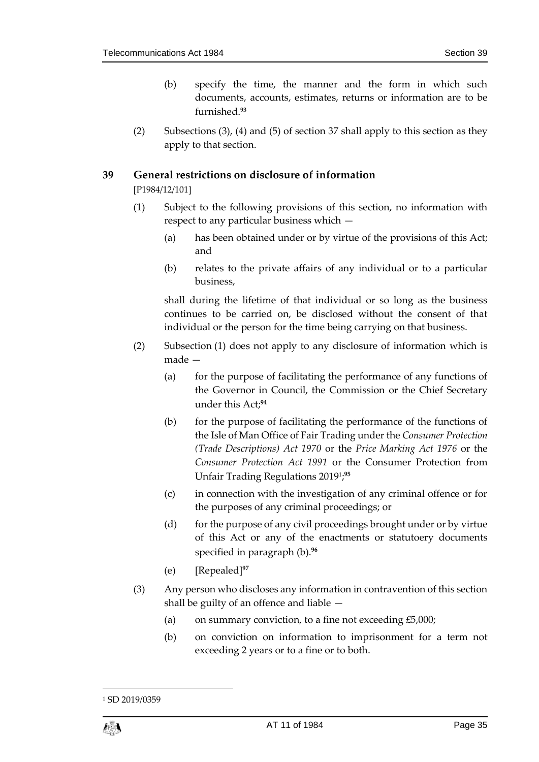- (b) specify the time, the manner and the form in which such documents, accounts, estimates, returns or information are to be furnished.**<sup>93</sup>**
- (2) Subsections (3), (4) and (5) of section 37 shall apply to this section as they apply to that section.

#### <span id="page-34-0"></span>**39 General restrictions on disclosure of information**

[P1984/12/101]

- (1) Subject to the following provisions of this section, no information with respect to any particular business which —
	- (a) has been obtained under or by virtue of the provisions of this Act; and
	- (b) relates to the private affairs of any individual or to a particular business,

shall during the lifetime of that individual or so long as the business continues to be carried on, be disclosed without the consent of that individual or the person for the time being carrying on that business.

- (2) Subsection (1) does not apply to any disclosure of information which is made —
	- (a) for the purpose of facilitating the performance of any functions of the Governor in Council, the Commission or the Chief Secretary under this Act;**<sup>94</sup>**
	- (b) for the purpose of facilitating the performance of the functions of the Isle of Man Office of Fair Trading under the *Consumer Protection (Trade Descriptions) Act 1970* or the *Price Marking Act 1976* or the *Consumer Protection Act 1991* or the Consumer Protection from Unfair Trading Regulations 2019<sup>1</sup> ; **95**
	- (c) in connection with the investigation of any criminal offence or for the purposes of any criminal proceedings; or
	- (d) for the purpose of any civil proceedings brought under or by virtue of this Act or any of the enactments or statutoery documents specified in paragraph (b). **96**
	- (e) [Repealed]**<sup>97</sup>**
- (3) Any person who discloses any information in contravention of this section shall be guilty of an offence and liable —
	- (a) on summary conviction, to a fine not exceeding  $£5,000;$
	- (b) on conviction on information to imprisonment for a term not exceeding 2 years or to a fine or to both.

1

<sup>1</sup> SD 2019/0359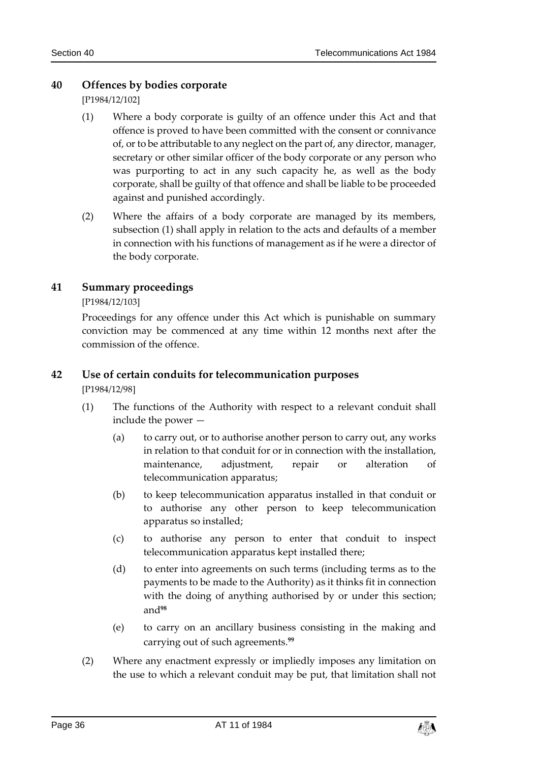### <span id="page-35-0"></span>**40 Offences by bodies corporate**

[P1984/12/102]

- (1) Where a body corporate is guilty of an offence under this Act and that offence is proved to have been committed with the consent or connivance of, or to be attributable to any neglect on the part of, any director, manager, secretary or other similar officer of the body corporate or any person who was purporting to act in any such capacity he, as well as the body corporate, shall be guilty of that offence and shall be liable to be proceeded against and punished accordingly.
- (2) Where the affairs of a body corporate are managed by its members, subsection (1) shall apply in relation to the acts and defaults of a member in connection with his functions of management as if he were a director of the body corporate.

### <span id="page-35-1"></span>**41 Summary proceedings**

#### [P1984/12/103]

Proceedings for any offence under this Act which is punishable on summary conviction may be commenced at any time within 12 months next after the commission of the offence.

#### <span id="page-35-2"></span>**42 Use of certain conduits for telecommunication purposes**

[P1984/12/98]

- (1) The functions of the Authority with respect to a relevant conduit shall include the power —
	- (a) to carry out, or to authorise another person to carry out, any works in relation to that conduit for or in connection with the installation, maintenance, adjustment, repair or alteration of telecommunication apparatus;
	- (b) to keep telecommunication apparatus installed in that conduit or to authorise any other person to keep telecommunication apparatus so installed;
	- (c) to authorise any person to enter that conduit to inspect telecommunication apparatus kept installed there;
	- (d) to enter into agreements on such terms (including terms as to the payments to be made to the Authority) as it thinks fit in connection with the doing of anything authorised by or under this section; and**<sup>98</sup>**
	- (e) to carry on an ancillary business consisting in the making and carrying out of such agreements.**<sup>99</sup>**
- (2) Where any enactment expressly or impliedly imposes any limitation on the use to which a relevant conduit may be put, that limitation shall not

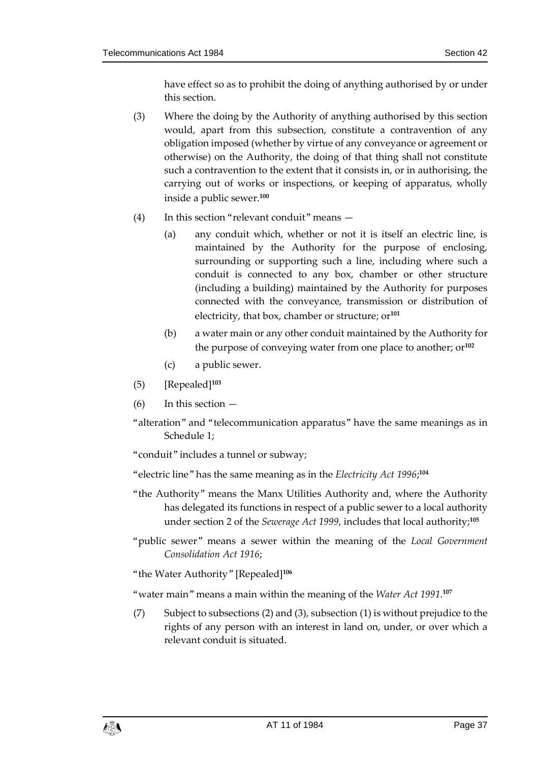have effect so as to prohibit the doing of anything authorised by or under this section.

- (3) Where the doing by the Authority of anything authorised by this section would, apart from this subsection, constitute a contravention of any obligation imposed (whether by virtue of any conveyance or agreement or otherwise) on the Authority, the doing of that thing shall not constitute such a contravention to the extent that it consists in, or in authorising, the carrying out of works or inspections, or keeping of apparatus, wholly inside a public sewer.**<sup>100</sup>**
- (4) In this section "relevant conduit" means
	- (a) any conduit which, whether or not it is itself an electric line, is maintained by the Authority for the purpose of enclosing, surrounding or supporting such a line, including where such a conduit is connected to any box, chamber or other structure (including a building) maintained by the Authority for purposes connected with the conveyance, transmission or distribution of electricity, that box, chamber or structure; or**<sup>101</sup>**
	- (b) a water main or any other conduit maintained by the Authority for the purpose of conveying water from one place to another; or**<sup>102</sup>**
	- (c) a public sewer.
- (5) [Repealed]**<sup>103</sup>**
- $(6)$  In this section  $-$
- "alteration" and "telecommunication apparatus" have the same meanings as in Schedule 1;

"conduit" includes a tunnel or subway;

"electric line" has the same meaning as in the *Electricity Act 1996*; **104**

- "the Authority" means the Manx Utilities Authority and, where the Authority has delegated its functions in respect of a public sewer to a local authority under section 2 of the *Sewerage Act 1999*, includes that local authority;**<sup>105</sup>**
- "public sewer" means a sewer within the meaning of the *Local Government Consolidation Act 1916*;
- "the Water Authority" [Repealed]**<sup>106</sup>**

"water main" means a main within the meaning of the *Water Act 1991*. **107**

(7) Subject to subsections (2) and (3), subsection (1) is without prejudice to the rights of any person with an interest in land on, under, or over which a relevant conduit is situated.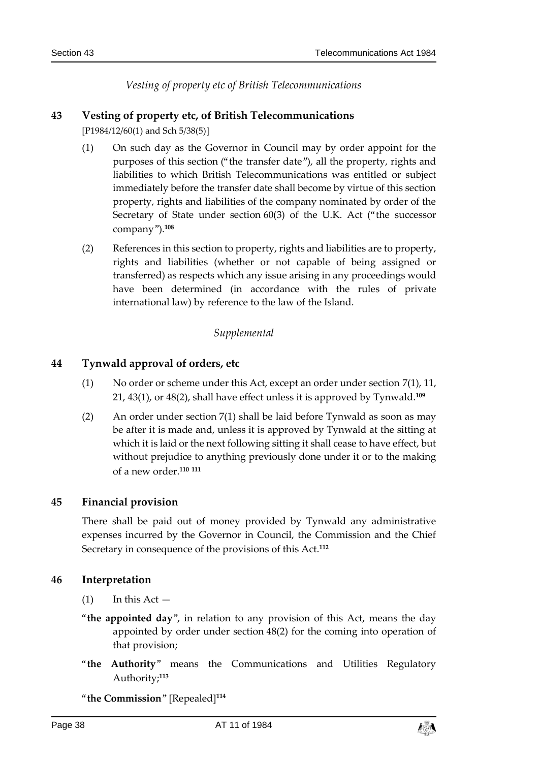*Vesting of property etc of British Telecommunications*

## **43 Vesting of property etc, of British Telecommunications**

[P1984/12/60(1) and Sch 5/38(5)]

- (1) On such day as the Governor in Council may by order appoint for the purposes of this section ("the transfer date"), all the property, rights and liabilities to which British Telecommunications was entitled or subject immediately before the transfer date shall become by virtue of this section property, rights and liabilities of the company nominated by order of the Secretary of State under section 60(3) of the U.K. Act ("the successor company").**<sup>108</sup>**
- (2) References in this section to property, rights and liabilities are to property, rights and liabilities (whether or not capable of being assigned or transferred) as respects which any issue arising in any proceedings would have been determined (in accordance with the rules of private international law) by reference to the law of the Island.

#### *Supplemental*

#### **44 Tynwald approval of orders, etc**

- (1) No order or scheme under this Act, except an order under section 7(1), 11, 21, 43(1), or 48(2), shall have effect unless it is approved by Tynwald.**<sup>109</sup>**
- (2) An order under section 7(1) shall be laid before Tynwald as soon as may be after it is made and, unless it is approved by Tynwald at the sitting at which it is laid or the next following sitting it shall cease to have effect, but without prejudice to anything previously done under it or to the making of a new order.**<sup>110</sup> <sup>111</sup>**

## **45 Financial provision**

There shall be paid out of money provided by Tynwald any administrative expenses incurred by the Governor in Council, the Commission and the Chief Secretary in consequence of the provisions of this Act.**<sup>112</sup>**

#### **46 Interpretation**

- $(1)$  In this Act —
- "**the appointed day**", in relation to any provision of this Act, means the day appointed by order under section 48(2) for the coming into operation of that provision;
- "**the Authority**" means the Communications and Utilities Regulatory Authority;**<sup>113</sup>**

"**the Commission**" [Repealed]**114**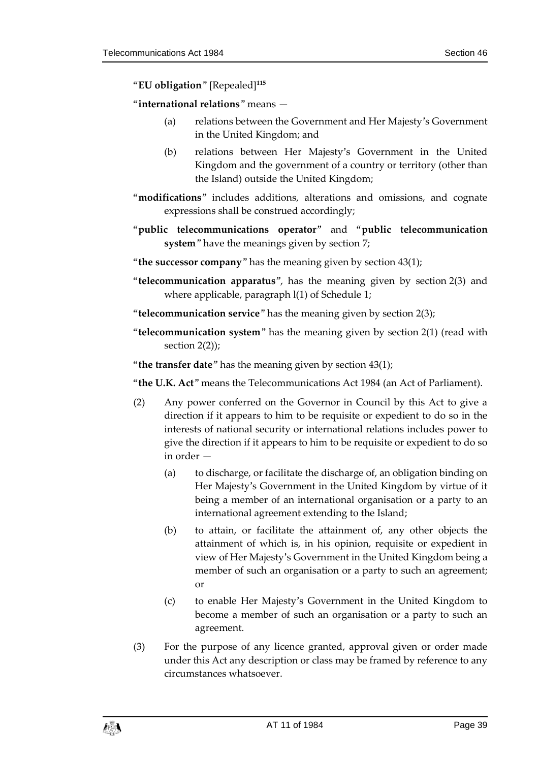## "**EU obligation**" [Repealed]**<sup>115</sup>**

#### "**international relations**" means —

- (a) relations between the Government and Her Majesty's Government in the United Kingdom; and
- (b) relations between Her Majesty's Government in the United Kingdom and the government of a country or territory (other than the Island) outside the United Kingdom;
- "**modifications**" includes additions, alterations and omissions, and cognate expressions shall be construed accordingly;
- "**public telecommunications operator**" and "**public telecommunication system**" have the meanings given by section 7;
- "**the successor company**" has the meaning given by section 43(1);
- "**telecommunication apparatus**", has the meaning given by section 2(3) and where applicable, paragraph l(1) of Schedule 1;
- "**telecommunication service**" has the meaning given by section 2(3);
- "**telecommunication system**" has the meaning given by section 2(1) (read with section 2(2));
- "**the transfer date**" has the meaning given by section 43(1);

"**the U.K. Act**" means the Telecommunications Act 1984 (an Act of Parliament).

- (2) Any power conferred on the Governor in Council by this Act to give a direction if it appears to him to be requisite or expedient to do so in the interests of national security or international relations includes power to give the direction if it appears to him to be requisite or expedient to do so in order
	- (a) to discharge, or facilitate the discharge of, an obligation binding on Her Majesty's Government in the United Kingdom by virtue of it being a member of an international organisation or a party to an international agreement extending to the Island;
	- (b) to attain, or facilitate the attainment of, any other objects the attainment of which is, in his opinion, requisite or expedient in view of Her Majesty's Government in the United Kingdom being a member of such an organisation or a party to such an agreement; or
	- (c) to enable Her Majesty's Government in the United Kingdom to become a member of such an organisation or a party to such an agreement.
- (3) For the purpose of any licence granted, approval given or order made under this Act any description or class may be framed by reference to any circumstances whatsoever.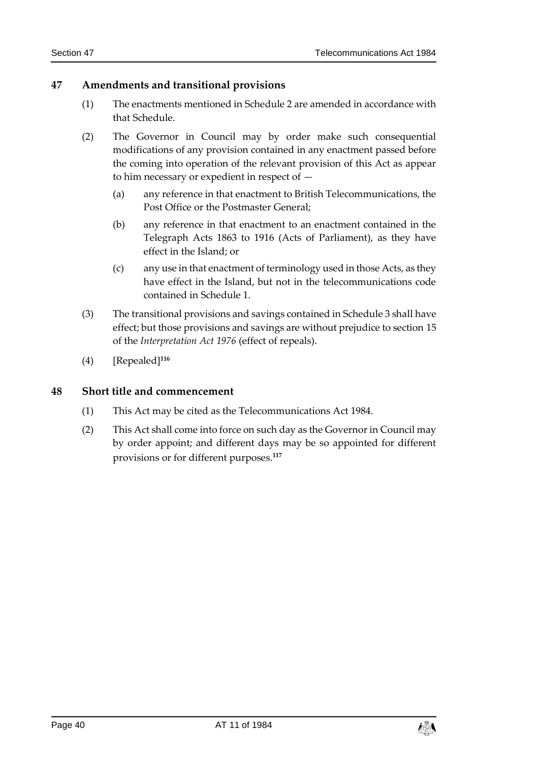## **47 Amendments and transitional provisions**

- (1) The enactments mentioned in Schedule 2 are amended in accordance with that Schedule.
- (2) The Governor in Council may by order make such consequential modifications of any provision contained in any enactment passed before the coming into operation of the relevant provision of this Act as appear to him necessary or expedient in respect of —
	- (a) any reference in that enactment to British Telecommunications, the Post Office or the Postmaster General;
	- (b) any reference in that enactment to an enactment contained in the Telegraph Acts 1863 to 1916 (Acts of Parliament), as they have effect in the Island; or
	- (c) any use in that enactment of terminology used in those Acts, as they have effect in the Island, but not in the telecommunications code contained in Schedule 1.
- (3) The transitional provisions and savings contained in Schedule 3 shall have effect; but those provisions and savings are without prejudice to section 15 of the *Interpretation Act 1976* (effect of repeals).
- (4) [Repealed]**<sup>116</sup>**

## **48 Short title and commencement**

- (1) This Act may be cited as the Telecommunications Act 1984.
- (2) This Act shall come into force on such day as the Governor in Council may by order appoint; and different days may be so appointed for different provisions or for different purposes.**117**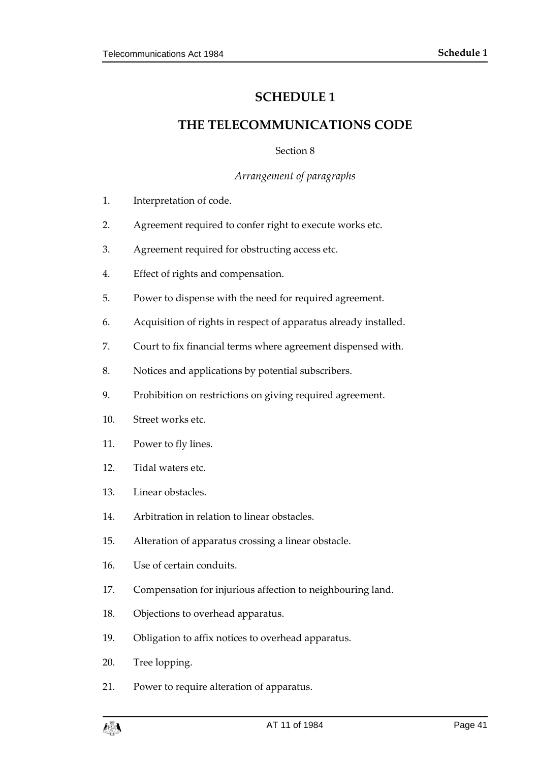# **SCHEDULE 1**

# **THE TELECOMMUNICATIONS CODE**

Section 8

*Arrangement of paragraphs*

- 1. Interpretation of code.
- 2. Agreement required to confer right to execute works etc.
- 3. Agreement required for obstructing access etc.
- 4. Effect of rights and compensation.
- 5. Power to dispense with the need for required agreement.
- 6. Acquisition of rights in respect of apparatus already installed.
- 7. Court to fix financial terms where agreement dispensed with.
- 8. Notices and applications by potential subscribers.
- 9. Prohibition on restrictions on giving required agreement.
- 10. Street works etc.
- 11. Power to fly lines.
- 12. Tidal waters etc.
- 13. Linear obstacles.
- 14. Arbitration in relation to linear obstacles.
- 15. Alteration of apparatus crossing a linear obstacle.
- 16. Use of certain conduits.
- 17. Compensation for injurious affection to neighbouring land.
- 18. Objections to overhead apparatus.
- 19. Obligation to affix notices to overhead apparatus.
- 20. Tree lopping.
- 21. Power to require alteration of apparatus.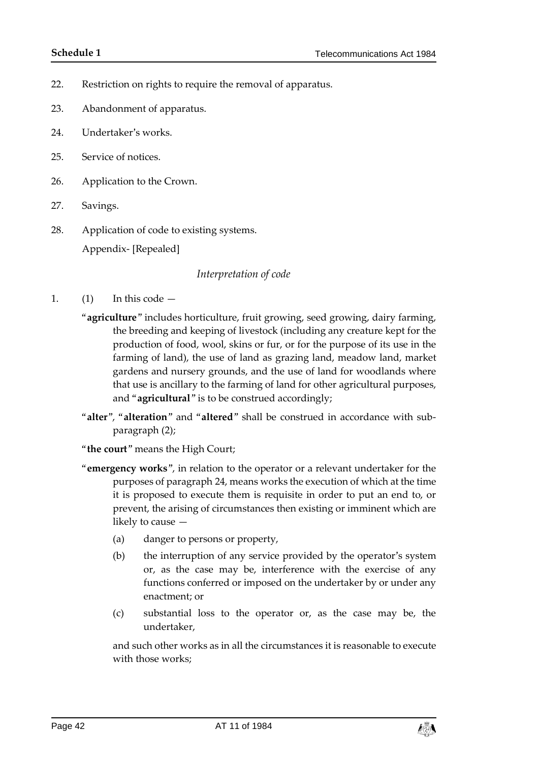- 22. Restriction on rights to require the removal of apparatus.
- 23. Abandonment of apparatus.
- 24. Undertaker's works.
- 25. Service of notices.
- 26. Application to the Crown.
- 27. Savings.
- 28. Application of code to existing systems. Appendix- [Repealed]

#### *Interpretation of code*

- 1.  $(1)$  In this code  $-$ 
	- "**agriculture**" includes horticulture, fruit growing, seed growing, dairy farming, the breeding and keeping of livestock (including any creature kept for the production of food, wool, skins or fur, or for the purpose of its use in the farming of land), the use of land as grazing land, meadow land, market gardens and nursery grounds, and the use of land for woodlands where that use is ancillary to the farming of land for other agricultural purposes, and "**agricultural**" is to be construed accordingly;
	- "**alter**", "**alteration**" and "**altered**" shall be construed in accordance with subparagraph (2);
	- "**the court**" means the High Court;
	- "**emergency works**", in relation to the operator or a relevant undertaker for the purposes of paragraph 24, means works the execution of which at the time it is proposed to execute them is requisite in order to put an end to, or prevent, the arising of circumstances then existing or imminent which are likely to cause —
		- (a) danger to persons or property,
		- (b) the interruption of any service provided by the operator's system or, as the case may be, interference with the exercise of any functions conferred or imposed on the undertaker by or under any enactment; or
		- (c) substantial loss to the operator or, as the case may be, the undertaker,

and such other works as in all the circumstances it is reasonable to execute with those works;

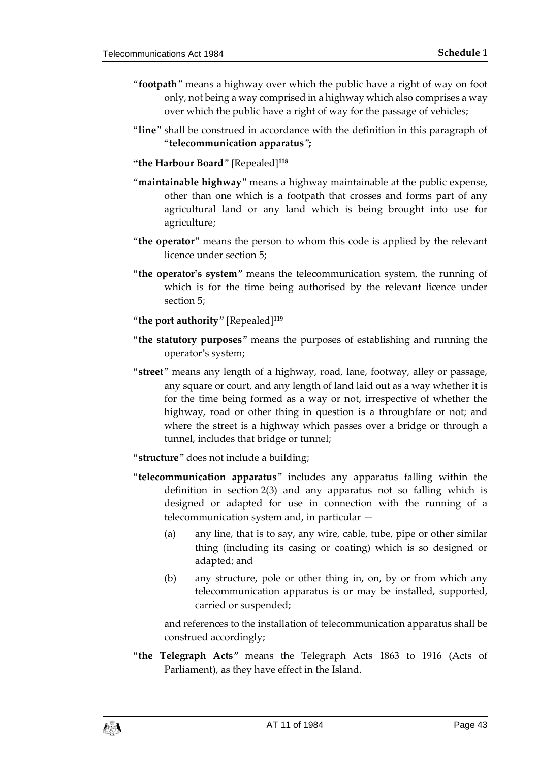- "**footpath**" means a highway over which the public have a right of way on foot only, not being a way comprised in a highway which also comprises a way over which the public have a right of way for the passage of vehicles;
- "**line**" shall be construed in accordance with the definition in this paragraph of "**telecommunication apparatus**"**;**
- **"the Harbour Board**" [Repealed]**<sup>118</sup>**
- "**maintainable highway**" means a highway maintainable at the public expense, other than one which is a footpath that crosses and forms part of any agricultural land or any land which is being brought into use for agriculture;
- "**the operator**" means the person to whom this code is applied by the relevant licence under section 5;
- "**the operator's system**" means the telecommunication system, the running of which is for the time being authorised by the relevant licence under section 5;
- "**the port authority**" [Repealed]**<sup>119</sup>**
- "**the statutory purposes**" means the purposes of establishing and running the operator's system;
- "**street**" means any length of a highway, road, lane, footway, alley or passage, any square or court, and any length of land laid out as a way whether it is for the time being formed as a way or not, irrespective of whether the highway, road or other thing in question is a throughfare or not; and where the street is a highway which passes over a bridge or through a tunnel, includes that bridge or tunnel;
- "**structure**" does not include a building;
- "**telecommunication apparatus**" includes any apparatus falling within the definition in section 2(3) and any apparatus not so falling which is designed or adapted for use in connection with the running of a telecommunication system and, in particular —
	- (a) any line, that is to say, any wire, cable, tube, pipe or other similar thing (including its casing or coating) which is so designed or adapted; and
	- (b) any structure, pole or other thing in, on, by or from which any telecommunication apparatus is or may be installed, supported, carried or suspended;

and references to the installation of telecommunication apparatus shall be construed accordingly;

"**the Telegraph Acts**" means the Telegraph Acts 1863 to 1916 (Acts of Parliament), as they have effect in the Island.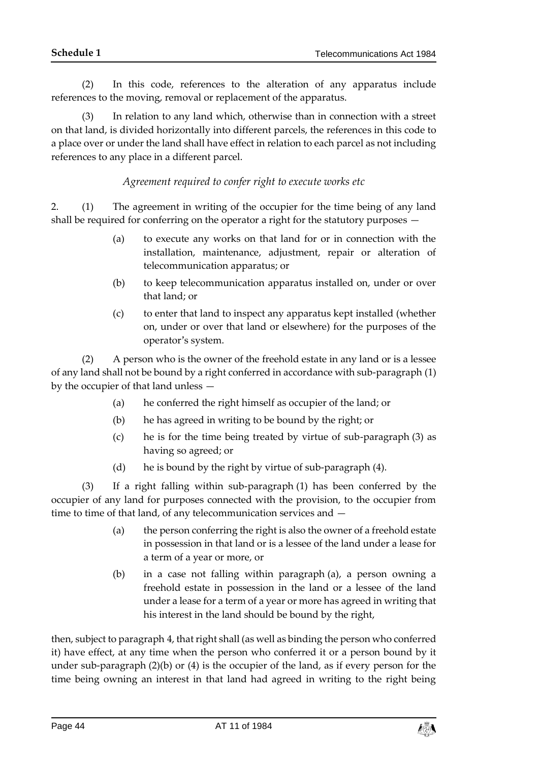(2) In this code, references to the alteration of any apparatus include references to the moving, removal or replacement of the apparatus.

(3) In relation to any land which, otherwise than in connection with a street on that land, is divided horizontally into different parcels, the references in this code to a place over or under the land shall have effect in relation to each parcel as not including references to any place in a different parcel.

*Agreement required to confer right to execute works etc*

2. (1) The agreement in writing of the occupier for the time being of any land shall be required for conferring on the operator a right for the statutory purposes —

- (a) to execute any works on that land for or in connection with the installation, maintenance, adjustment, repair or alteration of telecommunication apparatus; or
- (b) to keep telecommunication apparatus installed on, under or over that land; or
- (c) to enter that land to inspect any apparatus kept installed (whether on, under or over that land or elsewhere) for the purposes of the operator's system.

(2) A person who is the owner of the freehold estate in any land or is a lessee of any land shall not be bound by a right conferred in accordance with sub-paragraph (1) by the occupier of that land unless —

- (a) he conferred the right himself as occupier of the land; or
- (b) he has agreed in writing to be bound by the right; or
- (c) he is for the time being treated by virtue of sub-paragraph (3) as having so agreed; or
- (d) he is bound by the right by virtue of sub-paragraph (4).

(3) If a right falling within sub-paragraph (1) has been conferred by the occupier of any land for purposes connected with the provision, to the occupier from time to time of that land, of any telecommunication services and —

- (a) the person conferring the right is also the owner of a freehold estate in possession in that land or is a lessee of the land under a lease for a term of a year or more, or
- (b) in a case not falling within paragraph (a), a person owning a freehold estate in possession in the land or a lessee of the land under a lease for a term of a year or more has agreed in writing that his interest in the land should be bound by the right,

then, subject to paragraph 4, that right shall (as well as binding the person who conferred it) have effect, at any time when the person who conferred it or a person bound by it under sub-paragraph (2)(b) or (4) is the occupier of the land, as if every person for the time being owning an interest in that land had agreed in writing to the right being

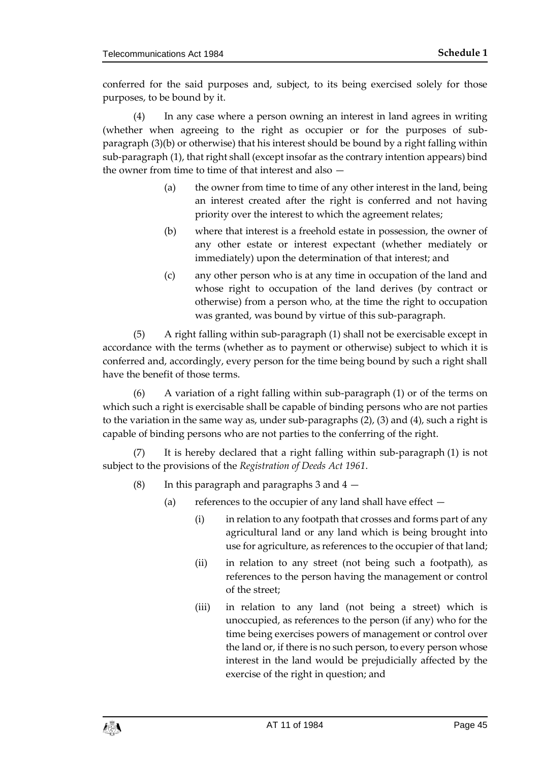conferred for the said purposes and, subject, to its being exercised solely for those purposes, to be bound by it.

(4) In any case where a person owning an interest in land agrees in writing (whether when agreeing to the right as occupier or for the purposes of subparagraph (3)(b) or otherwise) that his interest should be bound by a right falling within sub-paragraph (1), that right shall (except insofar as the contrary intention appears) bind the owner from time to time of that interest and also —

- (a) the owner from time to time of any other interest in the land, being an interest created after the right is conferred and not having priority over the interest to which the agreement relates;
- (b) where that interest is a freehold estate in possession, the owner of any other estate or interest expectant (whether mediately or immediately) upon the determination of that interest; and
- (c) any other person who is at any time in occupation of the land and whose right to occupation of the land derives (by contract or otherwise) from a person who, at the time the right to occupation was granted, was bound by virtue of this sub-paragraph.

(5) A right falling within sub-paragraph (1) shall not be exercisable except in accordance with the terms (whether as to payment or otherwise) subject to which it is conferred and, accordingly, every person for the time being bound by such a right shall have the benefit of those terms.

(6) A variation of a right falling within sub-paragraph (1) or of the terms on which such a right is exercisable shall be capable of binding persons who are not parties to the variation in the same way as, under sub-paragraphs (2), (3) and (4), such a right is capable of binding persons who are not parties to the conferring of the right.

(7) It is hereby declared that a right falling within sub-paragraph (1) is not subject to the provisions of the *Registration of Deeds Act 1961*.

- (8) In this paragraph and paragraphs 3 and  $4 -$ 
	- (a) references to the occupier of any land shall have effect
		- (i) in relation to any footpath that crosses and forms part of any agricultural land or any land which is being brought into use for agriculture, as references to the occupier of that land;
		- (ii) in relation to any street (not being such a footpath), as references to the person having the management or control of the street;
		- (iii) in relation to any land (not being a street) which is unoccupied, as references to the person (if any) who for the time being exercises powers of management or control over the land or, if there is no such person, to every person whose interest in the land would be prejudicially affected by the exercise of the right in question; and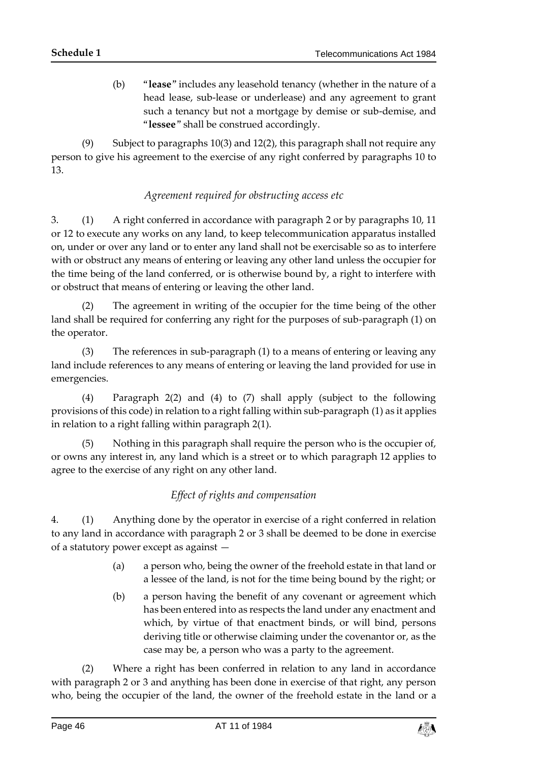(b) "**lease**" includes any leasehold tenancy (whether in the nature of a head lease, sub-lease or underlease) and any agreement to grant such a tenancy but not a mortgage by demise or sub-demise, and "**lessee**" shall be construed accordingly.

(9) Subject to paragraphs 10(3) and 12(2), this paragraph shall not require any person to give his agreement to the exercise of any right conferred by paragraphs 10 to 13.

## *Agreement required for obstructing access etc*

3. (1) A right conferred in accordance with paragraph 2 or by paragraphs 10, 11 or 12 to execute any works on any land, to keep telecommunication apparatus installed on, under or over any land or to enter any land shall not be exercisable so as to interfere with or obstruct any means of entering or leaving any other land unless the occupier for the time being of the land conferred, or is otherwise bound by, a right to interfere with or obstruct that means of entering or leaving the other land.

(2) The agreement in writing of the occupier for the time being of the other land shall be required for conferring any right for the purposes of sub-paragraph (1) on the operator.

(3) The references in sub-paragraph (1) to a means of entering or leaving any land include references to any means of entering or leaving the land provided for use in emergencies.

(4) Paragraph 2(2) and (4) to (7) shall apply (subject to the following provisions of this code) in relation to a right falling within sub-paragraph (1) as it applies in relation to a right falling within paragraph 2(1).

(5) Nothing in this paragraph shall require the person who is the occupier of, or owns any interest in, any land which is a street or to which paragraph 12 applies to agree to the exercise of any right on any other land.

# *Effect of rights and compensation*

4. (1) Anything done by the operator in exercise of a right conferred in relation to any land in accordance with paragraph 2 or 3 shall be deemed to be done in exercise of a statutory power except as against —

- (a) a person who, being the owner of the freehold estate in that land or a lessee of the land, is not for the time being bound by the right; or
- (b) a person having the benefit of any covenant or agreement which has been entered into as respects the land under any enactment and which, by virtue of that enactment binds, or will bind, persons deriving title or otherwise claiming under the covenantor or, as the case may be, a person who was a party to the agreement.

(2) Where a right has been conferred in relation to any land in accordance with paragraph 2 or 3 and anything has been done in exercise of that right, any person who, being the occupier of the land, the owner of the freehold estate in the land or a

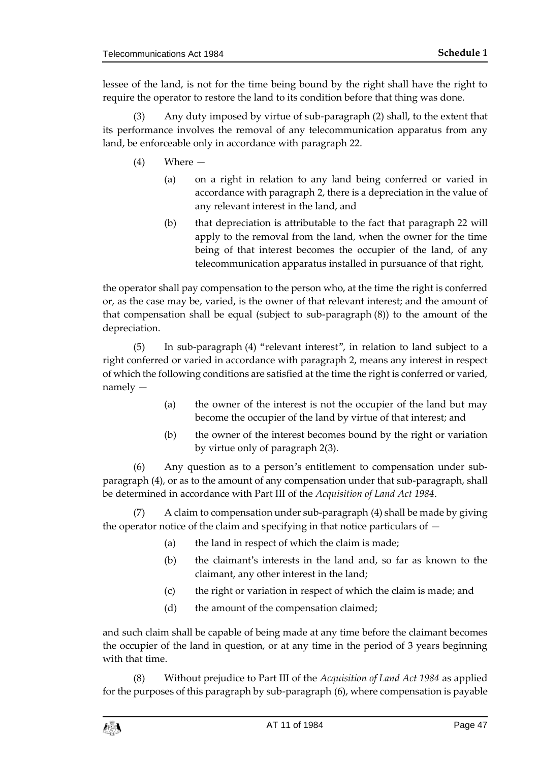lessee of the land, is not for the time being bound by the right shall have the right to require the operator to restore the land to its condition before that thing was done.

(3) Any duty imposed by virtue of sub-paragraph (2) shall, to the extent that its performance involves the removal of any telecommunication apparatus from any land, be enforceable only in accordance with paragraph 22.

- (4) Where
	- (a) on a right in relation to any land being conferred or varied in accordance with paragraph 2, there is a depreciation in the value of any relevant interest in the land, and
	- (b) that depreciation is attributable to the fact that paragraph 22 will apply to the removal from the land, when the owner for the time being of that interest becomes the occupier of the land, of any telecommunication apparatus installed in pursuance of that right,

the operator shall pay compensation to the person who, at the time the right is conferred or, as the case may be, varied, is the owner of that relevant interest; and the amount of that compensation shall be equal (subject to sub-paragraph (8)) to the amount of the depreciation.

(5) In sub-paragraph (4) "relevant interest", in relation to land subject to a right conferred or varied in accordance with paragraph 2, means any interest in respect of which the following conditions are satisfied at the time the right is conferred or varied, namely —

- (a) the owner of the interest is not the occupier of the land but may become the occupier of the land by virtue of that interest; and
- (b) the owner of the interest becomes bound by the right or variation by virtue only of paragraph 2(3).

(6) Any question as to a person's entitlement to compensation under subparagraph (4), or as to the amount of any compensation under that sub-paragraph, shall be determined in accordance with Part III of the *Acquisition of Land Act 1984*.

(7) A claim to compensation under sub-paragraph (4) shall be made by giving the operator notice of the claim and specifying in that notice particulars of  $-$ 

- (a) the land in respect of which the claim is made;
- (b) the claimant's interests in the land and, so far as known to the claimant, any other interest in the land;
- (c) the right or variation in respect of which the claim is made; and
- (d) the amount of the compensation claimed;

and such claim shall be capable of being made at any time before the claimant becomes the occupier of the land in question, or at any time in the period of 3 years beginning with that time.

(8) Without prejudice to Part III of the *Acquisition of Land Act 1984* as applied for the purposes of this paragraph by sub-paragraph (6), where compensation is payable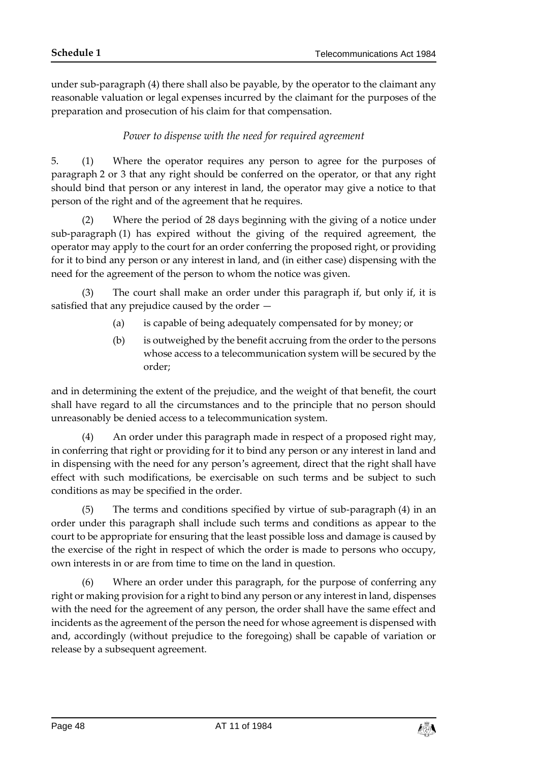under sub-paragraph (4) there shall also be payable, by the operator to the claimant any reasonable valuation or legal expenses incurred by the claimant for the purposes of the preparation and prosecution of his claim for that compensation.

# *Power to dispense with the need for required agreement*

5. (1) Where the operator requires any person to agree for the purposes of paragraph 2 or 3 that any right should be conferred on the operator, or that any right should bind that person or any interest in land, the operator may give a notice to that person of the right and of the agreement that he requires.

(2) Where the period of 28 days beginning with the giving of a notice under sub-paragraph (1) has expired without the giving of the required agreement, the operator may apply to the court for an order conferring the proposed right, or providing for it to bind any person or any interest in land, and (in either case) dispensing with the need for the agreement of the person to whom the notice was given.

(3) The court shall make an order under this paragraph if, but only if, it is satisfied that any prejudice caused by the order —

- (a) is capable of being adequately compensated for by money; or
- (b) is outweighed by the benefit accruing from the order to the persons whose access to a telecommunication system will be secured by the order;

and in determining the extent of the prejudice, and the weight of that benefit, the court shall have regard to all the circumstances and to the principle that no person should unreasonably be denied access to a telecommunication system.

(4) An order under this paragraph made in respect of a proposed right may, in conferring that right or providing for it to bind any person or any interest in land and in dispensing with the need for any person's agreement, direct that the right shall have effect with such modifications, be exercisable on such terms and be subject to such conditions as may be specified in the order.

(5) The terms and conditions specified by virtue of sub-paragraph (4) in an order under this paragraph shall include such terms and conditions as appear to the court to be appropriate for ensuring that the least possible loss and damage is caused by the exercise of the right in respect of which the order is made to persons who occupy, own interests in or are from time to time on the land in question.

(6) Where an order under this paragraph, for the purpose of conferring any right or making provision for a right to bind any person or any interest in land, dispenses with the need for the agreement of any person, the order shall have the same effect and incidents as the agreement of the person the need for whose agreement is dispensed with and, accordingly (without prejudice to the foregoing) shall be capable of variation or release by a subsequent agreement.

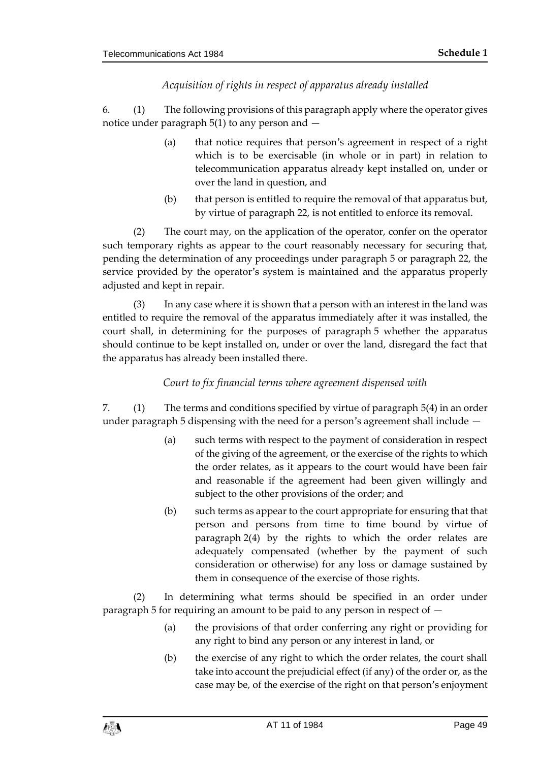# *Acquisition of rights in respect of apparatus already installed*

6. (1) The following provisions of this paragraph apply where the operator gives notice under paragraph 5(1) to any person and —

- (a) that notice requires that person's agreement in respect of a right which is to be exercisable (in whole or in part) in relation to telecommunication apparatus already kept installed on, under or over the land in question, and
- (b) that person is entitled to require the removal of that apparatus but, by virtue of paragraph 22, is not entitled to enforce its removal.

(2) The court may, on the application of the operator, confer on the operator such temporary rights as appear to the court reasonably necessary for securing that, pending the determination of any proceedings under paragraph 5 or paragraph 22, the service provided by the operator's system is maintained and the apparatus properly adjusted and kept in repair.

(3) In any case where it is shown that a person with an interest in the land was entitled to require the removal of the apparatus immediately after it was installed, the court shall, in determining for the purposes of paragraph 5 whether the apparatus should continue to be kept installed on, under or over the land, disregard the fact that the apparatus has already been installed there.

# *Court to fix financial terms where agreement dispensed with*

7. (1) The terms and conditions specified by virtue of paragraph 5(4) in an order under paragraph 5 dispensing with the need for a person's agreement shall include —

- (a) such terms with respect to the payment of consideration in respect of the giving of the agreement, or the exercise of the rights to which the order relates, as it appears to the court would have been fair and reasonable if the agreement had been given willingly and subject to the other provisions of the order; and
- (b) such terms as appear to the court appropriate for ensuring that that person and persons from time to time bound by virtue of paragraph 2(4) by the rights to which the order relates are adequately compensated (whether by the payment of such consideration or otherwise) for any loss or damage sustained by them in consequence of the exercise of those rights.

(2) In determining what terms should be specified in an order under paragraph 5 for requiring an amount to be paid to any person in respect of —

- (a) the provisions of that order conferring any right or providing for any right to bind any person or any interest in land, or
- (b) the exercise of any right to which the order relates, the court shall take into account the prejudicial effect (if any) of the order or, as the case may be, of the exercise of the right on that person's enjoyment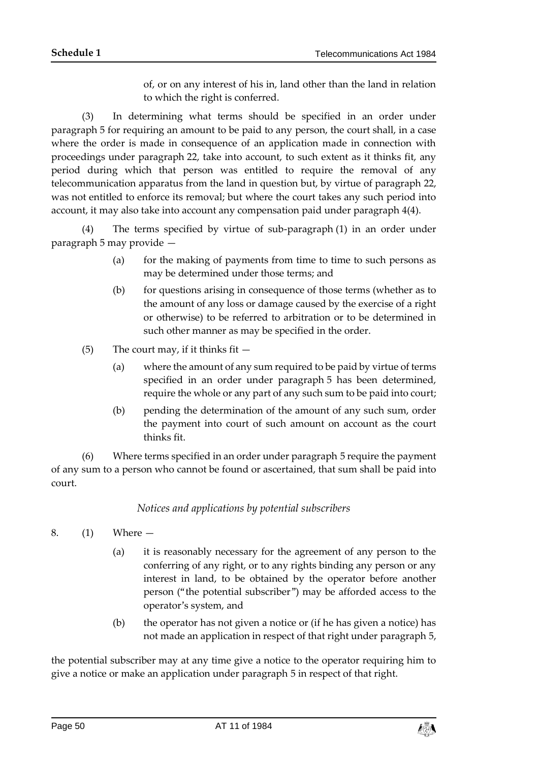of, or on any interest of his in, land other than the land in relation to which the right is conferred.

(3) In determining what terms should be specified in an order under paragraph 5 for requiring an amount to be paid to any person, the court shall, in a case where the order is made in consequence of an application made in connection with proceedings under paragraph 22, take into account, to such extent as it thinks fit, any period during which that person was entitled to require the removal of any telecommunication apparatus from the land in question but, by virtue of paragraph 22, was not entitled to enforce its removal; but where the court takes any such period into account, it may also take into account any compensation paid under paragraph 4(4).

(4) The terms specified by virtue of sub-paragraph (1) in an order under paragraph 5 may provide —

- (a) for the making of payments from time to time to such persons as may be determined under those terms; and
- (b) for questions arising in consequence of those terms (whether as to the amount of any loss or damage caused by the exercise of a right or otherwise) to be referred to arbitration or to be determined in such other manner as may be specified in the order.
- (5) The court may, if it thinks fit  $-$ 
	- (a) where the amount of any sum required to be paid by virtue of terms specified in an order under paragraph 5 has been determined, require the whole or any part of any such sum to be paid into court;
	- (b) pending the determination of the amount of any such sum, order the payment into court of such amount on account as the court thinks fit.

(6) Where terms specified in an order under paragraph 5 require the payment of any sum to a person who cannot be found or ascertained, that sum shall be paid into court.

## *Notices and applications by potential subscribers*

- 8. (1) Where
	- (a) it is reasonably necessary for the agreement of any person to the conferring of any right, or to any rights binding any person or any interest in land, to be obtained by the operator before another person ("the potential subscriber") may be afforded access to the operator's system, and
	- (b) the operator has not given a notice or (if he has given a notice) has not made an application in respect of that right under paragraph 5,

the potential subscriber may at any time give a notice to the operator requiring him to give a notice or make an application under paragraph 5 in respect of that right.

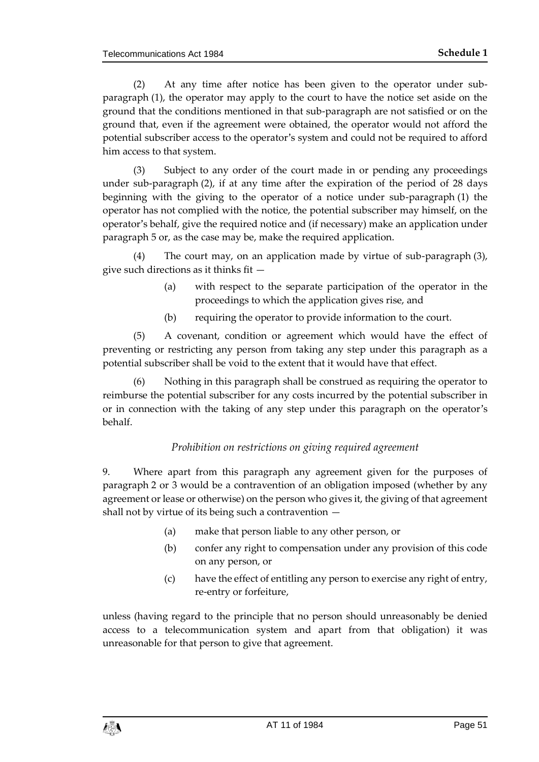(2) At any time after notice has been given to the operator under subparagraph (1), the operator may apply to the court to have the notice set aside on the ground that the conditions mentioned in that sub-paragraph are not satisfied or on the ground that, even if the agreement were obtained, the operator would not afford the potential subscriber access to the operator's system and could not be required to afford him access to that system.

(3) Subject to any order of the court made in or pending any proceedings under sub-paragraph (2), if at any time after the expiration of the period of 28 days beginning with the giving to the operator of a notice under sub-paragraph (1) the operator has not complied with the notice, the potential subscriber may himself, on the operator's behalf, give the required notice and (if necessary) make an application under paragraph 5 or, as the case may be, make the required application.

(4) The court may, on an application made by virtue of sub-paragraph (3), give such directions as it thinks fit —

- (a) with respect to the separate participation of the operator in the proceedings to which the application gives rise, and
- (b) requiring the operator to provide information to the court.

(5) A covenant, condition or agreement which would have the effect of preventing or restricting any person from taking any step under this paragraph as a potential subscriber shall be void to the extent that it would have that effect.

(6) Nothing in this paragraph shall be construed as requiring the operator to reimburse the potential subscriber for any costs incurred by the potential subscriber in or in connection with the taking of any step under this paragraph on the operator's behalf.

## *Prohibition on restrictions on giving required agreement*

9. Where apart from this paragraph any agreement given for the purposes of paragraph 2 or 3 would be a contravention of an obligation imposed (whether by any agreement or lease or otherwise) on the person who gives it, the giving of that agreement shall not by virtue of its being such a contravention —

- (a) make that person liable to any other person, or
- (b) confer any right to compensation under any provision of this code on any person, or
- (c) have the effect of entitling any person to exercise any right of entry, re-entry or forfeiture,

unless (having regard to the principle that no person should unreasonably be denied access to a telecommunication system and apart from that obligation) it was unreasonable for that person to give that agreement.

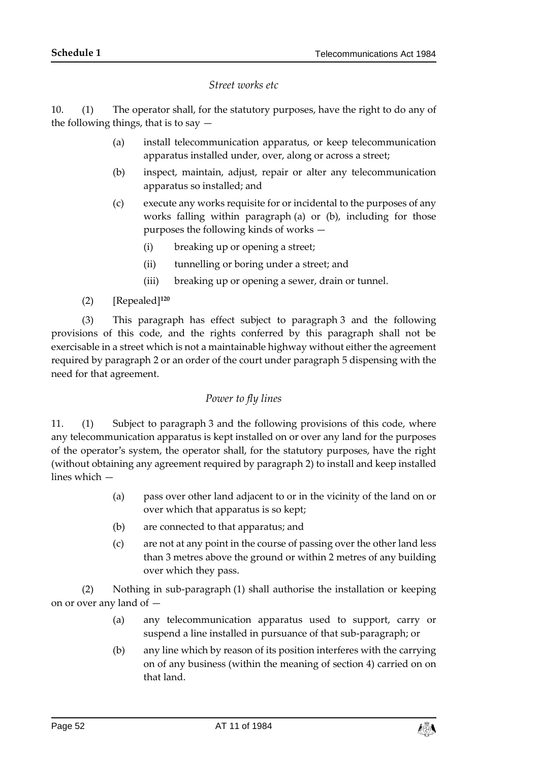#### *Street works etc*

10. (1) The operator shall, for the statutory purposes, have the right to do any of the following things, that is to say  $-$ 

- (a) install telecommunication apparatus, or keep telecommunication apparatus installed under, over, along or across a street;
- (b) inspect, maintain, adjust, repair or alter any telecommunication apparatus so installed; and
- (c) execute any works requisite for or incidental to the purposes of any works falling within paragraph (a) or (b), including for those purposes the following kinds of works —
	- (i) breaking up or opening a street;
	- (ii) tunnelling or boring under a street; and
	- (iii) breaking up or opening a sewer, drain or tunnel.
- (2) [Repealed]**<sup>120</sup>**

(3) This paragraph has effect subject to paragraph 3 and the following provisions of this code, and the rights conferred by this paragraph shall not be exercisable in a street which is not a maintainable highway without either the agreement required by paragraph 2 or an order of the court under paragraph 5 dispensing with the need for that agreement.

## *Power to fly lines*

11. (1) Subject to paragraph 3 and the following provisions of this code, where any telecommunication apparatus is kept installed on or over any land for the purposes of the operator's system, the operator shall, for the statutory purposes, have the right (without obtaining any agreement required by paragraph 2) to install and keep installed lines which —

- (a) pass over other land adjacent to or in the vicinity of the land on or over which that apparatus is so kept;
- (b) are connected to that apparatus; and
- (c) are not at any point in the course of passing over the other land less than 3 metres above the ground or within 2 metres of any building over which they pass.

(2) Nothing in sub-paragraph (1) shall authorise the installation or keeping on or over any land of —

- (a) any telecommunication apparatus used to support, carry or suspend a line installed in pursuance of that sub-paragraph; or
- (b) any line which by reason of its position interferes with the carrying on of any business (within the meaning of section 4) carried on on that land.

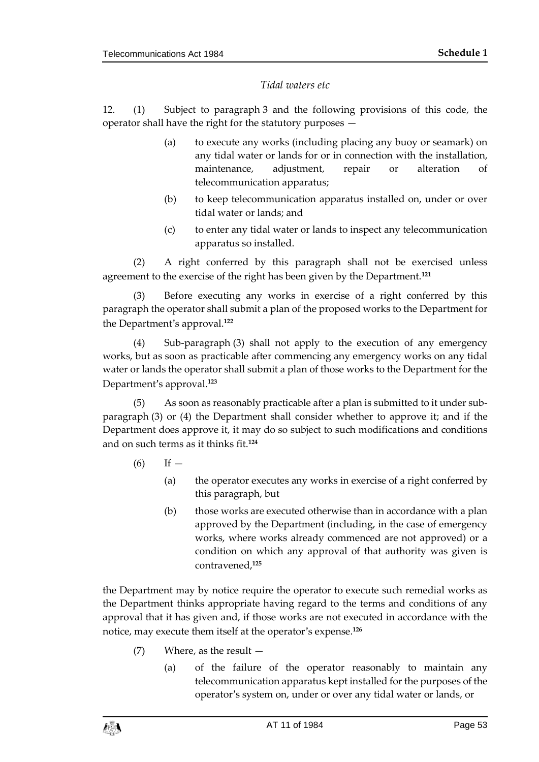## *Tidal waters etc*

12. (1) Subject to paragraph 3 and the following provisions of this code, the operator shall have the right for the statutory purposes —

- (a) to execute any works (including placing any buoy or seamark) on any tidal water or lands for or in connection with the installation, maintenance, adjustment, repair or alteration of telecommunication apparatus;
- (b) to keep telecommunication apparatus installed on, under or over tidal water or lands; and
- (c) to enter any tidal water or lands to inspect any telecommunication apparatus so installed.

(2) A right conferred by this paragraph shall not be exercised unless agreement to the exercise of the right has been given by the Department.**<sup>121</sup>**

(3) Before executing any works in exercise of a right conferred by this paragraph the operator shall submit a plan of the proposed works to the Department for the Department's approval.**<sup>122</sup>**

(4) Sub-paragraph (3) shall not apply to the execution of any emergency works, but as soon as practicable after commencing any emergency works on any tidal water or lands the operator shall submit a plan of those works to the Department for the Department's approval.**<sup>123</sup>**

(5) As soon as reasonably practicable after a plan is submitted to it under subparagraph (3) or (4) the Department shall consider whether to approve it; and if the Department does approve it, it may do so subject to such modifications and conditions and on such terms as it thinks fit.**<sup>124</sup>**

- $(6)$  If  $-$ 
	- (a) the operator executes any works in exercise of a right conferred by this paragraph, but
	- (b) those works are executed otherwise than in accordance with a plan approved by the Department (including, in the case of emergency works, where works already commenced are not approved) or a condition on which any approval of that authority was given is contravened,**<sup>125</sup>**

the Department may by notice require the operator to execute such remedial works as the Department thinks appropriate having regard to the terms and conditions of any approval that it has given and, if those works are not executed in accordance with the notice, may execute them itself at the operator's expense.**<sup>126</sup>**

- (7) Where, as the result
	- (a) of the failure of the operator reasonably to maintain any telecommunication apparatus kept installed for the purposes of the operator's system on, under or over any tidal water or lands, or

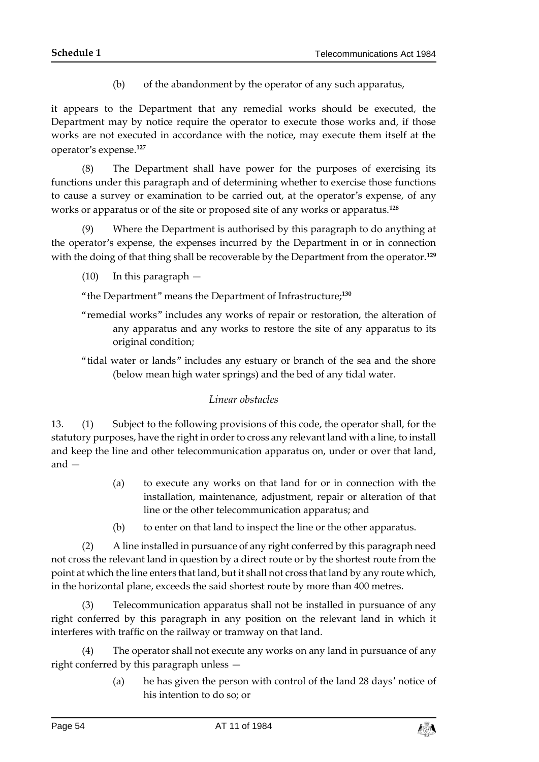(b) of the abandonment by the operator of any such apparatus,

it appears to the Department that any remedial works should be executed, the Department may by notice require the operator to execute those works and, if those works are not executed in accordance with the notice, may execute them itself at the operator's expense.**<sup>127</sup>**

(8) The Department shall have power for the purposes of exercising its functions under this paragraph and of determining whether to exercise those functions to cause a survey or examination to be carried out, at the operator's expense, of any works or apparatus or of the site or proposed site of any works or apparatus.**<sup>128</sup>**

(9) Where the Department is authorised by this paragraph to do anything at the operator's expense, the expenses incurred by the Department in or in connection with the doing of that thing shall be recoverable by the Department from the operator.**<sup>129</sup>**

(10) In this paragraph —

"the Department" means the Department of Infrastructure;**<sup>130</sup>**

- "remedial works" includes any works of repair or restoration, the alteration of any apparatus and any works to restore the site of any apparatus to its original condition;
- "tidal water or lands" includes any estuary or branch of the sea and the shore (below mean high water springs) and the bed of any tidal water.

## *Linear obstacles*

13. (1) Subject to the following provisions of this code, the operator shall, for the statutory purposes, have the right in order to cross any relevant land with a line, to install and keep the line and other telecommunication apparatus on, under or over that land, and —

- (a) to execute any works on that land for or in connection with the installation, maintenance, adjustment, repair or alteration of that line or the other telecommunication apparatus; and
- (b) to enter on that land to inspect the line or the other apparatus.

(2) A line installed in pursuance of any right conferred by this paragraph need not cross the relevant land in question by a direct route or by the shortest route from the point at which the line enters that land, but it shall not cross that land by any route which, in the horizontal plane, exceeds the said shortest route by more than 400 metres.

(3) Telecommunication apparatus shall not be installed in pursuance of any right conferred by this paragraph in any position on the relevant land in which it interferes with traffic on the railway or tramway on that land.

(4) The operator shall not execute any works on any land in pursuance of any right conferred by this paragraph unless —

> (a) he has given the person with control of the land 28 days' notice of his intention to do so; or

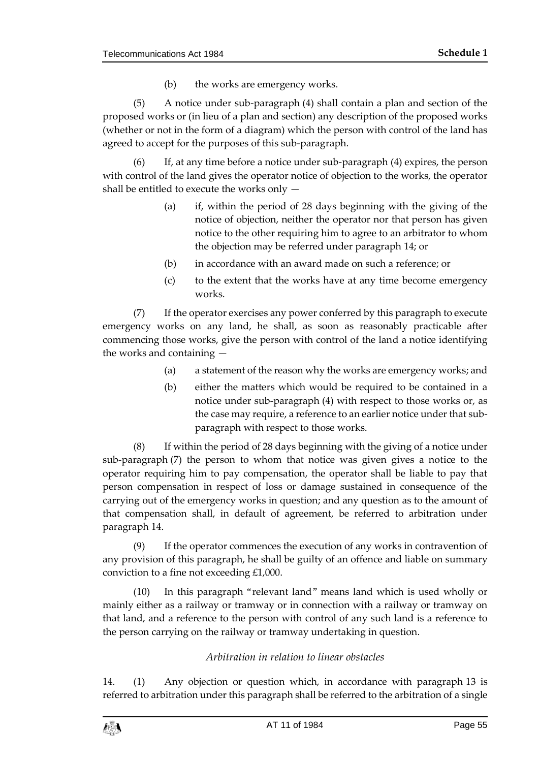(b) the works are emergency works.

(5) A notice under sub-paragraph (4) shall contain a plan and section of the proposed works or (in lieu of a plan and section) any description of the proposed works (whether or not in the form of a diagram) which the person with control of the land has agreed to accept for the purposes of this sub-paragraph.

(6) If, at any time before a notice under sub-paragraph (4) expires, the person with control of the land gives the operator notice of objection to the works, the operator shall be entitled to execute the works only —

- (a) if, within the period of 28 days beginning with the giving of the notice of objection, neither the operator nor that person has given notice to the other requiring him to agree to an arbitrator to whom the objection may be referred under paragraph 14; or
- (b) in accordance with an award made on such a reference; or
- (c) to the extent that the works have at any time become emergency works.

(7) If the operator exercises any power conferred by this paragraph to execute emergency works on any land, he shall, as soon as reasonably practicable after commencing those works, give the person with control of the land a notice identifying the works and containing —

- (a) a statement of the reason why the works are emergency works; and
- (b) either the matters which would be required to be contained in a notice under sub-paragraph (4) with respect to those works or, as the case may require, a reference to an earlier notice under that subparagraph with respect to those works.

(8) If within the period of 28 days beginning with the giving of a notice under sub-paragraph (7) the person to whom that notice was given gives a notice to the operator requiring him to pay compensation, the operator shall be liable to pay that person compensation in respect of loss or damage sustained in consequence of the carrying out of the emergency works in question; and any question as to the amount of that compensation shall, in default of agreement, be referred to arbitration under paragraph 14.

(9) If the operator commences the execution of any works in contravention of any provision of this paragraph, he shall be guilty of an offence and liable on summary conviction to a fine not exceeding £1,000.

(10) In this paragraph "relevant land" means land which is used wholly or mainly either as a railway or tramway or in connection with a railway or tramway on that land, and a reference to the person with control of any such land is a reference to the person carrying on the railway or tramway undertaking in question.

## *Arbitration in relation to linear obstacles*

14. (1) Any objection or question which, in accordance with paragraph 13 is referred to arbitration under this paragraph shall be referred to the arbitration of a single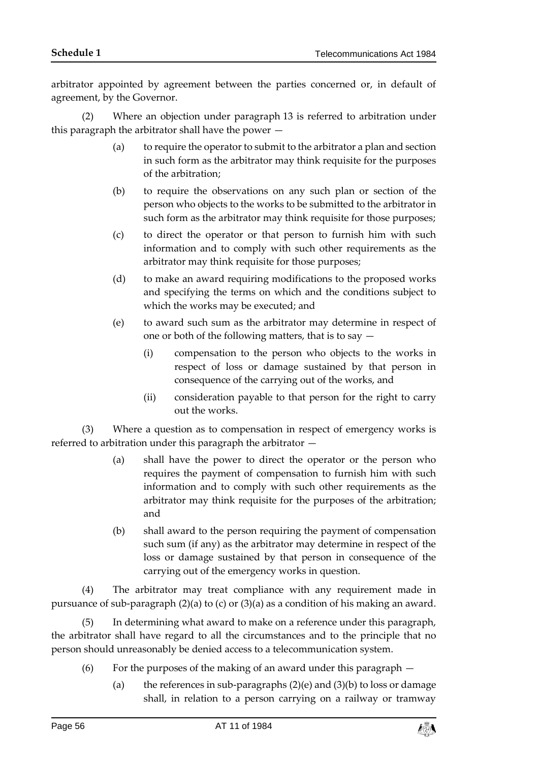arbitrator appointed by agreement between the parties concerned or, in default of agreement, by the Governor.

(2) Where an objection under paragraph 13 is referred to arbitration under this paragraph the arbitrator shall have the power -

- (a) to require the operator to submit to the arbitrator a plan and section in such form as the arbitrator may think requisite for the purposes of the arbitration;
- (b) to require the observations on any such plan or section of the person who objects to the works to be submitted to the arbitrator in such form as the arbitrator may think requisite for those purposes;
- (c) to direct the operator or that person to furnish him with such information and to comply with such other requirements as the arbitrator may think requisite for those purposes;
- (d) to make an award requiring modifications to the proposed works and specifying the terms on which and the conditions subject to which the works may be executed; and
- (e) to award such sum as the arbitrator may determine in respect of one or both of the following matters, that is to say —
	- (i) compensation to the person who objects to the works in respect of loss or damage sustained by that person in consequence of the carrying out of the works, and
	- (ii) consideration payable to that person for the right to carry out the works.

(3) Where a question as to compensation in respect of emergency works is referred to arbitration under this paragraph the arbitrator —

- (a) shall have the power to direct the operator or the person who requires the payment of compensation to furnish him with such information and to comply with such other requirements as the arbitrator may think requisite for the purposes of the arbitration; and
- (b) shall award to the person requiring the payment of compensation such sum (if any) as the arbitrator may determine in respect of the loss or damage sustained by that person in consequence of the carrying out of the emergency works in question.

(4) The arbitrator may treat compliance with any requirement made in pursuance of sub-paragraph (2)(a) to (c) or (3)(a) as a condition of his making an award.

(5) In determining what award to make on a reference under this paragraph, the arbitrator shall have regard to all the circumstances and to the principle that no person should unreasonably be denied access to a telecommunication system.

- (6) For the purposes of the making of an award under this paragraph
	- (a) the references in sub-paragraphs  $(2)(e)$  and  $(3)(b)$  to loss or damage shall, in relation to a person carrying on a railway or tramway

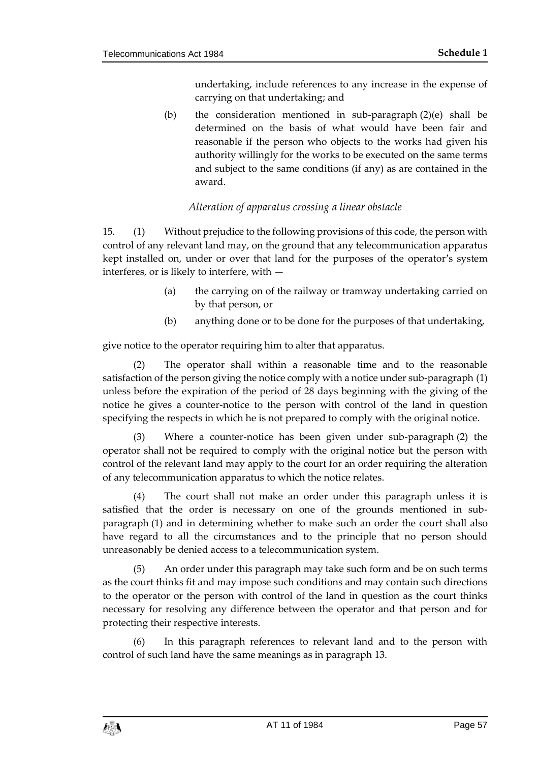undertaking, include references to any increase in the expense of carrying on that undertaking; and

(b) the consideration mentioned in sub-paragraph  $(2)(e)$  shall be determined on the basis of what would have been fair and reasonable if the person who objects to the works had given his authority willingly for the works to be executed on the same terms and subject to the same conditions (if any) as are contained in the award.

# *Alteration of apparatus crossing a linear obstacle*

15. (1) Without prejudice to the following provisions of this code, the person with control of any relevant land may, on the ground that any telecommunication apparatus kept installed on, under or over that land for the purposes of the operator's system interferes, or is likely to interfere, with —

- (a) the carrying on of the railway or tramway undertaking carried on by that person, or
- (b) anything done or to be done for the purposes of that undertaking,

give notice to the operator requiring him to alter that apparatus.

(2) The operator shall within a reasonable time and to the reasonable satisfaction of the person giving the notice comply with a notice under sub-paragraph (1) unless before the expiration of the period of 28 days beginning with the giving of the notice he gives a counter-notice to the person with control of the land in question specifying the respects in which he is not prepared to comply with the original notice.

(3) Where a counter-notice has been given under sub-paragraph (2) the operator shall not be required to comply with the original notice but the person with control of the relevant land may apply to the court for an order requiring the alteration of any telecommunication apparatus to which the notice relates.

(4) The court shall not make an order under this paragraph unless it is satisfied that the order is necessary on one of the grounds mentioned in subparagraph (1) and in determining whether to make such an order the court shall also have regard to all the circumstances and to the principle that no person should unreasonably be denied access to a telecommunication system.

(5) An order under this paragraph may take such form and be on such terms as the court thinks fit and may impose such conditions and may contain such directions to the operator or the person with control of the land in question as the court thinks necessary for resolving any difference between the operator and that person and for protecting their respective interests.

(6) In this paragraph references to relevant land and to the person with control of such land have the same meanings as in paragraph 13.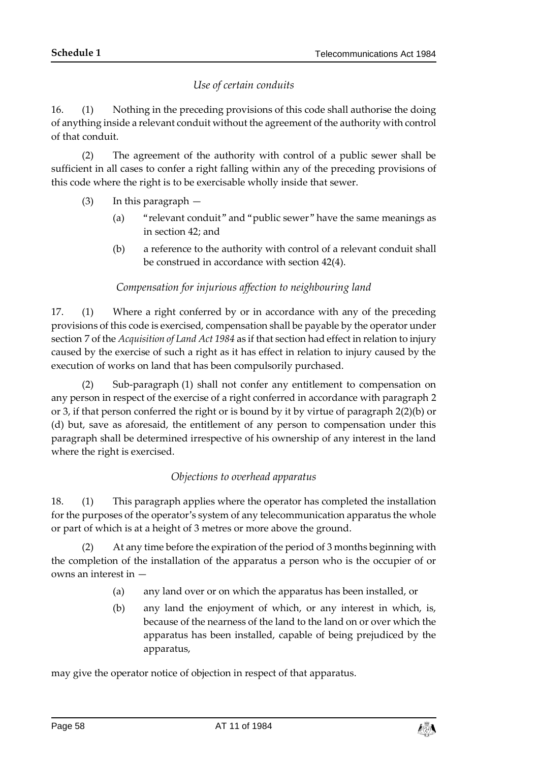# *Use of certain conduits*

16. (1) Nothing in the preceding provisions of this code shall authorise the doing of anything inside a relevant conduit without the agreement of the authority with control of that conduit.

(2) The agreement of the authority with control of a public sewer shall be sufficient in all cases to confer a right falling within any of the preceding provisions of this code where the right is to be exercisable wholly inside that sewer.

- (3) In this paragraph
	- (a) "relevant conduit" and "public sewer" have the same meanings as in section 42; and
	- (b) a reference to the authority with control of a relevant conduit shall be construed in accordance with section 42(4).

# *Compensation for injurious affection to neighbouring land*

17. (1) Where a right conferred by or in accordance with any of the preceding provisions of this code is exercised, compensation shall be payable by the operator under section 7 of the *Acquisition of Land Act 1984* as if that section had effect in relation to injury caused by the exercise of such a right as it has effect in relation to injury caused by the execution of works on land that has been compulsorily purchased.

(2) Sub-paragraph (1) shall not confer any entitlement to compensation on any person in respect of the exercise of a right conferred in accordance with paragraph 2 or 3, if that person conferred the right or is bound by it by virtue of paragraph 2(2)(b) or (d) but, save as aforesaid, the entitlement of any person to compensation under this paragraph shall be determined irrespective of his ownership of any interest in the land where the right is exercised.

## *Objections to overhead apparatus*

18. (1) This paragraph applies where the operator has completed the installation for the purposes of the operator's system of any telecommunication apparatus the whole or part of which is at a height of 3 metres or more above the ground.

(2) At any time before the expiration of the period of 3 months beginning with the completion of the installation of the apparatus a person who is the occupier of or owns an interest in —

- (a) any land over or on which the apparatus has been installed, or
- (b) any land the enjoyment of which, or any interest in which, is, because of the nearness of the land to the land on or over which the apparatus has been installed, capable of being prejudiced by the apparatus,

may give the operator notice of objection in respect of that apparatus.

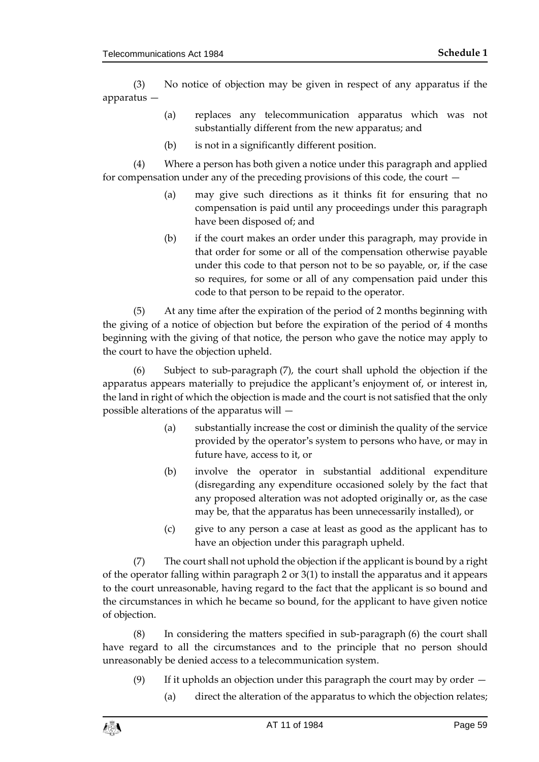(3) No notice of objection may be given in respect of any apparatus if the apparatus —

- (a) replaces any telecommunication apparatus which was not substantially different from the new apparatus; and
- (b) is not in a significantly different position.

(4) Where a person has both given a notice under this paragraph and applied for compensation under any of the preceding provisions of this code, the court —

- (a) may give such directions as it thinks fit for ensuring that no compensation is paid until any proceedings under this paragraph have been disposed of; and
- (b) if the court makes an order under this paragraph, may provide in that order for some or all of the compensation otherwise payable under this code to that person not to be so payable, or, if the case so requires, for some or all of any compensation paid under this code to that person to be repaid to the operator.

(5) At any time after the expiration of the period of 2 months beginning with the giving of a notice of objection but before the expiration of the period of 4 months beginning with the giving of that notice, the person who gave the notice may apply to the court to have the objection upheld.

(6) Subject to sub-paragraph (7), the court shall uphold the objection if the apparatus appears materially to prejudice the applicant's enjoyment of, or interest in, the land in right of which the objection is made and the court is not satisfied that the only possible alterations of the apparatus will —

- (a) substantially increase the cost or diminish the quality of the service provided by the operator's system to persons who have, or may in future have, access to it, or
- (b) involve the operator in substantial additional expenditure (disregarding any expenditure occasioned solely by the fact that any proposed alteration was not adopted originally or, as the case may be, that the apparatus has been unnecessarily installed), or
- (c) give to any person a case at least as good as the applicant has to have an objection under this paragraph upheld.

(7) The court shall not uphold the objection if the applicant is bound by a right of the operator falling within paragraph 2 or 3(1) to install the apparatus and it appears to the court unreasonable, having regard to the fact that the applicant is so bound and the circumstances in which he became so bound, for the applicant to have given notice of objection.

(8) In considering the matters specified in sub-paragraph (6) the court shall have regard to all the circumstances and to the principle that no person should unreasonably be denied access to a telecommunication system.

- (9) If it upholds an objection under this paragraph the court may by order
	- (a) direct the alteration of the apparatus to which the objection relates;

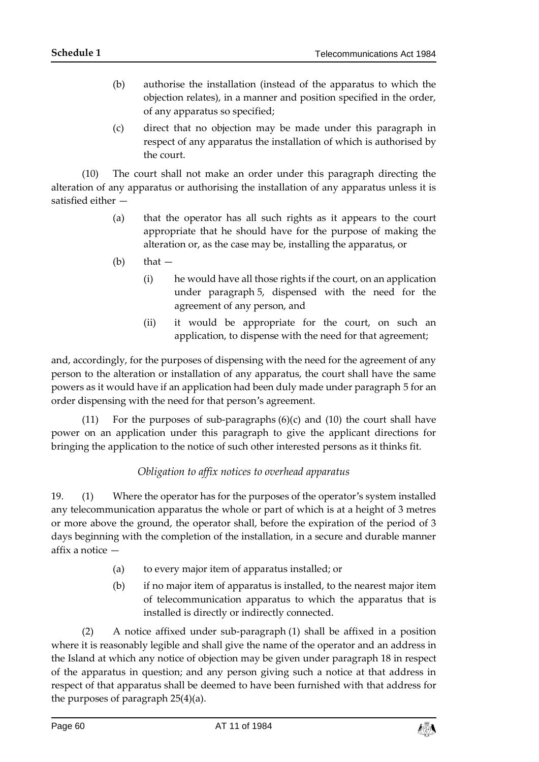- (b) authorise the installation (instead of the apparatus to which the objection relates), in a manner and position specified in the order, of any apparatus so specified;
- (c) direct that no objection may be made under this paragraph in respect of any apparatus the installation of which is authorised by the court.

(10) The court shall not make an order under this paragraph directing the alteration of any apparatus or authorising the installation of any apparatus unless it is satisfied either —

- (a) that the operator has all such rights as it appears to the court appropriate that he should have for the purpose of making the alteration or, as the case may be, installing the apparatus, or
- $(b)$  that  $-$ 
	- (i) he would have all those rights if the court, on an application under paragraph 5, dispensed with the need for the agreement of any person, and
	- (ii) it would be appropriate for the court, on such an application, to dispense with the need for that agreement;

and, accordingly, for the purposes of dispensing with the need for the agreement of any person to the alteration or installation of any apparatus, the court shall have the same powers as it would have if an application had been duly made under paragraph 5 for an order dispensing with the need for that person's agreement.

(11) For the purposes of sub-paragraphs (6)(c) and (10) the court shall have power on an application under this paragraph to give the applicant directions for bringing the application to the notice of such other interested persons as it thinks fit.

# *Obligation to affix notices to overhead apparatus*

19. (1) Where the operator has for the purposes of the operator's system installed any telecommunication apparatus the whole or part of which is at a height of 3 metres or more above the ground, the operator shall, before the expiration of the period of 3 days beginning with the completion of the installation, in a secure and durable manner affix a notice —

- (a) to every major item of apparatus installed; or
- (b) if no major item of apparatus is installed, to the nearest major item of telecommunication apparatus to which the apparatus that is installed is directly or indirectly connected.

(2) A notice affixed under sub-paragraph (1) shall be affixed in a position where it is reasonably legible and shall give the name of the operator and an address in the Island at which any notice of objection may be given under paragraph 18 in respect of the apparatus in question; and any person giving such a notice at that address in respect of that apparatus shall be deemed to have been furnished with that address for the purposes of paragraph 25(4)(a).

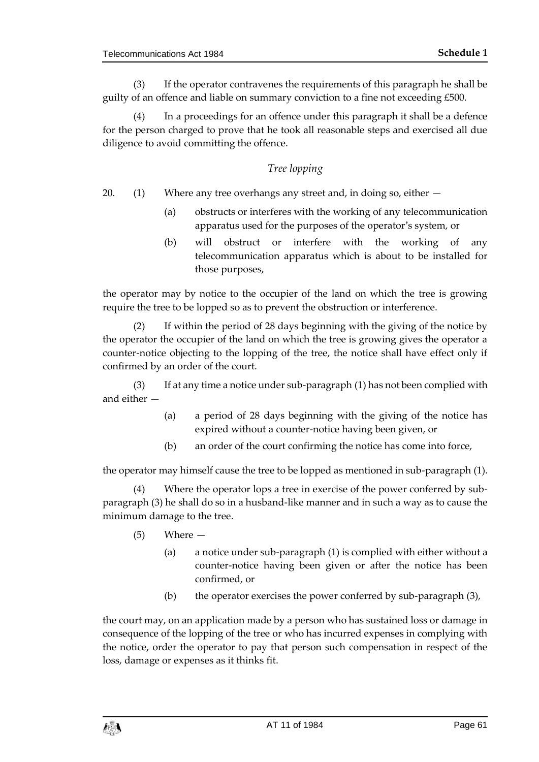(3) If the operator contravenes the requirements of this paragraph he shall be guilty of an offence and liable on summary conviction to a fine not exceeding £500.

(4) In a proceedings for an offence under this paragraph it shall be a defence for the person charged to prove that he took all reasonable steps and exercised all due diligence to avoid committing the offence.

# *Tree lopping*

- 20.  $(1)$  Where any tree overhangs any street and, in doing so, either  $-$ 
	- (a) obstructs or interferes with the working of any telecommunication apparatus used for the purposes of the operator's system, or
	- (b) will obstruct or interfere with the working of any telecommunication apparatus which is about to be installed for those purposes,

the operator may by notice to the occupier of the land on which the tree is growing require the tree to be lopped so as to prevent the obstruction or interference.

(2) If within the period of 28 days beginning with the giving of the notice by the operator the occupier of the land on which the tree is growing gives the operator a counter-notice objecting to the lopping of the tree, the notice shall have effect only if confirmed by an order of the court.

(3) If at any time a notice under sub-paragraph (1) has not been complied with and either —

- (a) a period of 28 days beginning with the giving of the notice has expired without a counter-notice having been given, or
- (b) an order of the court confirming the notice has come into force,

the operator may himself cause the tree to be lopped as mentioned in sub-paragraph (1).

(4) Where the operator lops a tree in exercise of the power conferred by subparagraph (3) he shall do so in a husband-like manner and in such a way as to cause the minimum damage to the tree.

- (5) Where
	- (a) a notice under sub-paragraph (1) is complied with either without a counter-notice having been given or after the notice has been confirmed, or
	- (b) the operator exercises the power conferred by sub-paragraph (3),

the court may, on an application made by a person who has sustained loss or damage in consequence of the lopping of the tree or who has incurred expenses in complying with the notice, order the operator to pay that person such compensation in respect of the loss, damage or expenses as it thinks fit.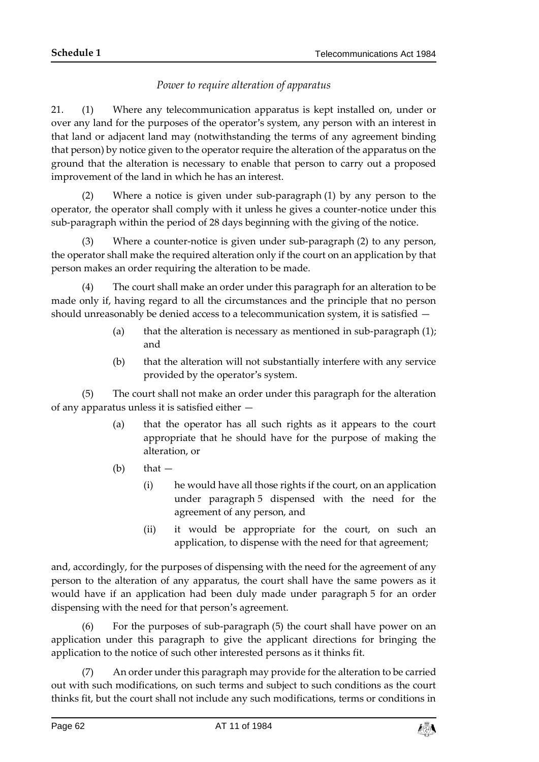# *Power to require alteration of apparatus*

21. (1) Where any telecommunication apparatus is kept installed on, under or over any land for the purposes of the operator's system, any person with an interest in that land or adjacent land may (notwithstanding the terms of any agreement binding that person) by notice given to the operator require the alteration of the apparatus on the ground that the alteration is necessary to enable that person to carry out a proposed improvement of the land in which he has an interest.

(2) Where a notice is given under sub-paragraph (1) by any person to the operator, the operator shall comply with it unless he gives a counter-notice under this sub-paragraph within the period of 28 days beginning with the giving of the notice.

(3) Where a counter-notice is given under sub-paragraph (2) to any person, the operator shall make the required alteration only if the court on an application by that person makes an order requiring the alteration to be made.

(4) The court shall make an order under this paragraph for an alteration to be made only if, having regard to all the circumstances and the principle that no person should unreasonably be denied access to a telecommunication system, it is satisfied —

- (a) that the alteration is necessary as mentioned in sub-paragraph  $(1)$ ; and
- (b) that the alteration will not substantially interfere with any service provided by the operator's system.

(5) The court shall not make an order under this paragraph for the alteration of any apparatus unless it is satisfied either —

- (a) that the operator has all such rights as it appears to the court appropriate that he should have for the purpose of making the alteration, or
- $(b)$  that  $-$ 
	- (i) he would have all those rights if the court, on an application under paragraph 5 dispensed with the need for the agreement of any person, and
	- (ii) it would be appropriate for the court, on such an application, to dispense with the need for that agreement;

and, accordingly, for the purposes of dispensing with the need for the agreement of any person to the alteration of any apparatus, the court shall have the same powers as it would have if an application had been duly made under paragraph 5 for an order dispensing with the need for that person's agreement.

(6) For the purposes of sub-paragraph (5) the court shall have power on an application under this paragraph to give the applicant directions for bringing the application to the notice of such other interested persons as it thinks fit.

(7) An order under this paragraph may provide for the alteration to be carried out with such modifications, on such terms and subject to such conditions as the court thinks fit, but the court shall not include any such modifications, terms or conditions in

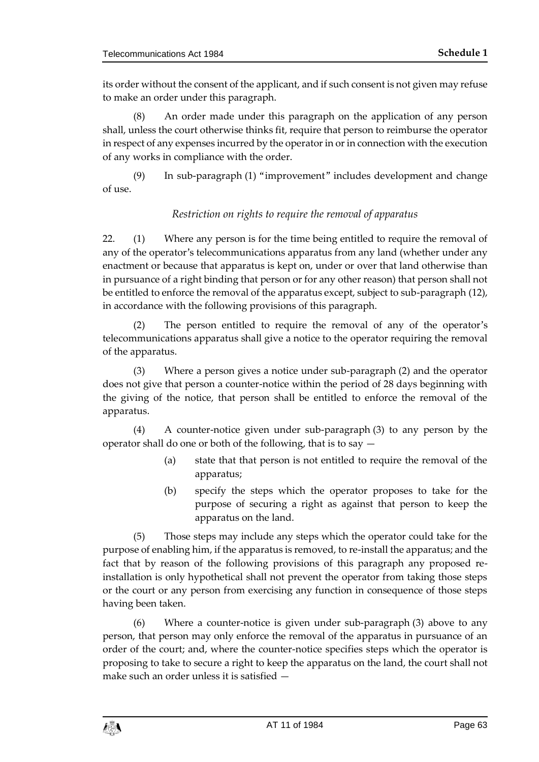its order without the consent of the applicant, and if such consent is not given may refuse to make an order under this paragraph.

(8) An order made under this paragraph on the application of any person shall, unless the court otherwise thinks fit, require that person to reimburse the operator in respect of any expenses incurred by the operator in or in connection with the execution of any works in compliance with the order.

(9) In sub-paragraph (1) "improvement" includes development and change of use.

# *Restriction on rights to require the removal of apparatus*

22. (1) Where any person is for the time being entitled to require the removal of any of the operator's telecommunications apparatus from any land (whether under any enactment or because that apparatus is kept on, under or over that land otherwise than in pursuance of a right binding that person or for any other reason) that person shall not be entitled to enforce the removal of the apparatus except, subject to sub-paragraph (12), in accordance with the following provisions of this paragraph.

(2) The person entitled to require the removal of any of the operator's telecommunications apparatus shall give a notice to the operator requiring the removal of the apparatus.

(3) Where a person gives a notice under sub-paragraph (2) and the operator does not give that person a counter-notice within the period of 28 days beginning with the giving of the notice, that person shall be entitled to enforce the removal of the apparatus.

(4) A counter-notice given under sub-paragraph (3) to any person by the operator shall do one or both of the following, that is to say —

- (a) state that that person is not entitled to require the removal of the apparatus;
- (b) specify the steps which the operator proposes to take for the purpose of securing a right as against that person to keep the apparatus on the land.

(5) Those steps may include any steps which the operator could take for the purpose of enabling him, if the apparatus is removed, to re-install the apparatus; and the fact that by reason of the following provisions of this paragraph any proposed reinstallation is only hypothetical shall not prevent the operator from taking those steps or the court or any person from exercising any function in consequence of those steps having been taken.

(6) Where a counter-notice is given under sub-paragraph (3) above to any person, that person may only enforce the removal of the apparatus in pursuance of an order of the court; and, where the counter-notice specifies steps which the operator is proposing to take to secure a right to keep the apparatus on the land, the court shall not make such an order unless it is satisfied —

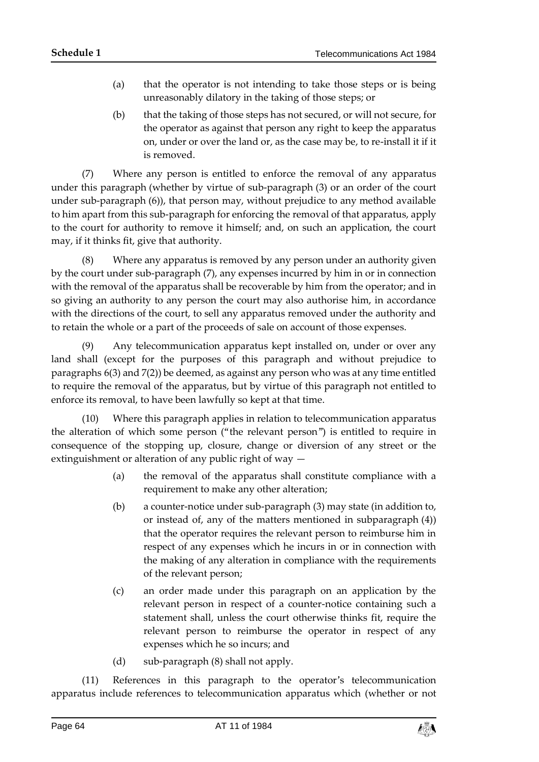- (a) that the operator is not intending to take those steps or is being unreasonably dilatory in the taking of those steps; or
- (b) that the taking of those steps has not secured, or will not secure, for the operator as against that person any right to keep the apparatus on, under or over the land or, as the case may be, to re-install it if it is removed.

(7) Where any person is entitled to enforce the removal of any apparatus under this paragraph (whether by virtue of sub-paragraph (3) or an order of the court under sub-paragraph (6)), that person may, without prejudice to any method available to him apart from this sub-paragraph for enforcing the removal of that apparatus, apply to the court for authority to remove it himself; and, on such an application, the court may, if it thinks fit, give that authority.

(8) Where any apparatus is removed by any person under an authority given by the court under sub-paragraph (7), any expenses incurred by him in or in connection with the removal of the apparatus shall be recoverable by him from the operator; and in so giving an authority to any person the court may also authorise him, in accordance with the directions of the court, to sell any apparatus removed under the authority and to retain the whole or a part of the proceeds of sale on account of those expenses.

(9) Any telecommunication apparatus kept installed on, under or over any land shall (except for the purposes of this paragraph and without prejudice to paragraphs 6(3) and 7(2)) be deemed, as against any person who was at any time entitled to require the removal of the apparatus, but by virtue of this paragraph not entitled to enforce its removal, to have been lawfully so kept at that time.

(10) Where this paragraph applies in relation to telecommunication apparatus the alteration of which some person ("the relevant person") is entitled to require in consequence of the stopping up, closure, change or diversion of any street or the extinguishment or alteration of any public right of way —

- (a) the removal of the apparatus shall constitute compliance with a requirement to make any other alteration;
- (b) a counter-notice under sub-paragraph (3) may state (in addition to, or instead of, any of the matters mentioned in subparagraph (4)) that the operator requires the relevant person to reimburse him in respect of any expenses which he incurs in or in connection with the making of any alteration in compliance with the requirements of the relevant person;
- (c) an order made under this paragraph on an application by the relevant person in respect of a counter-notice containing such a statement shall, unless the court otherwise thinks fit, require the relevant person to reimburse the operator in respect of any expenses which he so incurs; and
- (d) sub-paragraph (8) shall not apply.

(11) References in this paragraph to the operator's telecommunication apparatus include references to telecommunication apparatus which (whether or not

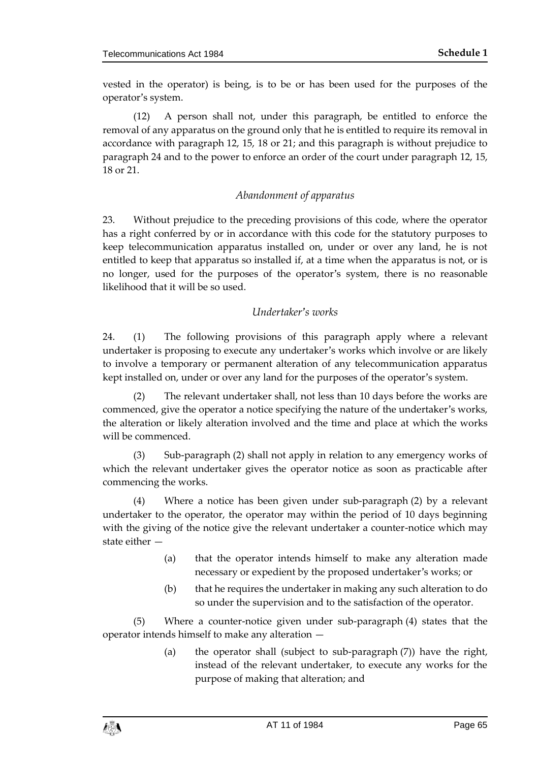vested in the operator) is being, is to be or has been used for the purposes of the operator's system.

(12) A person shall not, under this paragraph, be entitled to enforce the removal of any apparatus on the ground only that he is entitled to require its removal in accordance with paragraph 12, 15, 18 or 21; and this paragraph is without prejudice to paragraph 24 and to the power to enforce an order of the court under paragraph 12, 15, 18 or 21.

# *Abandonment of apparatus*

23. Without prejudice to the preceding provisions of this code, where the operator has a right conferred by or in accordance with this code for the statutory purposes to keep telecommunication apparatus installed on, under or over any land, he is not entitled to keep that apparatus so installed if, at a time when the apparatus is not, or is no longer, used for the purposes of the operator's system, there is no reasonable likelihood that it will be so used.

# *Undertaker's works*

24. (1) The following provisions of this paragraph apply where a relevant undertaker is proposing to execute any undertaker's works which involve or are likely to involve a temporary or permanent alteration of any telecommunication apparatus kept installed on, under or over any land for the purposes of the operator's system.

(2) The relevant undertaker shall, not less than 10 days before the works are commenced, give the operator a notice specifying the nature of the undertaker's works, the alteration or likely alteration involved and the time and place at which the works will be commenced.

(3) Sub-paragraph (2) shall not apply in relation to any emergency works of which the relevant undertaker gives the operator notice as soon as practicable after commencing the works.

(4) Where a notice has been given under sub-paragraph (2) by a relevant undertaker to the operator, the operator may within the period of 10 days beginning with the giving of the notice give the relevant undertaker a counter-notice which may state either —

- (a) that the operator intends himself to make any alteration made necessary or expedient by the proposed undertaker's works; or
- (b) that he requires the undertaker in making any such alteration to do so under the supervision and to the satisfaction of the operator.

(5) Where a counter-notice given under sub-paragraph (4) states that the operator intends himself to make any alteration —

> (a) the operator shall (subject to sub-paragraph (7)) have the right, instead of the relevant undertaker, to execute any works for the purpose of making that alteration; and

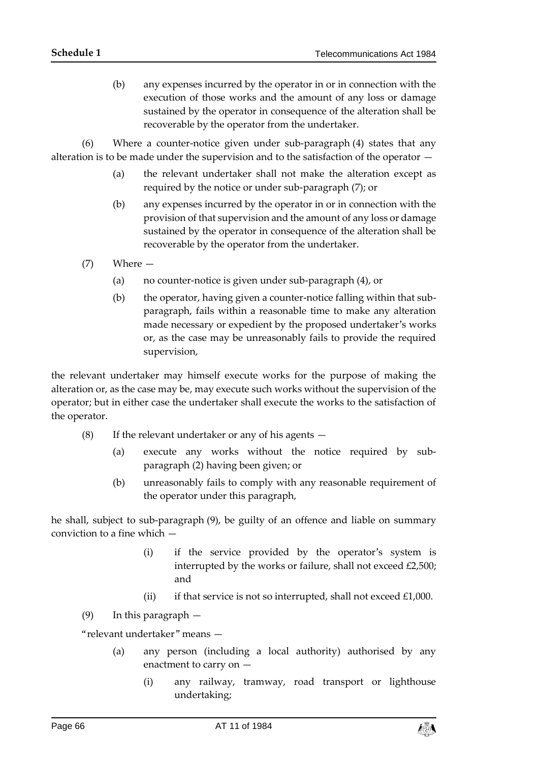(b) any expenses incurred by the operator in or in connection with the execution of those works and the amount of any loss or damage sustained by the operator in consequence of the alteration shall be recoverable by the operator from the undertaker.

(6) Where a counter-notice given under sub-paragraph (4) states that any alteration is to be made under the supervision and to the satisfaction of the operator —

- (a) the relevant undertaker shall not make the alteration except as required by the notice or under sub-paragraph (7); or
- (b) any expenses incurred by the operator in or in connection with the provision of that supervision and the amount of any loss or damage sustained by the operator in consequence of the alteration shall be recoverable by the operator from the undertaker.
- (7) Where
	- (a) no counter-notice is given under sub-paragraph (4), or
	- (b) the operator, having given a counter-notice falling within that subparagraph, fails within a reasonable time to make any alteration made necessary or expedient by the proposed undertaker's works or, as the case may be unreasonably fails to provide the required supervision,

the relevant undertaker may himself execute works for the purpose of making the alteration or, as the case may be, may execute such works without the supervision of the operator; but in either case the undertaker shall execute the works to the satisfaction of the operator.

- (8) If the relevant undertaker or any of his agents
	- (a) execute any works without the notice required by subparagraph (2) having been given; or
	- (b) unreasonably fails to comply with any reasonable requirement of the operator under this paragraph,

he shall, subject to sub-paragraph (9), be guilty of an offence and liable on summary conviction to a fine which —

- (i) if the service provided by the operator's system is interrupted by the works or failure, shall not exceed £2,500; and
- (ii) if that service is not so interrupted, shall not exceed  $£1,000$ .

(9) In this paragraph —

"relevant undertaker" means —

- (a) any person (including a local authority) authorised by any enactment to carry on —
	- (i) any railway, tramway, road transport or lighthouse undertaking;

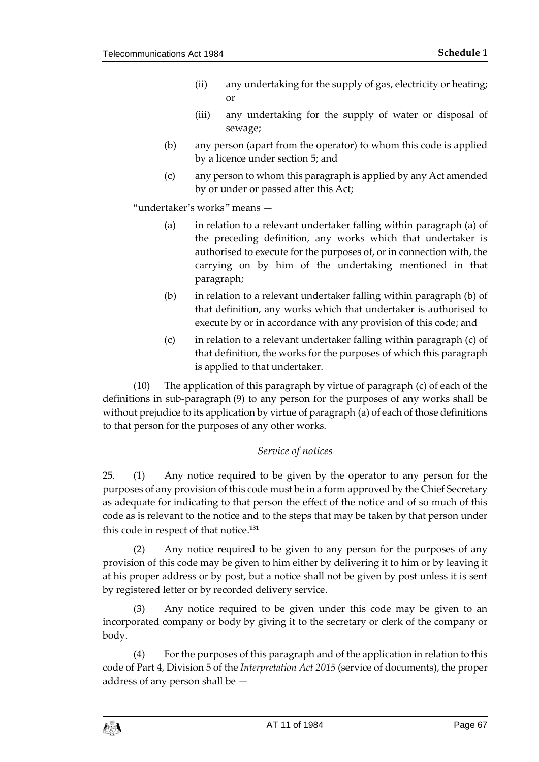- (ii) any undertaking for the supply of gas, electricity or heating; or
- (iii) any undertaking for the supply of water or disposal of sewage;
- (b) any person (apart from the operator) to whom this code is applied by a licence under section 5; and
- (c) any person to whom this paragraph is applied by any Act amended by or under or passed after this Act;

"undertaker's works" means —

- (a) in relation to a relevant undertaker falling within paragraph (a) of the preceding definition, any works which that undertaker is authorised to execute for the purposes of, or in connection with, the carrying on by him of the undertaking mentioned in that paragraph;
- (b) in relation to a relevant undertaker falling within paragraph (b) of that definition, any works which that undertaker is authorised to execute by or in accordance with any provision of this code; and
- (c) in relation to a relevant undertaker falling within paragraph (c) of that definition, the works for the purposes of which this paragraph is applied to that undertaker.

(10) The application of this paragraph by virtue of paragraph (c) of each of the definitions in sub-paragraph (9) to any person for the purposes of any works shall be without prejudice to its application by virtue of paragraph (a) of each of those definitions to that person for the purposes of any other works.

## *Service of notices*

25. (1) Any notice required to be given by the operator to any person for the purposes of any provision of this code must be in a form approved by the Chief Secretary as adequate for indicating to that person the effect of the notice and of so much of this code as is relevant to the notice and to the steps that may be taken by that person under this code in respect of that notice.**<sup>131</sup>**

(2) Any notice required to be given to any person for the purposes of any provision of this code may be given to him either by delivering it to him or by leaving it at his proper address or by post, but a notice shall not be given by post unless it is sent by registered letter or by recorded delivery service.

(3) Any notice required to be given under this code may be given to an incorporated company or body by giving it to the secretary or clerk of the company or body.

(4) For the purposes of this paragraph and of the application in relation to this code of Part 4, Division 5 of the *Interpretation Act 2015* (service of documents), the proper address of any person shall be —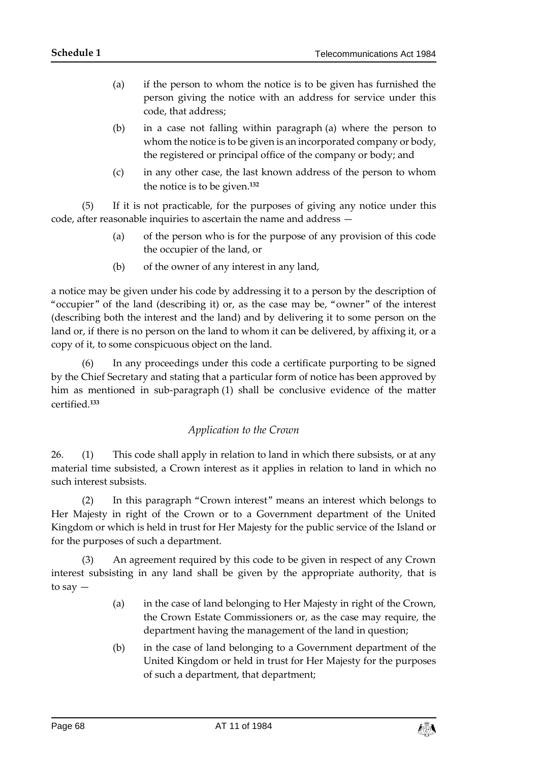- (a) if the person to whom the notice is to be given has furnished the person giving the notice with an address for service under this code, that address;
- (b) in a case not falling within paragraph (a) where the person to whom the notice is to be given is an incorporated company or body, the registered or principal office of the company or body; and
- (c) in any other case, the last known address of the person to whom the notice is to be given.**<sup>132</sup>**

(5) If it is not practicable, for the purposes of giving any notice under this code, after reasonable inquiries to ascertain the name and address —

- (a) of the person who is for the purpose of any provision of this code the occupier of the land, or
- (b) of the owner of any interest in any land,

a notice may be given under his code by addressing it to a person by the description of "occupier" of the land (describing it) or, as the case may be, "owner" of the interest (describing both the interest and the land) and by delivering it to some person on the land or, if there is no person on the land to whom it can be delivered, by affixing it, or a copy of it, to some conspicuous object on the land.

(6) In any proceedings under this code a certificate purporting to be signed by the Chief Secretary and stating that a particular form of notice has been approved by him as mentioned in sub-paragraph (1) shall be conclusive evidence of the matter certified.**<sup>133</sup>**

## *Application to the Crown*

26. (1) This code shall apply in relation to land in which there subsists, or at any material time subsisted, a Crown interest as it applies in relation to land in which no such interest subsists.

(2) In this paragraph "Crown interest" means an interest which belongs to Her Majesty in right of the Crown or to a Government department of the United Kingdom or which is held in trust for Her Majesty for the public service of the Island or for the purposes of such a department.

(3) An agreement required by this code to be given in respect of any Crown interest subsisting in any land shall be given by the appropriate authority, that is to say —

- (a) in the case of land belonging to Her Majesty in right of the Crown, the Crown Estate Commissioners or, as the case may require, the department having the management of the land in question;
- (b) in the case of land belonging to a Government department of the United Kingdom or held in trust for Her Majesty for the purposes of such a department, that department;

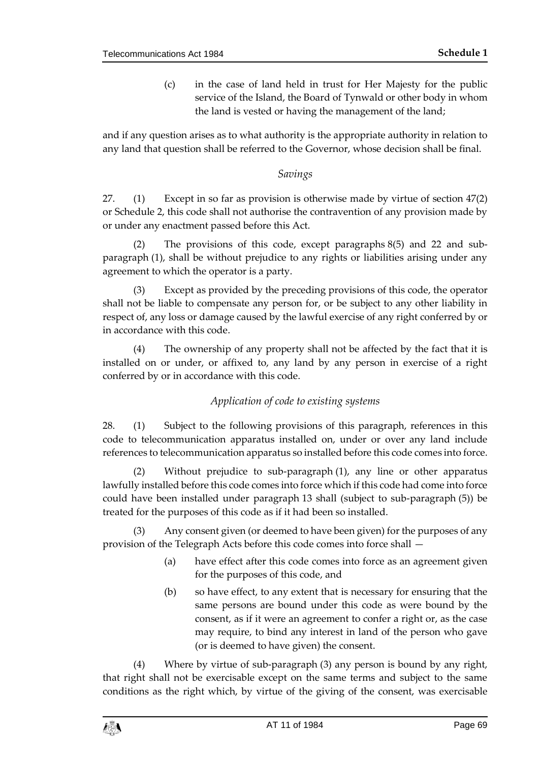(c) in the case of land held in trust for Her Majesty for the public service of the Island, the Board of Tynwald or other body in whom the land is vested or having the management of the land;

and if any question arises as to what authority is the appropriate authority in relation to any land that question shall be referred to the Governor, whose decision shall be final.

## *Savings*

27. (1) Except in so far as provision is otherwise made by virtue of section 47(2) or Schedule 2, this code shall not authorise the contravention of any provision made by or under any enactment passed before this Act.

(2) The provisions of this code, except paragraphs 8(5) and 22 and subparagraph (1), shall be without prejudice to any rights or liabilities arising under any agreement to which the operator is a party.

(3) Except as provided by the preceding provisions of this code, the operator shall not be liable to compensate any person for, or be subject to any other liability in respect of, any loss or damage caused by the lawful exercise of any right conferred by or in accordance with this code.

(4) The ownership of any property shall not be affected by the fact that it is installed on or under, or affixed to, any land by any person in exercise of a right conferred by or in accordance with this code.

# *Application of code to existing systems*

28. (1) Subject to the following provisions of this paragraph, references in this code to telecommunication apparatus installed on, under or over any land include references to telecommunication apparatus so installed before this code comes into force.

(2) Without prejudice to sub-paragraph (1), any line or other apparatus lawfully installed before this code comes into force which if this code had come into force could have been installed under paragraph 13 shall (subject to sub-paragraph (5)) be treated for the purposes of this code as if it had been so installed.

(3) Any consent given (or deemed to have been given) for the purposes of any provision of the Telegraph Acts before this code comes into force shall —

- (a) have effect after this code comes into force as an agreement given for the purposes of this code, and
- (b) so have effect, to any extent that is necessary for ensuring that the same persons are bound under this code as were bound by the consent, as if it were an agreement to confer a right or, as the case may require, to bind any interest in land of the person who gave (or is deemed to have given) the consent.

(4) Where by virtue of sub-paragraph (3) any person is bound by any right, that right shall not be exercisable except on the same terms and subject to the same conditions as the right which, by virtue of the giving of the consent, was exercisable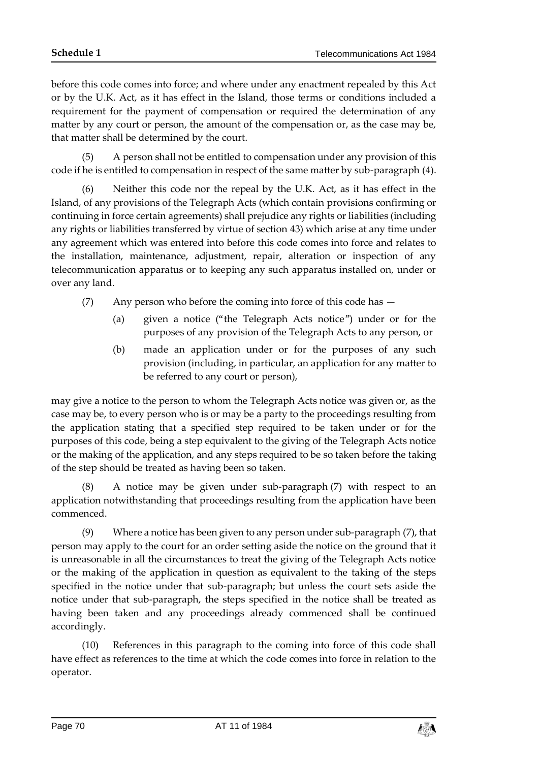before this code comes into force; and where under any enactment repealed by this Act or by the U.K. Act, as it has effect in the Island, those terms or conditions included a requirement for the payment of compensation or required the determination of any matter by any court or person, the amount of the compensation or, as the case may be, that matter shall be determined by the court.

(5) A person shall not be entitled to compensation under any provision of this code if he is entitled to compensation in respect of the same matter by sub-paragraph (4).

(6) Neither this code nor the repeal by the U.K. Act, as it has effect in the Island, of any provisions of the Telegraph Acts (which contain provisions confirming or continuing in force certain agreements) shall prejudice any rights or liabilities (including any rights or liabilities transferred by virtue of section 43) which arise at any time under any agreement which was entered into before this code comes into force and relates to the installation, maintenance, adjustment, repair, alteration or inspection of any telecommunication apparatus or to keeping any such apparatus installed on, under or over any land.

- (7) Any person who before the coming into force of this code has
	- (a) given a notice ("the Telegraph Acts notice") under or for the purposes of any provision of the Telegraph Acts to any person, or
	- (b) made an application under or for the purposes of any such provision (including, in particular, an application for any matter to be referred to any court or person),

may give a notice to the person to whom the Telegraph Acts notice was given or, as the case may be, to every person who is or may be a party to the proceedings resulting from the application stating that a specified step required to be taken under or for the purposes of this code, being a step equivalent to the giving of the Telegraph Acts notice or the making of the application, and any steps required to be so taken before the taking of the step should be treated as having been so taken.

(8) A notice may be given under sub-paragraph (7) with respect to an application notwithstanding that proceedings resulting from the application have been commenced.

(9) Where a notice has been given to any person under sub-paragraph (7), that person may apply to the court for an order setting aside the notice on the ground that it is unreasonable in all the circumstances to treat the giving of the Telegraph Acts notice or the making of the application in question as equivalent to the taking of the steps specified in the notice under that sub-paragraph; but unless the court sets aside the notice under that sub-paragraph, the steps specified in the notice shall be treated as having been taken and any proceedings already commenced shall be continued accordingly.

(10) References in this paragraph to the coming into force of this code shall have effect as references to the time at which the code comes into force in relation to the operator.

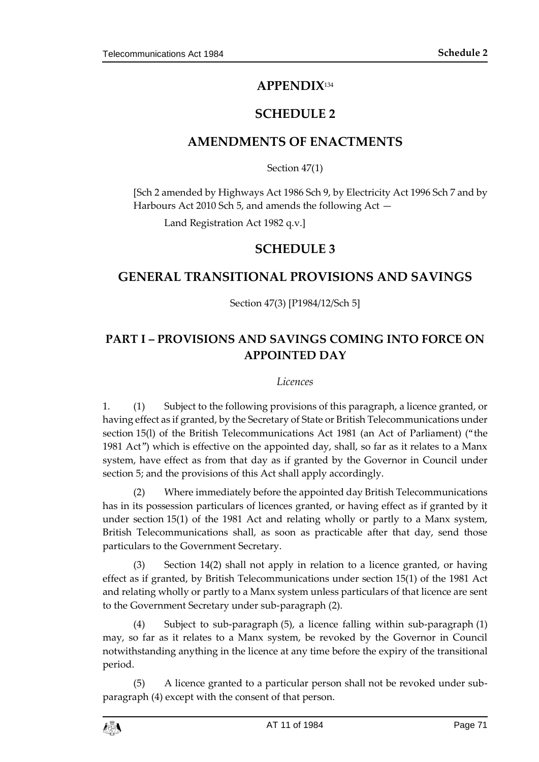# **APPENDIX**<sup>134</sup>

# **SCHEDULE 2**

# **AMENDMENTS OF ENACTMENTS**

Section 47(1)

[Sch 2 amended by Highways Act 1986 Sch 9, by Electricity Act 1996 Sch 7 and by Harbours Act 2010 Sch 5, and amends the following Act —

Land Registration Act 1982 q.v.]

# **SCHEDULE 3**

# **GENERAL TRANSITIONAL PROVISIONS AND SAVINGS**

## Section 47(3) [P1984/12/Sch 5]

# **PART I – PROVISIONS AND SAVINGS COMING INTO FORCE ON APPOINTED DAY**

#### *Licences*

1. (1) Subject to the following provisions of this paragraph, a licence granted, or having effect as if granted, by the Secretary of State or British Telecommunications under section 15(l) of the British Telecommunications Act 1981 (an Act of Parliament) ("the 1981 Act") which is effective on the appointed day, shall, so far as it relates to a Manx system, have effect as from that day as if granted by the Governor in Council under section 5; and the provisions of this Act shall apply accordingly.

(2) Where immediately before the appointed day British Telecommunications has in its possession particulars of licences granted, or having effect as if granted by it under section 15(1) of the 1981 Act and relating wholly or partly to a Manx system, British Telecommunications shall, as soon as practicable after that day, send those particulars to the Government Secretary.

(3) Section 14(2) shall not apply in relation to a licence granted, or having effect as if granted, by British Telecommunications under section 15(1) of the 1981 Act and relating wholly or partly to a Manx system unless particulars of that licence are sent to the Government Secretary under sub-paragraph (2).

(4) Subject to sub-paragraph (5), a licence falling within sub-paragraph (1) may, so far as it relates to a Manx system, be revoked by the Governor in Council notwithstanding anything in the licence at any time before the expiry of the transitional period.

(5) A licence granted to a particular person shall not be revoked under subparagraph (4) except with the consent of that person.

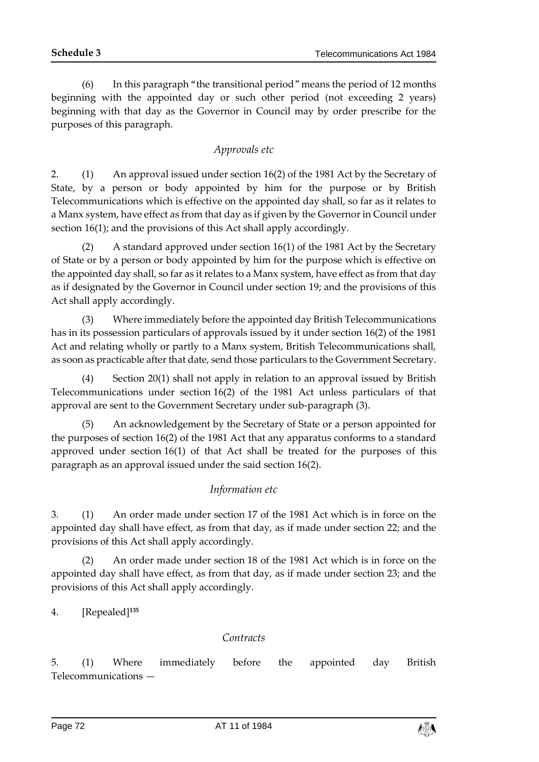(6) In this paragraph "the transitional period" means the period of 12 months beginning with the appointed day or such other period (not exceeding 2 years) beginning with that day as the Governor in Council may by order prescribe for the purposes of this paragraph.

# *Approvals etc*

2. (1) An approval issued under section 16(2) of the 1981 Act by the Secretary of State, by a person or body appointed by him for the purpose or by British Telecommunications which is effective on the appointed day shall, so far as it relates to a Manx system, have effect as from that day as if given by the Governor in Council under section 16(1); and the provisions of this Act shall apply accordingly.

(2) A standard approved under section 16(1) of the 1981 Act by the Secretary of State or by a person or body appointed by him for the purpose which is effective on the appointed day shall, so far as it relates to a Manx system, have effect as from that day as if designated by the Governor in Council under section 19; and the provisions of this Act shall apply accordingly.

(3) Where immediately before the appointed day British Telecommunications has in its possession particulars of approvals issued by it under section 16(2) of the 1981 Act and relating wholly or partly to a Manx system, British Telecommunications shall, as soon as practicable after that date, send those particulars to the Government Secretary.

(4) Section 20(1) shall not apply in relation to an approval issued by British Telecommunications under section 16(2) of the 1981 Act unless particulars of that approval are sent to the Government Secretary under sub-paragraph (3).

(5) An acknowledgement by the Secretary of State or a person appointed for the purposes of section 16(2) of the 1981 Act that any apparatus conforms to a standard approved under section 16(1) of that Act shall be treated for the purposes of this paragraph as an approval issued under the said section 16(2).

# *Information etc*

3. (1) An order made under section 17 of the 1981 Act which is in force on the appointed day shall have effect, as from that day, as if made under section 22; and the provisions of this Act shall apply accordingly.

(2) An order made under section 18 of the 1981 Act which is in force on the appointed day shall have effect, as from that day, as if made under section 23; and the provisions of this Act shall apply accordingly.

4. [Repealed]**<sup>135</sup>**

## *Contracts*

5. (1) Where immediately before the appointed day British Telecommunications —

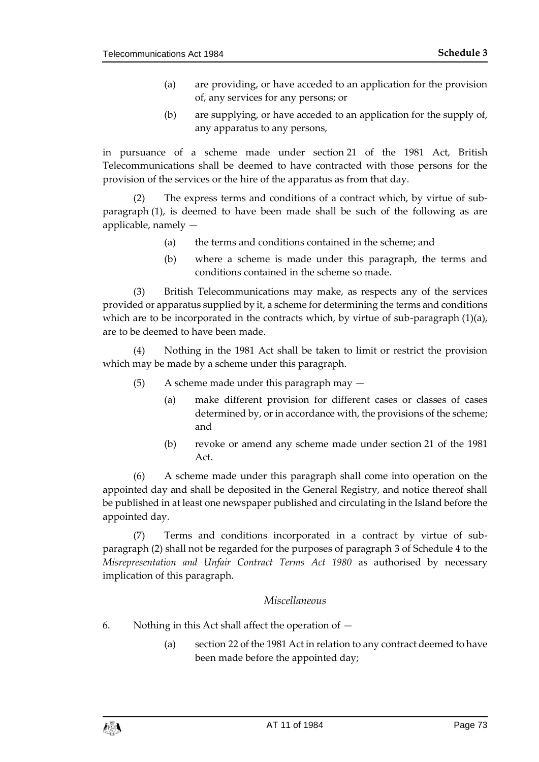- (a) are providing, or have acceded to an application for the provision of, any services for any persons; or
- (b) are supplying, or have acceded to an application for the supply of, any apparatus to any persons,

in pursuance of a scheme made under section 21 of the 1981 Act, British Telecommunications shall be deemed to have contracted with those persons for the provision of the services or the hire of the apparatus as from that day.

(2) The express terms and conditions of a contract which, by virtue of subparagraph (1), is deemed to have been made shall be such of the following as are applicable, namely —

- (a) the terms and conditions contained in the scheme; and
- (b) where a scheme is made under this paragraph, the terms and conditions contained in the scheme so made.

(3) British Telecommunications may make, as respects any of the services provided or apparatus supplied by it, a scheme for determining the terms and conditions which are to be incorporated in the contracts which, by virtue of sub-paragraph  $(1)(a)$ , are to be deemed to have been made.

(4) Nothing in the 1981 Act shall be taken to limit or restrict the provision which may be made by a scheme under this paragraph.

- (5) A scheme made under this paragraph may
	- (a) make different provision for different cases or classes of cases determined by, or in accordance with, the provisions of the scheme; and
	- (b) revoke or amend any scheme made under section 21 of the 1981 Act.

(6) A scheme made under this paragraph shall come into operation on the appointed day and shall be deposited in the General Registry, and notice thereof shall be published in at least one newspaper published and circulating in the Island before the appointed day.

(7) Terms and conditions incorporated in a contract by virtue of subparagraph (2) shall not be regarded for the purposes of paragraph 3 of Schedule 4 to the *Misrepresentation and Unfair Contract Terms Act 1980* as authorised by necessary implication of this paragraph.

#### *Miscellaneous*

- 6. Nothing in this Act shall affect the operation of
	- (a) section 22 of the 1981 Act in relation to any contract deemed to have been made before the appointed day;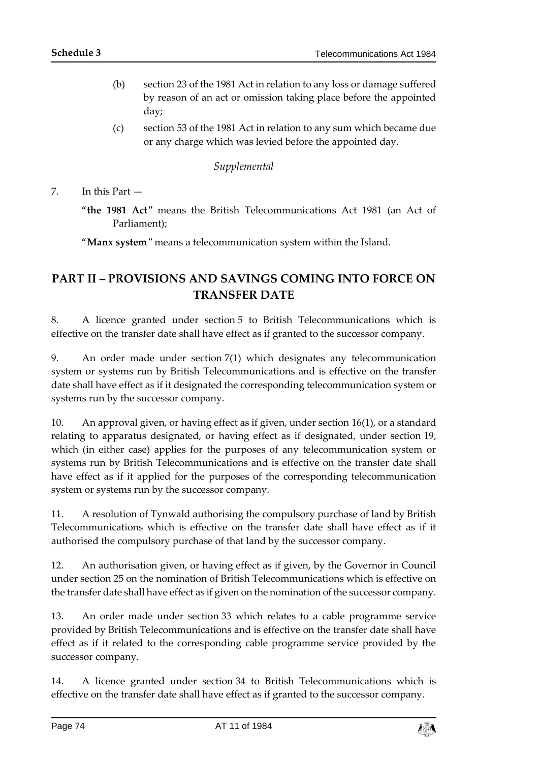- (b) section 23 of the 1981 Act in relation to any loss or damage suffered by reason of an act or omission taking place before the appointed day;
- (c) section 53 of the 1981 Act in relation to any sum which became due or any charge which was levied before the appointed day.

#### *Supplemental*

7. In this Part —

"**the 1981 Act**" means the British Telecommunications Act 1981 (an Act of Parliament);

"**Manx system**" means a telecommunication system within the Island.

## **PART II – PROVISIONS AND SAVINGS COMING INTO FORCE ON TRANSFER DATE**

8. A licence granted under section 5 to British Telecommunications which is effective on the transfer date shall have effect as if granted to the successor company.

9. An order made under section 7(1) which designates any telecommunication system or systems run by British Telecommunications and is effective on the transfer date shall have effect as if it designated the corresponding telecommunication system or systems run by the successor company.

10. An approval given, or having effect as if given, under section 16(1), or a standard relating to apparatus designated, or having effect as if designated, under section 19, which (in either case) applies for the purposes of any telecommunication system or systems run by British Telecommunications and is effective on the transfer date shall have effect as if it applied for the purposes of the corresponding telecommunication system or systems run by the successor company.

11. A resolution of Tynwald authorising the compulsory purchase of land by British Telecommunications which is effective on the transfer date shall have effect as if it authorised the compulsory purchase of that land by the successor company.

12. An authorisation given, or having effect as if given, by the Governor in Council under section 25 on the nomination of British Telecommunications which is effective on the transfer date shall have effect as if given on the nomination of the successor company.

13. An order made under section 33 which relates to a cable programme service provided by British Telecommunications and is effective on the transfer date shall have effect as if it related to the corresponding cable programme service provided by the successor company.

14. A licence granted under section 34 to British Telecommunications which is effective on the transfer date shall have effect as if granted to the successor company.

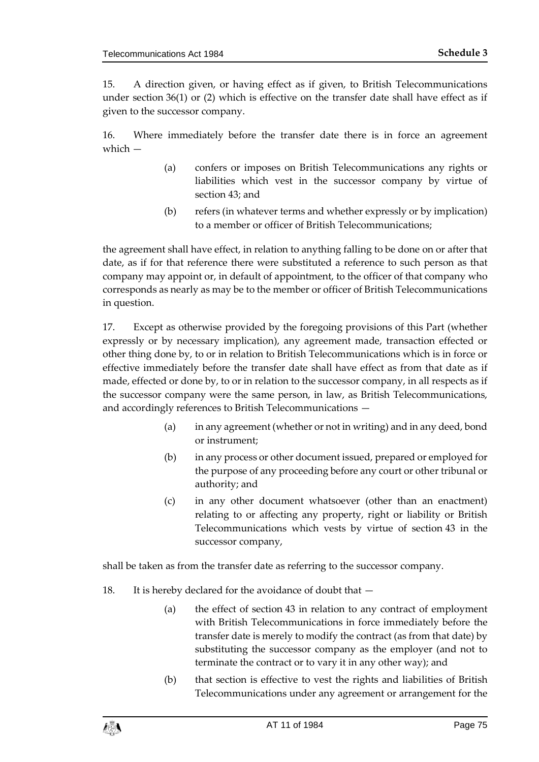15. A direction given, or having effect as if given, to British Telecommunications under section 36(1) or (2) which is effective on the transfer date shall have effect as if given to the successor company.

16. Where immediately before the transfer date there is in force an agreement which —

- (a) confers or imposes on British Telecommunications any rights or liabilities which vest in the successor company by virtue of section 43; and
- (b) refers (in whatever terms and whether expressly or by implication) to a member or officer of British Telecommunications;

the agreement shall have effect, in relation to anything falling to be done on or after that date, as if for that reference there were substituted a reference to such person as that company may appoint or, in default of appointment, to the officer of that company who corresponds as nearly as may be to the member or officer of British Telecommunications in question.

17. Except as otherwise provided by the foregoing provisions of this Part (whether expressly or by necessary implication), any agreement made, transaction effected or other thing done by, to or in relation to British Telecommunications which is in force or effective immediately before the transfer date shall have effect as from that date as if made, effected or done by, to or in relation to the successor company, in all respects as if the successor company were the same person, in law, as British Telecommunications, and accordingly references to British Telecommunications —

- (a) in any agreement (whether or not in writing) and in any deed, bond or instrument;
- (b) in any process or other document issued, prepared or employed for the purpose of any proceeding before any court or other tribunal or authority; and
- (c) in any other document whatsoever (other than an enactment) relating to or affecting any property, right or liability or British Telecommunications which vests by virtue of section 43 in the successor company,

shall be taken as from the transfer date as referring to the successor company.

- 18. It is hereby declared for the avoidance of doubt that
	- (a) the effect of section 43 in relation to any contract of employment with British Telecommunications in force immediately before the transfer date is merely to modify the contract (as from that date) by substituting the successor company as the employer (and not to terminate the contract or to vary it in any other way); and
	- (b) that section is effective to vest the rights and liabilities of British Telecommunications under any agreement or arrangement for the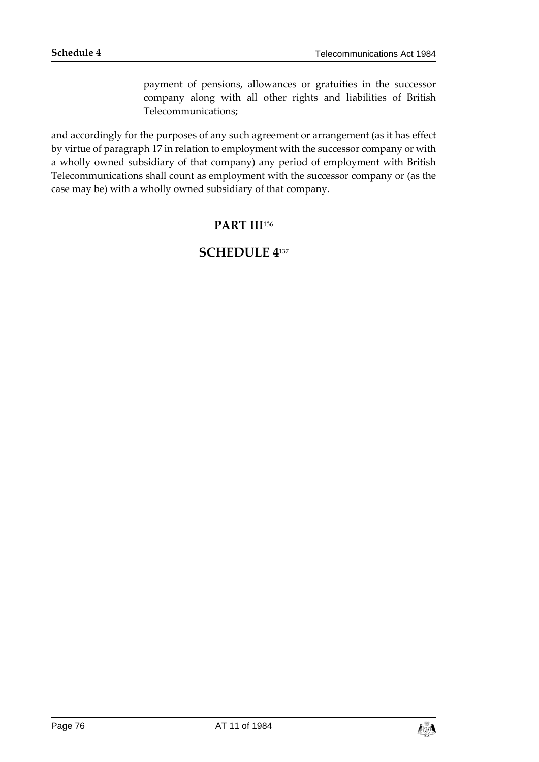payment of pensions, allowances or gratuities in the successor company along with all other rights and liabilities of British Telecommunications;

and accordingly for the purposes of any such agreement or arrangement (as it has effect by virtue of paragraph 17 in relation to employment with the successor company or with a wholly owned subsidiary of that company) any period of employment with British Telecommunications shall count as employment with the successor company or (as the case may be) with a wholly owned subsidiary of that company.

### **PART III**<sup>136</sup>

# **SCHEDULE 4**137

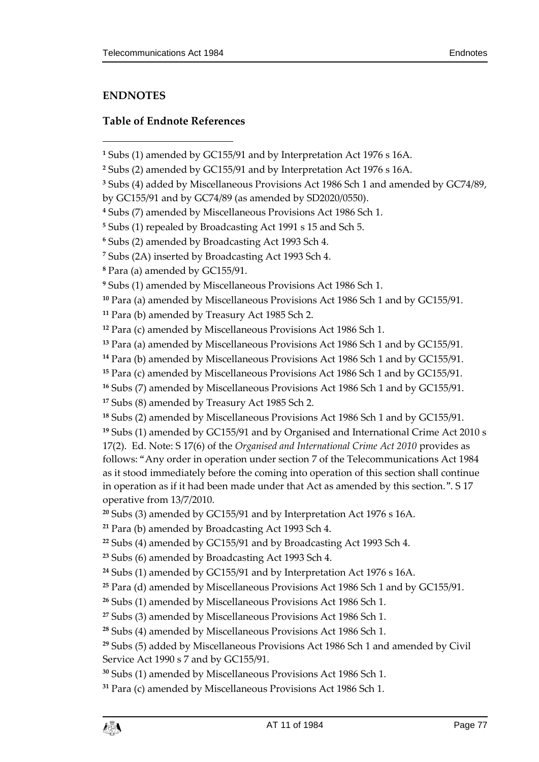## **ENDNOTES**

### **Table of Endnote References**

Para (a) amended by Miscellaneous Provisions Act 1986 Sch 1 and by GC155/91.

Para (b) amended by Miscellaneous Provisions Act 1986 Sch 1 and by GC155/91.

 Subs (1) amended by GC155/91 and by Organised and International Crime Act 2010 s 17(2). Ed. Note: S 17(6) of the *Organised and International Crime Act 2010* provides as follows: "Any order in operation under section 7 of the Telecommunications Act 1984 as it stood immediately before the coming into operation of this section shall continue in operation as if it had been made under that Act as amended by this section.". S 17 operative from 13/7/2010.

Subs (3) amended by GC155/91 and by Interpretation Act 1976 s 16A.

```
21 Para (b) amended by Broadcasting Act 1993 Sch 4.
```
Subs (4) amended by GC155/91 and by Broadcasting Act 1993 Sch 4.

Subs (3) amended by Miscellaneous Provisions Act 1986 Sch 1.

Subs (4) amended by Miscellaneous Provisions Act 1986 Sch 1.

Subs (1) amended by Miscellaneous Provisions Act 1986 Sch 1.

Para (c) amended by Miscellaneous Provisions Act 1986 Sch 1.

Subs (1) amended by GC155/91 and by Interpretation Act 1976 s 16A.

Subs (2) amended by GC155/91 and by Interpretation Act 1976 s 16A.

Subs (4) added by Miscellaneous Provisions Act 1986 Sch 1 and amended by GC74/89,

by GC155/91 and by GC74/89 (as amended by SD2020/0550).

Subs (7) amended by Miscellaneous Provisions Act 1986 Sch 1.

Subs (1) repealed by Broadcasting Act 1991 s 15 and Sch 5.

Subs (2) amended by Broadcasting Act 1993 Sch 4.

Subs (2A) inserted by Broadcasting Act 1993 Sch 4.

Para (a) amended by GC155/91.

Subs (1) amended by Miscellaneous Provisions Act 1986 Sch 1.

Para (a) amended by Miscellaneous Provisions Act 1986 Sch 1 and by GC155/91.

Para (b) amended by Treasury Act 1985 Sch 2.

Para (c) amended by Miscellaneous Provisions Act 1986 Sch 1.

Para (c) amended by Miscellaneous Provisions Act 1986 Sch 1 and by GC155/91.

Subs (7) amended by Miscellaneous Provisions Act 1986 Sch 1 and by GC155/91.

Subs (8) amended by Treasury Act 1985 Sch 2.

Subs (2) amended by Miscellaneous Provisions Act 1986 Sch 1 and by GC155/91.

Subs (6) amended by Broadcasting Act 1993 Sch 4.

Subs (1) amended by GC155/91 and by Interpretation Act 1976 s 16A.

Para (d) amended by Miscellaneous Provisions Act 1986 Sch 1 and by GC155/91.

Subs (1) amended by Miscellaneous Provisions Act 1986 Sch 1.

 Subs (5) added by Miscellaneous Provisions Act 1986 Sch 1 and amended by Civil Service Act 1990 s 7 and by GC155/91.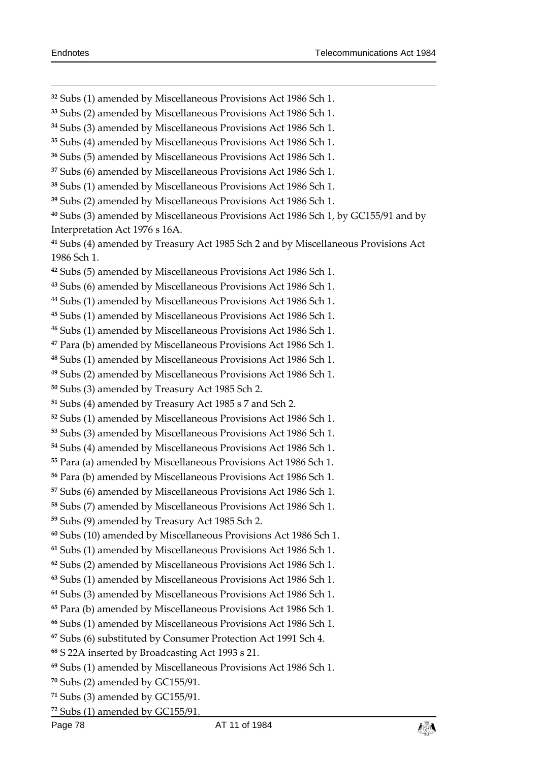- Subs (1) amended by Miscellaneous Provisions Act 1986 Sch 1.
- Subs (2) amended by Miscellaneous Provisions Act 1986 Sch 1.
- Subs (3) amended by Miscellaneous Provisions Act 1986 Sch 1.
- Subs (4) amended by Miscellaneous Provisions Act 1986 Sch 1.
- Subs (5) amended by Miscellaneous Provisions Act 1986 Sch 1.
- Subs (6) amended by Miscellaneous Provisions Act 1986 Sch 1.
- Subs (1) amended by Miscellaneous Provisions Act 1986 Sch 1.
- Subs (2) amended by Miscellaneous Provisions Act 1986 Sch 1.
- Subs (3) amended by Miscellaneous Provisions Act 1986 Sch 1, by GC155/91 and by Interpretation Act 1976 s 16A.
- Subs (4) amended by Treasury Act 1985 Sch 2 and by Miscellaneous Provisions Act 1986 Sch 1.
- Subs (5) amended by Miscellaneous Provisions Act 1986 Sch 1.
- Subs (6) amended by Miscellaneous Provisions Act 1986 Sch 1.
- Subs (1) amended by Miscellaneous Provisions Act 1986 Sch 1.
- Subs (1) amended by Miscellaneous Provisions Act 1986 Sch 1.
- Subs (1) amended by Miscellaneous Provisions Act 1986 Sch 1.
- Para (b) amended by Miscellaneous Provisions Act 1986 Sch 1.
- Subs (1) amended by Miscellaneous Provisions Act 1986 Sch 1.
- Subs (2) amended by Miscellaneous Provisions Act 1986 Sch 1.
- Subs (3) amended by Treasury Act 1985 Sch 2.
- Subs (4) amended by Treasury Act 1985 s 7 and Sch 2.
- Subs (1) amended by Miscellaneous Provisions Act 1986 Sch 1.
- Subs (3) amended by Miscellaneous Provisions Act 1986 Sch 1.
- Subs (4) amended by Miscellaneous Provisions Act 1986 Sch 1.
- Para (a) amended by Miscellaneous Provisions Act 1986 Sch 1.
- Para (b) amended by Miscellaneous Provisions Act 1986 Sch 1.
- Subs (6) amended by Miscellaneous Provisions Act 1986 Sch 1.
- Subs (7) amended by Miscellaneous Provisions Act 1986 Sch 1.
- Subs (9) amended by Treasury Act 1985 Sch 2.
- Subs (10) amended by Miscellaneous Provisions Act 1986 Sch 1.
- Subs (1) amended by Miscellaneous Provisions Act 1986 Sch 1.
- Subs (2) amended by Miscellaneous Provisions Act 1986 Sch 1.
- Subs (1) amended by Miscellaneous Provisions Act 1986 Sch 1.
- Subs (3) amended by Miscellaneous Provisions Act 1986 Sch 1.
- Para (b) amended by Miscellaneous Provisions Act 1986 Sch 1.
- Subs (1) amended by Miscellaneous Provisions Act 1986 Sch 1.
- Subs (6) substituted by Consumer Protection Act 1991 Sch 4.
- S 22A inserted by Broadcasting Act 1993 s 21.
- Subs (1) amended by Miscellaneous Provisions Act 1986 Sch 1.
- Subs (2) amended by GC155/91.
- Subs (3) amended by GC155/91.
- Subs (1) amended by GC155/91.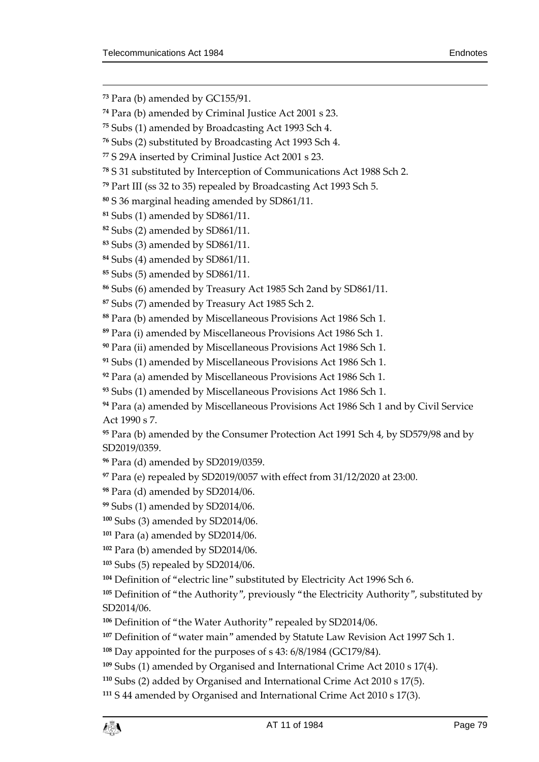$\overline{a}$ 

Para (b) amended by GC155/91.

Para (b) amended by Criminal Justice Act 2001 s 23.

Subs (1) amended by Broadcasting Act 1993 Sch 4.

Subs (2) substituted by Broadcasting Act 1993 Sch 4.

S 29A inserted by Criminal Justice Act 2001 s 23.

S 31 substituted by Interception of Communications Act 1988 Sch 2.

Part III (ss 32 to 35) repealed by Broadcasting Act 1993 Sch 5.

S 36 marginal heading amended by SD861/11.

Subs (2) amended by SD861/11.

Subs (3) amended by SD861/11.

Subs (4) amended by SD861/11.

Subs (5) amended by SD861/11.

Subs (6) amended by Treasury Act 1985 Sch 2and by SD861/11.

Subs (7) amended by Treasury Act 1985 Sch 2.

Para (b) amended by Miscellaneous Provisions Act 1986 Sch 1.

Para (i) amended by Miscellaneous Provisions Act 1986 Sch 1.

Para (ii) amended by Miscellaneous Provisions Act 1986 Sch 1.

Subs (1) amended by Miscellaneous Provisions Act 1986 Sch 1.

Para (a) amended by Miscellaneous Provisions Act 1986 Sch 1.

Subs (1) amended by Miscellaneous Provisions Act 1986 Sch 1.

 Para (a) amended by Miscellaneous Provisions Act 1986 Sch 1 and by Civil Service Act 1990 s 7.

 Para (b) amended by the Consumer Protection Act 1991 Sch 4, by SD579/98 and by SD2019/0359.

Para (d) amended by SD2019/0359.

Para (e) repealed by SD2019/0057 with effect from 31/12/2020 at 23:00.

Para (d) amended by SD2014/06.

Subs (1) amended by SD2014/06.

Subs (3) amended by SD2014/06.

Para (a) amended by SD2014/06.

Para (b) amended by SD2014/06.

Subs (5) repealed by SD2014/06.

Definition of "electric line" substituted by Electricity Act 1996 Sch 6.

 Definition of "the Authority", previously "the Electricity Authority", substituted by SD2014/06.

Definition of "the Water Authority" repealed by SD2014/06.

Definition of "water main" amended by Statute Law Revision Act 1997 Sch 1.

Day appointed for the purposes of s 43: 6/8/1984 (GC179/84).

Subs (1) amended by Organised and International Crime Act 2010 s 17(4).

Subs (2) added by Organised and International Crime Act 2010 s 17(5).

S 44 amended by Organised and International Crime Act 2010 s 17(3).

Subs (1) amended by SD861/11.